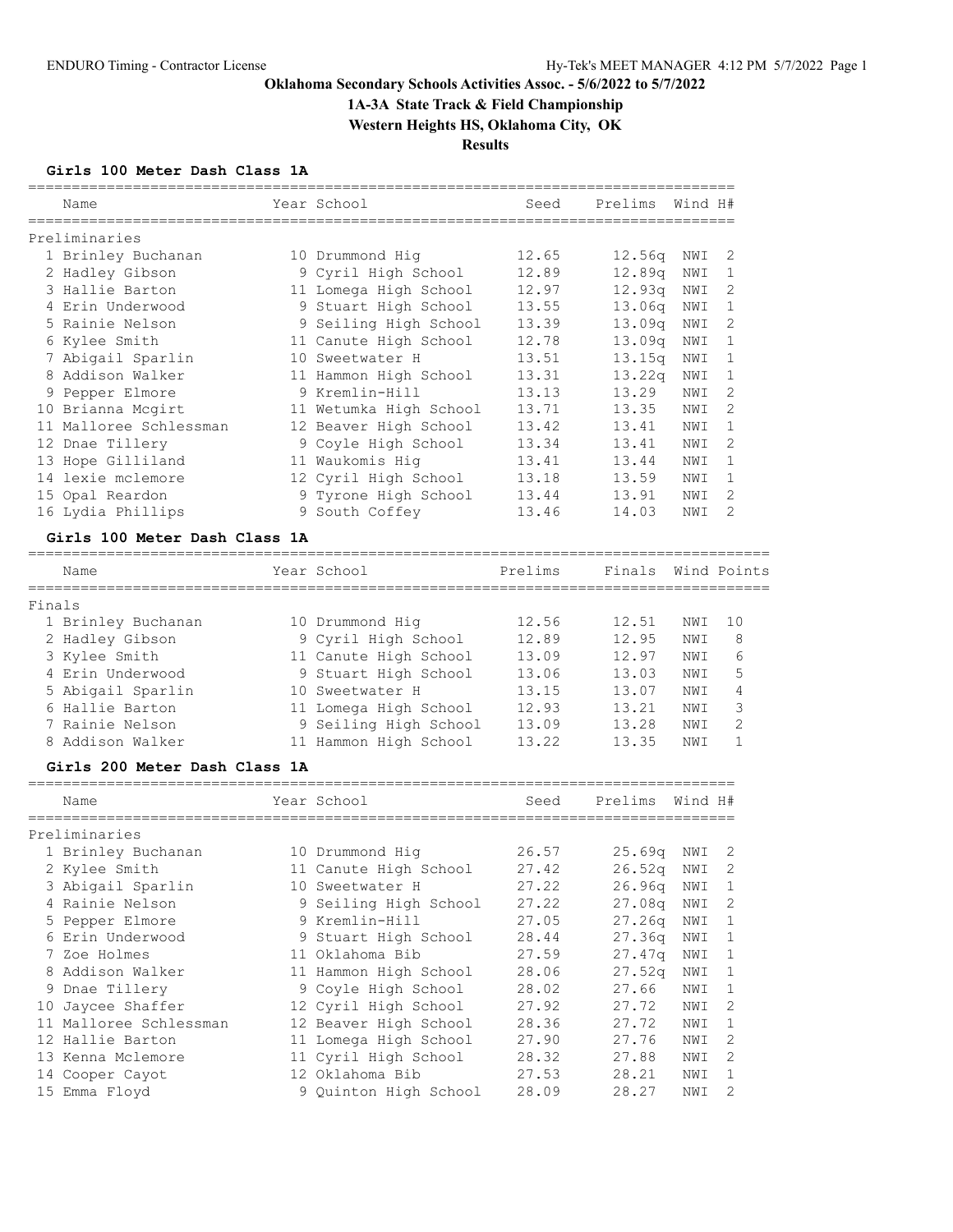# **1A-3A State Track & Field Championship**

**Western Heights HS, Oklahoma City, OK**

**Results**

### **Girls 100 Meter Dash Class 1A**

|        | Name                               | Year School                              | Seed           | Prelims          | Wind H#    |                   |
|--------|------------------------------------|------------------------------------------|----------------|------------------|------------|-------------------|
|        |                                    |                                          |                |                  |            |                   |
|        | Preliminaries                      |                                          |                |                  |            |                   |
|        | 1 Brinley Buchanan                 | 10 Drummond Hiq                          | 12.65          | 12.56q           | NWI        | 2                 |
|        | 2 Hadley Gibson<br>3 Hallie Barton | 9 Cyril High School                      | 12.89          | 12.89q           | NWI        | 1                 |
|        | 4 Erin Underwood                   | 11 Lomega High School                    | 12.97<br>13.55 | 12.93q<br>13.06q | NWI        | 2<br>$\mathbf{1}$ |
|        |                                    | 9 Stuart High School                     |                |                  | NWI        | 2                 |
|        | 5 Rainie Nelson<br>6 Kylee Smith   | 9 Seiling High School                    | 13.39<br>12.78 | 13.09q           | NWI<br>NWI | $\mathbf{1}$      |
|        | 7 Abigail Sparlin                  | 11 Canute High School<br>10 Sweetwater H | 13.51          | 13.09q<br>13.15q | NWI        | $\mathbf{1}$      |
|        | 8 Addison Walker                   | 11 Hammon High School                    | 13.31          | 13.22q           | NWI        | 1                 |
|        | 9 Pepper Elmore                    | 9 Kremlin-Hill                           | 13.13          | 13.29            | NWI        | 2                 |
|        | 10 Brianna Mcgirt                  | 11 Wetumka High School                   | 13.71          | 13.35            | NWI        | 2                 |
|        | 11 Malloree Schlessman             | 12 Beaver High School                    | 13.42          | 13.41            | NWI        | $\mathbf{1}$      |
|        | 12 Dnae Tillery                    | 9 Coyle High School                      | 13.34          | 13.41            | NWI        | 2                 |
|        | 13 Hope Gilliland                  | 11 Waukomis Hig                          | 13.41          | 13.44            | NWI        | $\mathbf{1}$      |
|        | 14 lexie mclemore                  | 12 Cyril High School                     | 13.18          | 13.59            | NWI        | 1                 |
|        | 15 Opal Reardon                    | 9 Tyrone High School                     | 13.44          | 13.91            | NWI        | 2                 |
|        | 16 Lydia Phillips                  | 9 South Coffey                           | 13.46          | 14.03            | NWI        | 2                 |
|        |                                    |                                          |                |                  |            |                   |
|        | Girls 100 Meter Dash Class 1A      |                                          |                |                  |            |                   |
|        | Name<br>==============             | Year School                              | Prelims        | Finals           |            | Wind Points       |
| Finals |                                    |                                          |                |                  |            |                   |
|        | 1 Brinley Buchanan                 | 10 Drummond Hig                          | 12.56          | 12.51            | NWI        | 10                |
|        | 2 Hadley Gibson                    | 9 Cyril High School                      | 12.89          | 12.95            | NWI        | 8                 |
|        | 3 Kylee Smith                      | 11 Canute High School                    | 13.09          | 12.97            | NWI        | 6                 |
|        | 4 Erin Underwood                   | 9 Stuart High School                     | 13.06          | 13.03            | NWI        | 5                 |
|        | 5 Abigail Sparlin                  | 10 Sweetwater H                          | 13.15          | 13.07            | NWI        | 4                 |
|        | 6 Hallie Barton                    | 11 Lomega High School                    | 12.93          | 13.21            | NWI        | 3                 |
|        | 7 Rainie Nelson                    | 9 Seiling High School                    | 13.09          | 13.28            | NWI        | 2                 |
|        | 8 Addison Walker                   | 11 Hammon High School                    | 13.22          | 13.35            | NWI        | $\mathbf{1}$      |
|        | Girls 200 Meter Dash Class 1A      |                                          |                |                  |            |                   |
|        | Name                               | Year School                              | Seed           | Prelims          | Wind H#    |                   |
|        | Preliminaries                      |                                          |                |                  |            |                   |
|        | 1 Brinley Buchanan                 | 10 Drummond Hig                          | 26.57          | 25.69q           | NWI        | 2                 |
|        | 2 Kylee Smith                      | 11 Canute High School                    | 27.42          | 26.52q           | NWI        | 2                 |
|        | 3 Abigail Sparlin                  | 10 Sweetwater H                          | 27.22          | 26.96q           | NWI        | $\mathbf{1}$      |
|        | 4 Rainie Nelson                    | 9 Seiling High School                    | 27.22          | 27.08q           | NWI        | 2                 |
|        | 5 Pepper Elmore                    | 9 Kremlin-Hill                           | 27.05          | 27.26q           | NWI        | 1                 |
|        | 6 Erin Underwood                   | 9 Stuart High School                     | 28.44          | 27.36q           | NWI        | 1                 |
|        | 7 Zoe Holmes                       | 11 Oklahoma Bib                          | 27.59          | 27.47q           | NWI        | 1                 |
|        | 8 Addison Walker                   | 11 Hammon High School                    | 28.06          | 27.52q           | NWI        | 1                 |
|        | 9 Dnae Tillery                     | 9 Coyle High School                      | 28.02          | 27.66            | NWI        | 1                 |
|        | 10 Jaycee Shaffer                  | 12 Cyril High School                     | 27.92          | 27.72            | NWI        | 2                 |
|        | 11 Malloree Schlessman             | 12 Beaver High School                    | 28.36          | 27.72            | NWI        | 1                 |
|        | 12 Hallie Barton                   | 11 Lomega High School                    | 27.90          | 27.76            | NWI        | 2                 |
|        | 13 Kenna Mclemore                  | 11 Cyril High School                     | 28.32          | 27.88            | NWI        | 2                 |
|        | 14 Cooper Cayot                    | 12 Oklahoma Bib                          | 27.53          | 28.21            | NWI        | 1                 |
|        | 15 Emma Floyd                      | 9 Quinton High School                    | 28.09          | 28.27            | NWI        | 2                 |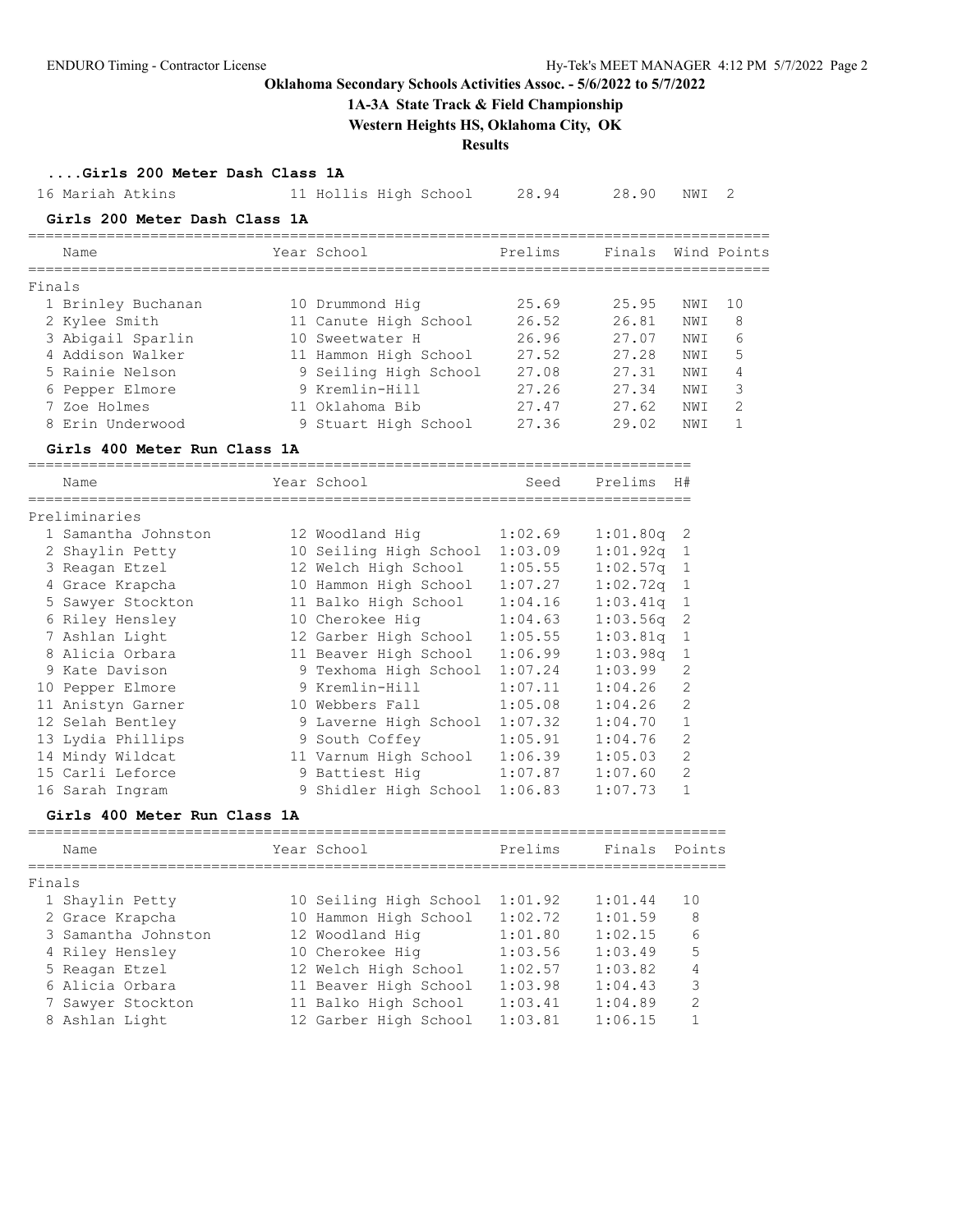## **1A-3A State Track & Field Championship**

**Western Heights HS, Oklahoma City, OK**

**Results**

| Girls 200 Meter Dash Class 1A |  |  |  |  |
|-------------------------------|--|--|--|--|
|-------------------------------|--|--|--|--|

|        | 16 Mariah Atkins                                       | 11 Hollis High School  | 28.94        | 28.90    | NWI            | 2            |
|--------|--------------------------------------------------------|------------------------|--------------|----------|----------------|--------------|
|        | Girls 200 Meter Dash Class 1A                          |                        |              |          |                |              |
|        | Name                                                   | Year School            | Prelims      | Finals   |                | Wind Points  |
| Finals |                                                        |                        |              |          |                |              |
|        | 1 Brinley Buchanan                                     | 10 Drummond Hiq        | 25.69        | 25.95    | NWI            | 10           |
|        | 2 Kylee Smith                                          | 11 Canute High School  | 26.52        | 26.81    | NWI            | 8            |
|        | 3 Abigail Sparlin                                      | 10 Sweetwater H        | 26.96        | 27.07    | NWI            | 6            |
|        | 4 Addison Walker                                       | 11 Hammon High School  | 27.52        | 27.28    | NWI            | 5            |
|        | 5 Rainie Nelson                                        | 9 Seiling High School  | 27.08        | 27.31    | NWI            | 4            |
|        | 6 Pepper Elmore                                        | 9 Kremlin-Hill         | 27.26        | 27.34    | NWI            | 3            |
|        | 7 Zoe Holmes                                           | 11 Oklahoma Bib        | 27.47        | 27.62    | NWI            | 2            |
|        | 8 Erin Underwood                                       | 9 Stuart High School   | 27.36        | 29.02    | NWI            | $\mathbf{1}$ |
|        | Girls 400 Meter Run Class 1A<br>______________________ |                        |              |          |                |              |
|        | Name<br>----------                                     | Year School            | Seed         | Prelims  | H#             |              |
|        | Preliminaries                                          |                        |              |          |                |              |
|        | 1 Samantha Johnston                                    | 12 Woodland Hig        | 1:02.69      | 1:01.80q | 2              |              |
|        | 2 Shaylin Petty                                        | 10 Seiling High School | 1:03.09      | 1:01.92q | 1              |              |
|        | 3 Reagan Etzel                                         | 12 Welch High School   | 1:05.55      | 1:02.57q | 1              |              |
|        | 4 Grace Krapcha                                        | 10 Hammon High School  | 1:07.27      | 1:02.72q | 1              |              |
|        | 5 Sawyer Stockton                                      | 11 Balko High School   | 1:04.16      | 1:03.41q | 1              |              |
|        | 6 Riley Hensley                                        | 10 Cherokee Hig        | 1:04.63      | 1:03.56q | 2              |              |
|        | 7 Ashlan Light                                         | 12 Garber High School  | 1:05.55      | 1:03.81q | 1              |              |
|        | 8 Alicia Orbara                                        | 11 Beaver High School  | 1:06.99      | 1:03.98q | 1              |              |
|        | 9 Kate Davison                                         | 9 Texhoma High School  | 1:07.24      | 1:03.99  | 2              |              |
|        | 10 Pepper Elmore                                       | 9 Kremlin-Hill         | 1:07.11      | 1:04.26  | 2              |              |
|        | 11 Anistyn Garner                                      | 10 Webbers Fall        | 1:05.08      | 1:04.26  | 2              |              |
|        | 12 Selah Bentley                                       | 9 Laverne High School  | 1:07.32      | 1:04.70  | 1              |              |
|        | 13 Lydia Phillips                                      | 9 South Coffey         | 1:05.91      | 1:04.76  | 2              |              |
|        | 14 Mindy Wildcat                                       | 11 Varnum High School  | 1:06.39      | 1:05.03  | 2              |              |
|        | 15 Carli Leforce                                       | 9 Battiest Hig         | 1:07.87      | 1:07.60  | 2              |              |
|        | 16 Sarah Ingram                                        | 9 Shidler High School  | 1:06.83      | 1:07.73  | 1              |              |
|        | Girls 400 Meter Run Class 1A                           |                        | ------------ |          |                |              |
|        | Name                                                   | Year School            | Prelims      | Finals   | Points         |              |
| Finals |                                                        |                        |              |          |                |              |
|        | 1 Shaylin Petty                                        | 10 Seiling High School | 1:01.92      | 1:01.44  | 10             |              |
|        | 2 Grace Krapcha                                        | 10 Hammon High School  | 1:02.72      | 1:01.59  | 8              |              |
|        | 3 Samantha Johnston                                    | 12 Woodland Hig        | 1:01.80      | 1:02.15  | 6              |              |
|        | 4 Riley Hensley                                        | 10 Cherokee Hig        | 1:03.56      | 1:03.49  | 5              |              |
|        | 5 Reagan Etzel                                         | 12 Welch High School   | 1:02.57      | 1:03.82  | 4              |              |
|        | 6 Alicia Orbara                                        | 11 Beaver High School  | 1:03.98      | 1:04.43  | 3              |              |
|        | 7 Sawyer Stockton                                      | 11 Balko High School   | 1:03.41      | 1:04.89  | $\mathfrak{D}$ |              |

8 Ashlan Light 12 Garber High School 1:03.81 1:06.15 1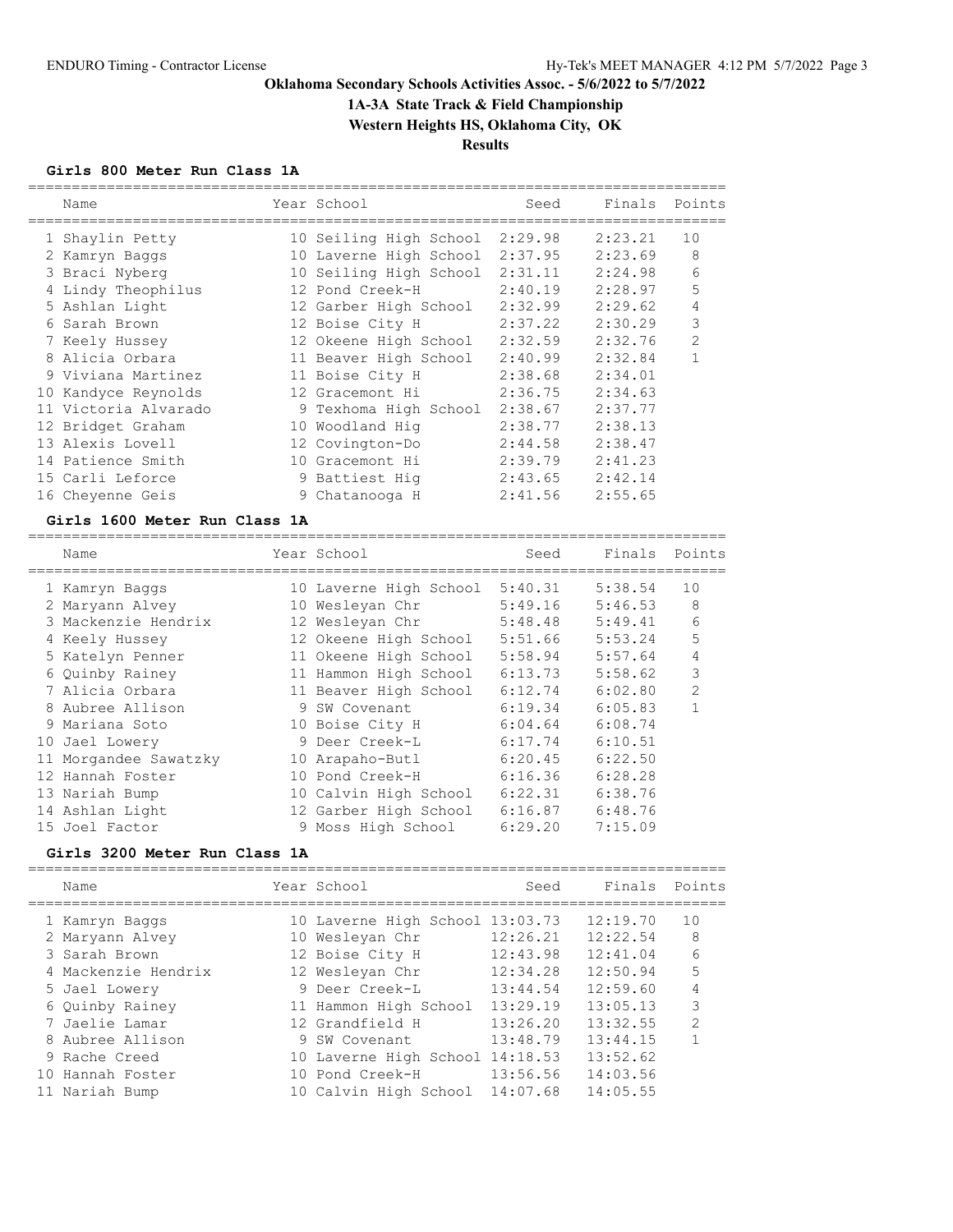**1A-3A State Track & Field Championship**

**Western Heights HS, Oklahoma City, OK**

**Results**

#### **Girls 800 Meter Run Class 1A**

|  | Name                 | Year School            | Seed    | Finals  | Points         |
|--|----------------------|------------------------|---------|---------|----------------|
|  | 1 Shaylin Petty      | 10 Seiling High School | 2:29.98 | 2:23.21 | 10             |
|  | 2 Kamryn Baggs       | 10 Laverne High School | 2:37.95 | 2:23.69 | 8              |
|  | 3 Braci Nyberg       | 10 Seiling High School | 2:31.11 | 2:24.98 | 6              |
|  | 4 Lindy Theophilus   | 12 Pond Creek-H        | 2:40.19 | 2:28.97 | 5              |
|  | 5 Ashlan Light       | 12 Garber High School  | 2:32.99 | 2:29.62 | 4              |
|  | 6 Sarah Brown        | 12 Boise City H        | 2:37.22 | 2:30.29 | 3              |
|  | 7 Keely Hussey       | 12 Okeene High School  | 2:32.59 | 2:32.76 | $\overline{2}$ |
|  | 8 Alicia Orbara      | 11 Beaver High School  | 2:40.99 | 2:32.84 | 1              |
|  | 9 Viviana Martinez   | 11 Boise City H        | 2:38.68 | 2:34.01 |                |
|  | 10 Kandyce Reynolds  | 12 Gracemont Hi        | 2:36.75 | 2:34.63 |                |
|  | 11 Victoria Alvarado | 9 Texhoma High School  | 2:38.67 | 2:37.77 |                |
|  | 12 Bridget Graham    | 10 Woodland Hig        | 2:38.77 | 2:38.13 |                |
|  | 13 Alexis Lovell     | 12 Covington-Do        | 2:44.58 | 2:38.47 |                |
|  | 14 Patience Smith    | 10 Gracemont Hi        | 2:39.79 | 2:41.23 |                |
|  | 15 Carli Leforce     | 9 Battiest Hig         | 2:43.65 | 2:42.14 |                |
|  | 16 Cheyenne Geis     | 9 Chatanooga H         | 2:41.56 | 2:55.65 |                |
|  |                      |                        |         |         |                |

#### **Girls 1600 Meter Run Class 1A**

================================================================================ Name The Year School Contract Seed Finals Points ================================================================================ 1 Kamryn Baggs 10 Laverne High School 5:40.31 5:38.54 10 2 Maryann Alvey 10 Wesleyan Chr 5:49.16 5:46.53 8 3 Mackenzie Hendrix 12 Wesleyan Chr 5:48.48 5:49.41 6 4 Keely Hussey 12 Okeene High School 5:51.66 5:53.24 5 5 Katelyn Penner 11 Okeene High School 5:58.94 5:57.64 4 6 Quinby Rainey 11 Hammon High School 6:13.73 5:58.62 3 7 Alicia Orbara 11 Beaver High School 6:12.74 6:02.80 2 8 Aubree Allison 9 SW Covenant 6:19.34 6:05.83 1 9 Mariana Soto 10 Boise City H 6:04.64 6:08.74 10 Jael Lowery 9 Deer Creek-L 6:17.74 6:10.51 11 Morgandee Sawatzky 10 Arapaho-Butl 6:20.45 6:22.50 12 Hannah Foster 10 Pond Creek-H 6:16.36 6:28.28 13 Nariah Bump 10 Calvin High School 6:22.31 6:38.76 14 Ashlan Light 12 Garber High School 6:16.87 6:48.76 15 Joel Factor 9 Moss High School 6:29.20 7:15.09

#### **Girls 3200 Meter Run Class 1A**

================================================================================

|     | Name                | Year School                     | Seed     | Finals   | Points         |
|-----|---------------------|---------------------------------|----------|----------|----------------|
|     | 1 Kamryn Baggs      | 10 Laverne High School 13:03.73 |          | 12:19.70 | 10             |
|     | 2 Maryann Alvey     | 10 Wesleyan Chr                 | 12:26.21 | 12:22.54 | 8              |
|     | 3 Sarah Brown       | 12 Boise City H                 | 12:43.98 | 12:41.04 | 6              |
|     | 4 Mackenzie Hendrix | 12 Wesleyan Chr                 | 12:34.28 | 12:50.94 | 5              |
|     | 5 Jael Lowery       | 9 Deer Creek-L                  | 13:44.54 | 12:59.60 | 4              |
|     | 6 Quinby Rainey     | 11 Hammon High School           | 13:29.19 | 13:05.13 | 3              |
|     | 7 Jaelie Lamar      | 12 Grandfield H                 | 13:26.20 | 13:32.55 | $\overline{2}$ |
|     | 8 Aubree Allison    | 9 SW Covenant                   | 13:48.79 | 13:44.15 |                |
|     | 9 Rache Creed       | 10 Laverne High School 14:18.53 |          | 13:52.62 |                |
| 1 O | Hannah Foster       | 10 Pond Creek-H                 | 13:56.56 | 14:03.56 |                |
|     | 11 Nariah Bump      | 10 Calvin High School           | 14:07.68 | 14:05.55 |                |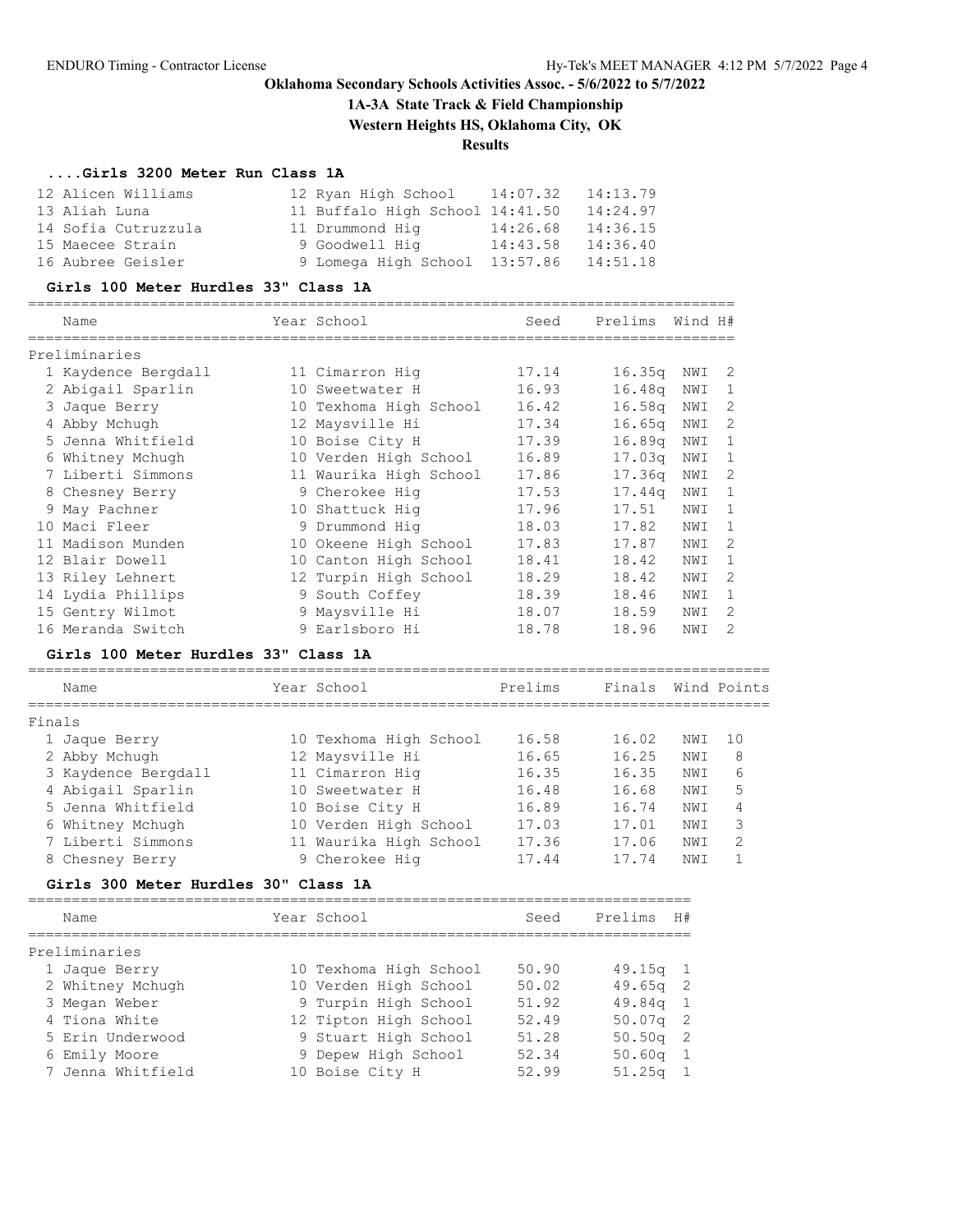**1A-3A State Track & Field Championship**

**Western Heights HS, Oklahoma City, OK**

=================================================================================

## **Results**

## **....Girls 3200 Meter Run Class 1A**

| 12 Alicen Williams  | 12 Ryan High School 14:07.32    |          | 14:13.79 |
|---------------------|---------------------------------|----------|----------|
| 13 Aliah Luna       | 11 Buffalo High School 14:41.50 |          | 14:24.97 |
| 14 Sofia Cutruzzula | 11 Drummond Hig                 | 14:26.68 | 14:36.15 |
| 15 Maecee Strain    | 9 Goodwell Hig                  | 14:43.58 | 14:36.40 |
| 16 Aubree Geisler   | 9 Lomega High School 13:57.86   |          | 14:51.18 |

#### **Girls 100 Meter Hurdles 33" Class 1A**

|    | Name                |    | Year School            | Seed  | Prelims            | Wind H# |                |
|----|---------------------|----|------------------------|-------|--------------------|---------|----------------|
|    | Preliminaries       |    |                        |       |                    |         |                |
|    | 1 Kaydence Bergdall |    | 11 Cimarron Hig        | 17.14 | 16.35q             | NWI     | 2              |
|    | 2 Abigail Sparlin   | 10 | Sweetwater H           | 16.93 | 16.48q             | NWI     |                |
|    | 3 Jaque Berry       |    | 10 Texhoma High School | 16.42 | 16.58 <sub>q</sub> | NWI     | 2              |
|    | 4 Abby Mchugh       |    | 12 Maysville Hi        | 17.34 | 16.65q             | NWI     | $\mathcal{D}$  |
|    | 5 Jenna Whitfield   |    | 10 Boise City H        | 17.39 | 16.89 <sub>q</sub> | NWI     |                |
|    | 6 Whitney Mchugh    |    | 10 Verden High School  | 16.89 | 17.03 <sub>q</sub> | NWI     |                |
|    | 7 Liberti Simmons   |    | 11 Waurika High School | 17.86 | 17.36q             | NWI     | 2              |
|    | 8 Chesney Berry     |    | 9 Cherokee Hig         | 17.53 | 17.44 <sub>q</sub> | NWI     | 1              |
|    | 9 May Pachner       |    | 10 Shattuck Hiq        | 17.96 | 17.51              | NWI     |                |
|    | 10 Maci Fleer       |    | 9 Drummond Hig         | 18.03 | 17.82              | NWI     |                |
| 11 | Madison Munden      |    | 10 Okeene High School  | 17.83 | 17.87              | NWI     | $\mathcal{L}$  |
|    | 12 Blair Dowell     |    | 10 Canton High School  | 18.41 | 18.42              | NWI     |                |
|    | 13 Riley Lehnert    |    | 12 Turpin High School  | 18.29 | 18.42              | NWI     | 2              |
|    | 14 Lydia Phillips   |    | 9 South Coffey         | 18.39 | 18.46              | NWI     | -1             |
|    | 15 Gentry Wilmot    |    | 9 Maysville Hi         | 18.07 | 18.59              | NWI     | $\mathcal{D}$  |
|    | 16 Meranda Switch   |    | 9 Earlsboro Hi         | 18.78 | 18.96              | NWI     | $\mathfrak{D}$ |

### **Girls 100 Meter Hurdles 33" Class 1A**

|        | Name                | Year School            | Prelims | Finals |      | Wind Points   |
|--------|---------------------|------------------------|---------|--------|------|---------------|
| Finals |                     |                        |         |        |      |               |
|        | 1 Jaque Berry       | 10 Texhoma High School | 16.58   | 16.02  | NWI  | 10            |
|        | 2 Abby Mchugh       | 12 Maysville Hi        | 16.65   | 16.25  | NWI  | 8             |
|        | 3 Kaydence Bergdall | 11 Cimarron Hig        | 16.35   | 16.35  | NWI  | 6             |
|        | 4 Abigail Sparlin   | 10 Sweetwater H        | 16.48   | 16.68  | NWI  | 5             |
|        | 5 Jenna Whitfield   | 10 Boise City H        | 16.89   | 16.74  | NWI  | 4             |
|        | 6 Whitney Mchugh    | 10 Verden High School  | 17.03   | 17.01  | NWI  | 3             |
|        | 7 Liberti Simmons   | 11 Waurika High School | 17.36   | 17.06  | NWI  | $\mathcal{L}$ |
|        | 8 Chesney Berry     | 9 Cherokee Hig         | 17.44   | 17.74  | NW I |               |

## **Girls 300 Meter Hurdles 30" Class 1A**

| Name              | Year School            | Seed  | Prelims<br>H# |
|-------------------|------------------------|-------|---------------|
| Preliminaries     |                        |       |               |
| 1 Jaque Berry     | 10 Texhoma High School | 50.90 | $49.15q$ 1    |
| 2 Whitney Mchugh  | 10 Verden High School  | 50.02 | $49.65q$ 2    |
| 3 Megan Weber     | 9 Turpin High School   | 51.92 | $49.84q$ 1    |
| 4 Tiona White     | 12 Tipton High School  | 52.49 | $50.07q$ 2    |
| 5 Erin Underwood  | 9 Stuart High School   | 51.28 | $50.50q$ 2    |
| 6 Emily Moore     | 9 Depew High School    | 52.34 | $50.60q$ 1    |
| 7 Jenna Whitfield | 10 Boise City H        | 52.99 | $51.25q$ 1    |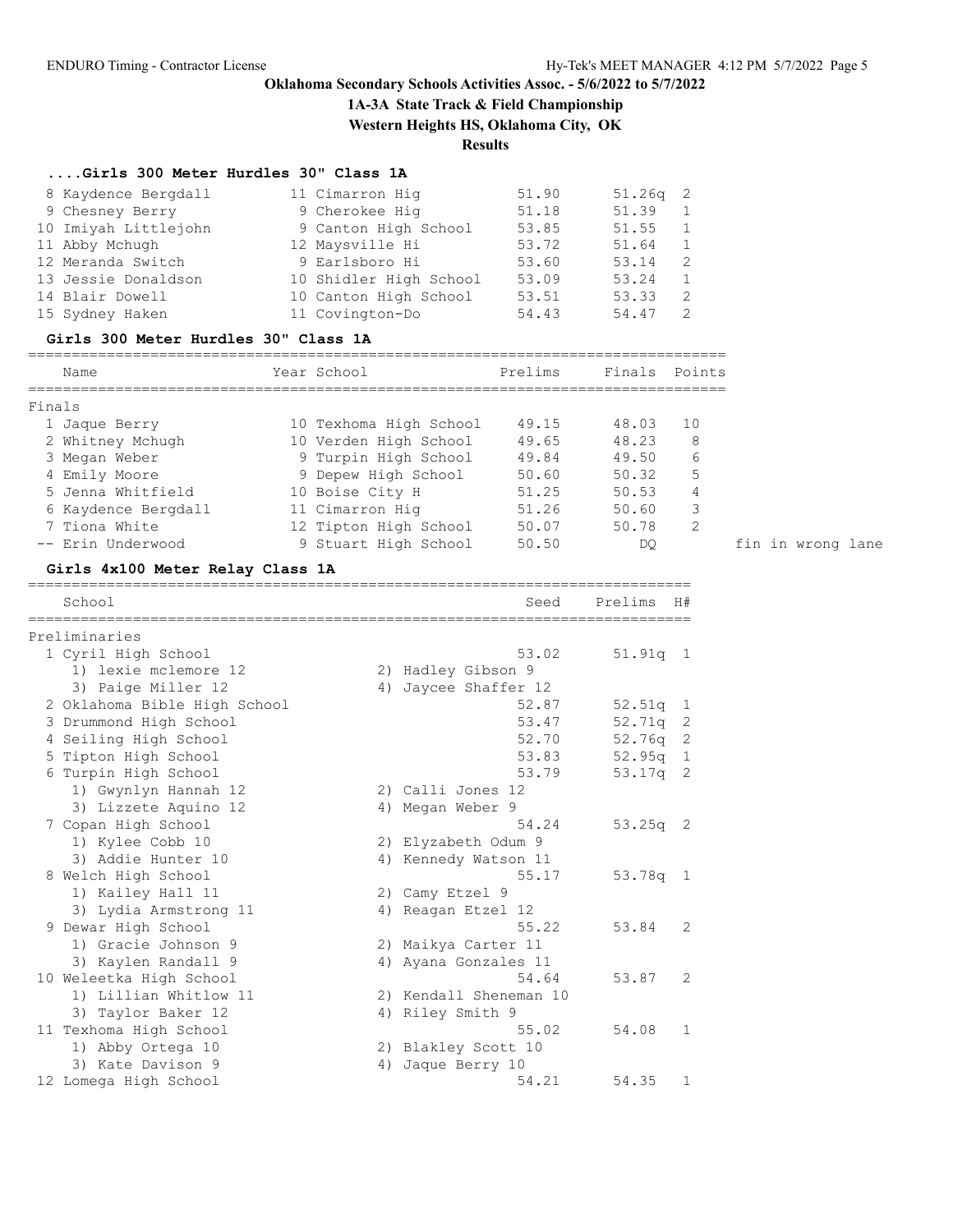**1A-3A State Track & Field Championship**

**Western Heights HS, Oklahoma City, OK**

**Results**

## **....Girls 300 Meter Hurdles 30" Class 1A**

| 8 Kaydence Bergdall  | 11 Cimarron Hig        | 51.90 | $51.26q$ 2 |   |
|----------------------|------------------------|-------|------------|---|
| 9 Chesney Berry      | 9 Cherokee Hig         | 51.18 | 51.39      |   |
| 10 Imiyah Littlejohn | 9 Canton High School   | 53.85 | 51.55      |   |
| 11 Abby Mchugh       | 12 Maysville Hi        | 53.72 | 51.64      |   |
| 12 Meranda Switch    | 9 Earlsboro Hi         | 53.60 | 53.14      | 2 |
| 13 Jessie Donaldson  | 10 Shidler High School | 53.09 | 53.24      |   |
| 14 Blair Dowell      | 10 Canton High School  | 53.51 | 53.33      | 2 |
| 15 Sydney Haken      | 11 Covington-Do        | 54.43 | 54.47      |   |

#### **Girls 300 Meter Hurdles 30" Class 1A**

================================================================================

| Name                | Year School            | Prelims | Finals Points |    |                   |  |
|---------------------|------------------------|---------|---------------|----|-------------------|--|
| Finals              |                        |         |               |    |                   |  |
| 1 Jaque Berry       | 10 Texhoma High School | 49.15   | 48.03         | 10 |                   |  |
| 2 Whitney Mchugh    | 10 Verden High School  | 49.65   | 48.23         | 8  |                   |  |
| 3 Megan Weber       | 9 Turpin High School   | 49.84   | 49.50         | 6  |                   |  |
| 4 Emily Moore       | 9 Depew High School    | 50.60   | 50.32         | 5  |                   |  |
| 5 Jenna Whitfield   | 10 Boise City H        | 51.25   | 50.53         | 4  |                   |  |
| 6 Kaydence Bergdall | 11 Cimarron Hig        | 51.26   | 50.60         | 3  |                   |  |
| 7 Tiona White       | 12 Tipton High School  | 50.07   | 50.78         | 2  |                   |  |
| -- Erin Underwood   | 9 Stuart High School   | 50.50   | DQ.           |    | fin in wrong lane |  |

#### **Girls 4x100 Meter Relay Class 1A**

============================================================================

| Seed              | Prelims                                                                                                                                                                                                                                                                             | H#           |
|-------------------|-------------------------------------------------------------------------------------------------------------------------------------------------------------------------------------------------------------------------------------------------------------------------------------|--------------|
|                   |                                                                                                                                                                                                                                                                                     |              |
| 53.02             | 51.91q                                                                                                                                                                                                                                                                              | -1           |
|                   |                                                                                                                                                                                                                                                                                     |              |
| Jaycee Shaffer 12 |                                                                                                                                                                                                                                                                                     |              |
| 52.87             | 52.51q                                                                                                                                                                                                                                                                              | 1            |
| 53.47             | 52.71q                                                                                                                                                                                                                                                                              | 2            |
| 52.70             | 52.76g                                                                                                                                                                                                                                                                              | 2            |
| 53.83             | 52.95q                                                                                                                                                                                                                                                                              | $\mathbf{1}$ |
| 53.79             | 53.17q                                                                                                                                                                                                                                                                              | 2            |
|                   |                                                                                                                                                                                                                                                                                     |              |
|                   |                                                                                                                                                                                                                                                                                     |              |
| 54.24             | $53.25q$ 2                                                                                                                                                                                                                                                                          |              |
|                   |                                                                                                                                                                                                                                                                                     |              |
|                   |                                                                                                                                                                                                                                                                                     |              |
| 55.17             | 53.78q                                                                                                                                                                                                                                                                              | $\mathbf{1}$ |
|                   |                                                                                                                                                                                                                                                                                     |              |
|                   |                                                                                                                                                                                                                                                                                     |              |
| 55.22             | 53.84                                                                                                                                                                                                                                                                               | 2            |
|                   |                                                                                                                                                                                                                                                                                     |              |
|                   |                                                                                                                                                                                                                                                                                     |              |
| 54.64             | 53.87                                                                                                                                                                                                                                                                               | 2            |
|                   |                                                                                                                                                                                                                                                                                     |              |
|                   |                                                                                                                                                                                                                                                                                     |              |
| 55.02             | 54.08                                                                                                                                                                                                                                                                               | $\mathbf{1}$ |
|                   |                                                                                                                                                                                                                                                                                     |              |
| Jaque Berry 10    |                                                                                                                                                                                                                                                                                     |              |
| 54.21             | 54.35                                                                                                                                                                                                                                                                               | 1            |
|                   | 2) Hadley Gibson 9<br>4)<br>2) Calli Jones 12<br>4) Megan Weber 9<br>2) Elyzabeth Odum 9<br>4) Kennedy Watson 11<br>2) Camy Etzel 9<br>4) Reagan Etzel 12<br>2) Maikya Carter 11<br>4) Ayana Gonzales 11<br>2) Kendall Sheneman 10<br>4) Riley Smith 9<br>2) Blakley Scott 10<br>4) |              |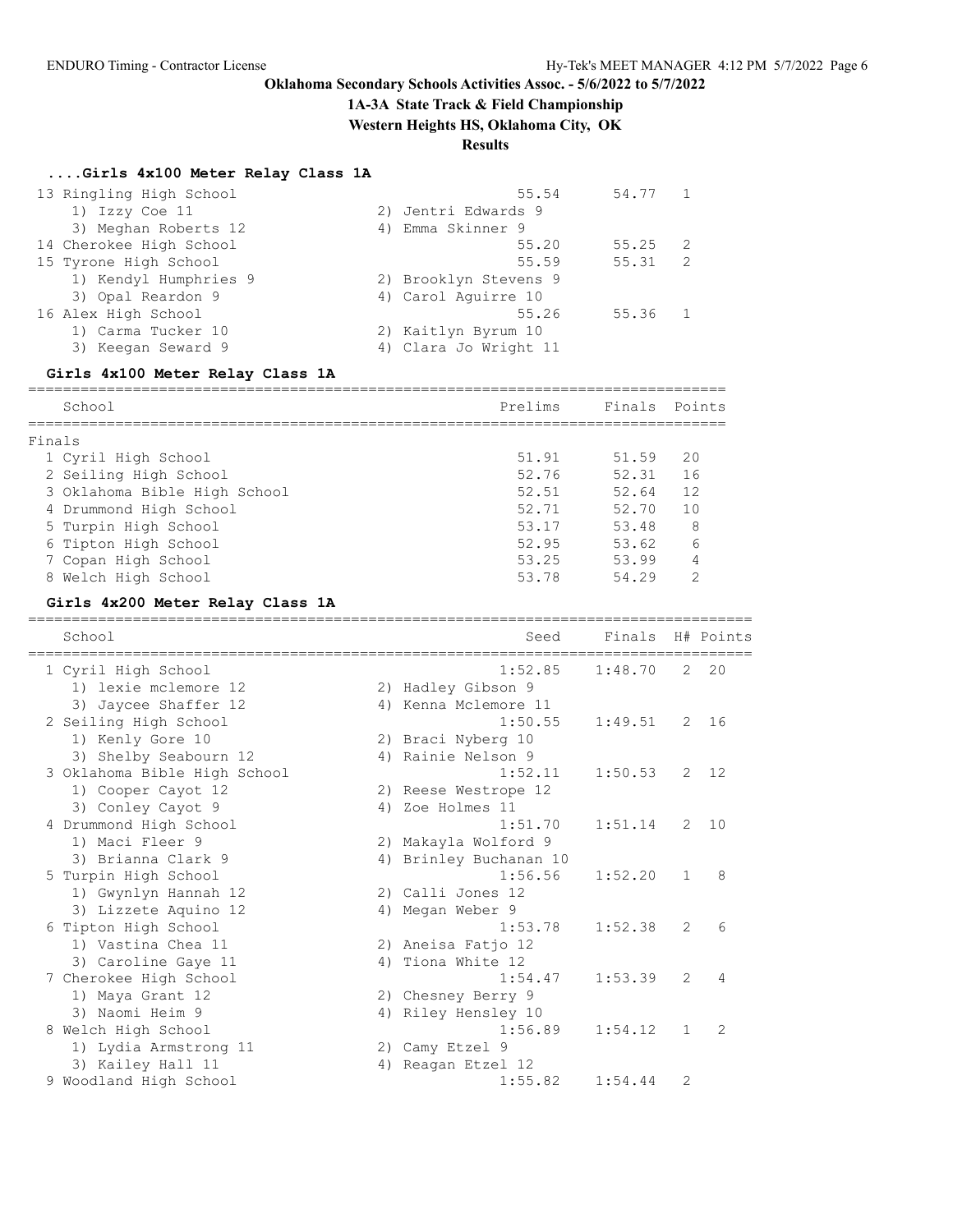## **1A-3A State Track & Field Championship**

**Western Heights HS, Oklahoma City, OK**

# **Results**

## **....Girls 4x100 Meter Relay Class 1A**

| 13 Ringling High School | 55.54                 | 54.77 |    |
|-------------------------|-----------------------|-------|----|
| 1) Izzy Coe 11          | 2) Jentri Edwards 9   |       |    |
| 3) Meghan Roberts 12    | 4) Emma Skinner 9     |       |    |
| 14 Cherokee High School | 55.20                 | 55.25 | -2 |
| 15 Tyrone High School   | 55.59                 | 55.31 | -2 |
| 1) Kendyl Humphries 9   | 2) Brooklyn Stevens 9 |       |    |
| 3) Opal Reardon 9       | 4) Carol Aquirre 10   |       |    |
| 16 Alex High School     | 55.26                 | 55.36 |    |
| 1) Carma Tucker 10      | 2) Kaitlyn Byrum 10   |       |    |
| 3) Keegan Seward 9      | 4) Clara Jo Wright 11 |       |    |
|                         |                       |       |    |

### **Girls 4x100 Meter Relay Class 1A**

|        | School                       | Prelims | Finals Points |                |
|--------|------------------------------|---------|---------------|----------------|
|        |                              |         |               |                |
| Finals |                              |         |               |                |
|        | 1 Cyril High School          | 51.91   | 51.59         | 20             |
|        | 2 Seiling High School        | 52.76   | 52.31         | 16             |
|        | 3 Oklahoma Bible High School | 52.51   | 52.64         | 12             |
|        | 4 Drummond High School       | 52.71   | 52.70         | 1 <sub>0</sub> |
|        | 5 Turpin High School         | 53.17   | 53.48         | 8              |
|        | 6 Tipton High School         | 52.95   | 53.62         | 6              |
|        | 7 Copan High School          | 53.25   | 53.99         |                |
|        | 8 Welch High School          | 53.78   | 54.29         | っ              |

## **Girls 4x200 Meter Relay Class 1A**

| School                       | Seed                   | Finals  |              | H# Points    |
|------------------------------|------------------------|---------|--------------|--------------|
| 1 Cyril High School          | 1:52.85                | 1:48.70 |              | $2 \quad 20$ |
| 1) lexie mclemore 12         | 2) Hadley Gibson 9     |         |              |              |
| 3) Jaycee Shaffer 12         | 4) Kenna Mclemore 11   |         |              |              |
| 2 Seiling High School        | 1:50.55                | 1:49.51 | 2            | 16           |
| 1) Kenly Gore 10             | 2) Braci Nyberg 10     |         |              |              |
| 3) Shelby Seabourn 12        | 4) Rainie Nelson 9     |         |              |              |
| 3 Oklahoma Bible High School | 1:52.11                | 1:50.53 | 2            | 12           |
| 1) Cooper Cayot 12           | 2) Reese Westrope 12   |         |              |              |
| 3) Conley Cayot 9            | 4) Zoe Holmes 11       |         |              |              |
| 4 Drummond High School       | 1:51.70                | 1:51.14 | 2            | 10           |
| 1) Maci Fleer 9              | 2) Makayla Wolford 9   |         |              |              |
| 3) Brianna Clark 9           | 4) Brinley Buchanan 10 |         |              |              |
| 5 Turpin High School         | 1:56.56                | 1:52.20 | $\mathbf{1}$ | 8            |
| 1) Gwynlyn Hannah 12         | 2) Calli Jones 12      |         |              |              |
| 3) Lizzete Aquino 12         | 4) Megan Weber 9       |         |              |              |
| 6 Tipton High School         | 1:53.78                | 1:52.38 | 2            | 6            |
| 1) Vastina Chea 11           | 2) Aneisa Fatio 12     |         |              |              |
| 3) Caroline Gaye 11          | 4) Tiona White 12      |         |              |              |
| 7 Cherokee High School       | 1:54.47                | 1:53.39 | 2            | 4            |
| 1) Maya Grant 12             | 2) Chesney Berry 9     |         |              |              |
| 3) Naomi Heim 9              | 4) Riley Hensley 10    |         |              |              |
| 8 Welch High School          | 1:56.89                | 1:54.12 | $\mathbf{1}$ | 2            |
| 1) Lydia Armstrong 11        | 2) Camy Etzel 9        |         |              |              |
| 3) Kailey Hall 11            | 4) Reagan Etzel 12     |         |              |              |
| 9 Woodland High School       | 1:55.82                | 1:54.44 | 2            |              |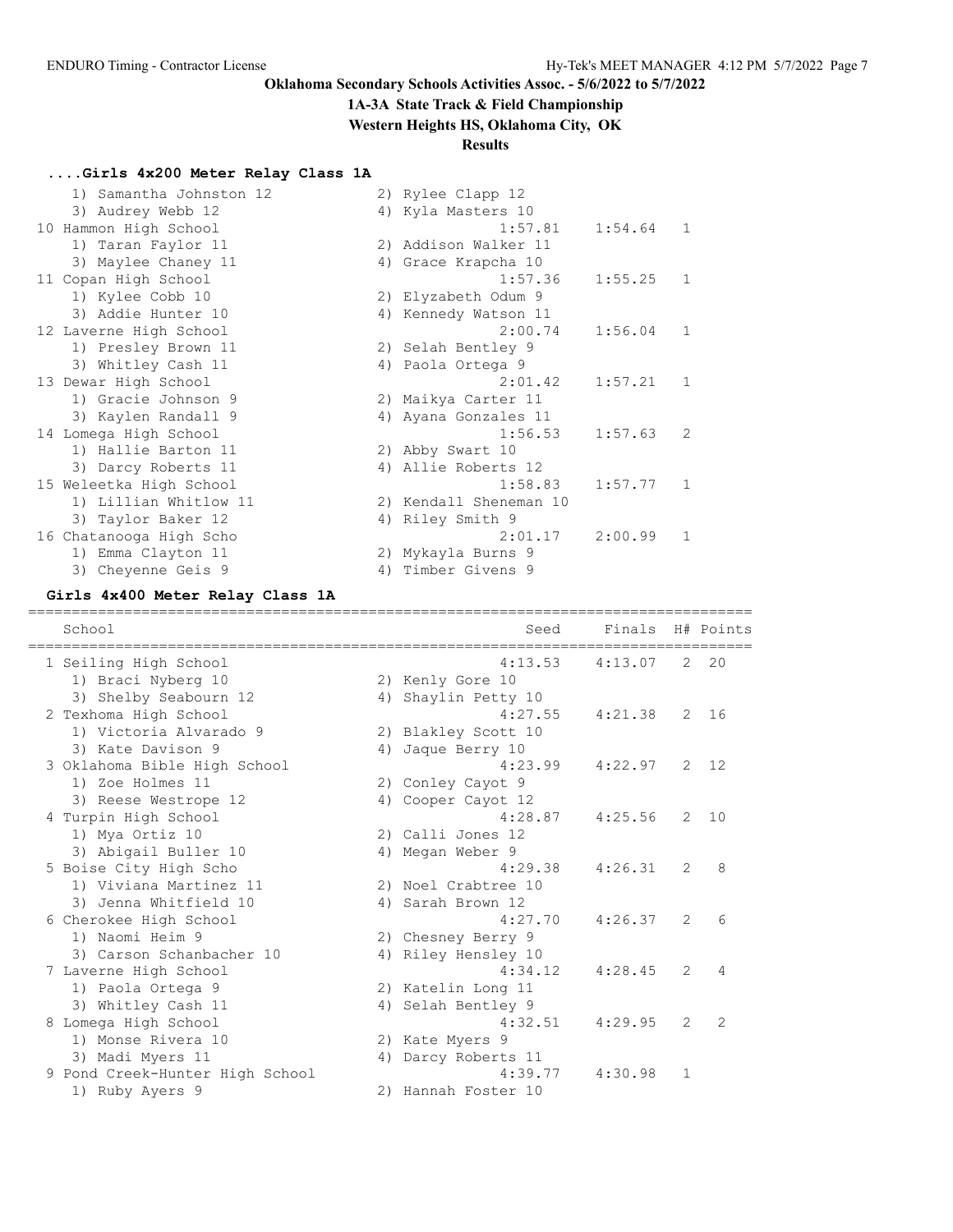### **1A-3A State Track & Field Championship**

**Western Heights HS, Oklahoma City, OK**

### **Results**

### **....Girls 4x200 Meter Relay Class 1A**

| 1) Samantha Johnston 12 |                                                                                                                                                                                |         |                                                                                                                                                                                                                                                                                                                                                                      |                |
|-------------------------|--------------------------------------------------------------------------------------------------------------------------------------------------------------------------------|---------|----------------------------------------------------------------------------------------------------------------------------------------------------------------------------------------------------------------------------------------------------------------------------------------------------------------------------------------------------------------------|----------------|
| 3) Audrey Webb 12       |                                                                                                                                                                                |         |                                                                                                                                                                                                                                                                                                                                                                      |                |
|                         |                                                                                                                                                                                | 1:57.81 | 1:54.64                                                                                                                                                                                                                                                                                                                                                              | 1              |
| 1) Taran Faylor 11      |                                                                                                                                                                                |         |                                                                                                                                                                                                                                                                                                                                                                      |                |
| 3) Maylee Chaney 11     |                                                                                                                                                                                |         |                                                                                                                                                                                                                                                                                                                                                                      |                |
|                         |                                                                                                                                                                                | 1:57.36 | $1:55.25$ 1                                                                                                                                                                                                                                                                                                                                                          |                |
| 1) Kylee Cobb 10        |                                                                                                                                                                                |         |                                                                                                                                                                                                                                                                                                                                                                      |                |
| 3) Addie Hunter 10      |                                                                                                                                                                                |         |                                                                                                                                                                                                                                                                                                                                                                      |                |
|                         |                                                                                                                                                                                | 2:00.74 | 1:56.04                                                                                                                                                                                                                                                                                                                                                              | 1              |
| 1) Presley Brown 11     |                                                                                                                                                                                |         |                                                                                                                                                                                                                                                                                                                                                                      |                |
| 3) Whitley Cash 11      |                                                                                                                                                                                |         |                                                                                                                                                                                                                                                                                                                                                                      |                |
|                         |                                                                                                                                                                                | 2:01.42 | 1:57.21                                                                                                                                                                                                                                                                                                                                                              | $\mathbf{1}$   |
| 1) Gracie Johnson 9     |                                                                                                                                                                                |         |                                                                                                                                                                                                                                                                                                                                                                      |                |
| 3) Kaylen Randall 9     |                                                                                                                                                                                |         |                                                                                                                                                                                                                                                                                                                                                                      |                |
|                         |                                                                                                                                                                                | 1:56.53 | 1:57.63                                                                                                                                                                                                                                                                                                                                                              | 2              |
| 1) Hallie Barton 11     |                                                                                                                                                                                |         |                                                                                                                                                                                                                                                                                                                                                                      |                |
| 3) Darcy Roberts 11     |                                                                                                                                                                                |         |                                                                                                                                                                                                                                                                                                                                                                      |                |
|                         |                                                                                                                                                                                | 1:58.83 | 1:57.77                                                                                                                                                                                                                                                                                                                                                              | $\overline{1}$ |
| 1) Lillian Whitlow 11   |                                                                                                                                                                                |         |                                                                                                                                                                                                                                                                                                                                                                      |                |
| 3) Taylor Baker 12      |                                                                                                                                                                                |         |                                                                                                                                                                                                                                                                                                                                                                      |                |
|                         |                                                                                                                                                                                | 2:01.17 | 2:00.99                                                                                                                                                                                                                                                                                                                                                              | $\mathbf{1}$   |
| 1) Emma Clayton 11      |                                                                                                                                                                                |         |                                                                                                                                                                                                                                                                                                                                                                      |                |
| 3) Cheyenne Geis 9      |                                                                                                                                                                                |         |                                                                                                                                                                                                                                                                                                                                                                      |                |
|                         | 10 Hammon High School<br>11 Copan High School<br>12 Laverne High School<br>13 Dewar High School<br>14 Lomega High School<br>15 Weleetka High School<br>16 Chatanooga High Scho |         | 2) Rylee Clapp 12<br>4) Kyla Masters 10<br>2) Addison Walker 11<br>4) Grace Krapcha 10<br>2) Elyzabeth Odum 9<br>4) Kennedy Watson 11<br>2) Selah Bentley 9<br>4) Paola Ortega 9<br>2) Maikya Carter 11<br>4) Ayana Gonzales 11<br>2) Abby Swart 10<br>4) Allie Roberts 12<br>2) Kendall Sheneman 10<br>4) Riley Smith 9<br>2) Mykayla Burns 9<br>4) Timber Givens 9 |                |

#### **Girls 4x400 Meter Relay Class 1A**

=================================================================================== School Seed Finals H# Points =================================================================================== 1 Seiling High School 4:13.53 4:13.07 2 20 1) Braci Nyberg 10 2) Kenly Gore 10 3) Shelby Seabourn 12 1940 4) Shaylin Petty 10 2 Texhoma High School 4:27.55 4:21.38 2 16 1) Victoria Alvarado 9 2) Blakley Scott 10 3) Kate Davison 9 1 4) Jaque Berry 10 3 Oklahoma Bible High School 4:23.99 4:22.97 2 12 1) Zoe Holmes 11 2) Conley Cayot 9 3) Reese Westrope 12 (4) Cooper Cayot 12 4 Turpin High School 4:28.87 4:25.56 2 10 1) Mya Ortiz 10 2) Calli Jones 12 3) Abigail Buller 10 (4) Megan Weber 9 5 Boise City High Scho 4:29.38 4:26.31 2 8 1) Viviana Martinez 11 2) Noel Crabtree 10 3) Jenna Whitfield 10 4) Sarah Brown 12 6 Cherokee High School 4:27.70 4:26.37 2 6 1) Naomi Heim 9 2) Chesney Berry 9 3) Carson Schanbacher 10 4) Riley Hensley 10 7 Laverne High School 4:34.12 4:28.45 2 4 1) Paola Ortega 9 2) Katelin Long 11 3) Whitley Cash 11 4) Selah Bentley 9 8 Lomega High School 4:32.51 4:29.95 2 2 1) Monse Rivera 10 2) Kate Myers 9 3) Madi Myers 11 1 4) Darcy Roberts 11 9 Pond Creek-Hunter High School 4:39.77 4:30.98 1 1) Ruby Ayers 9 2) Hannah Foster 10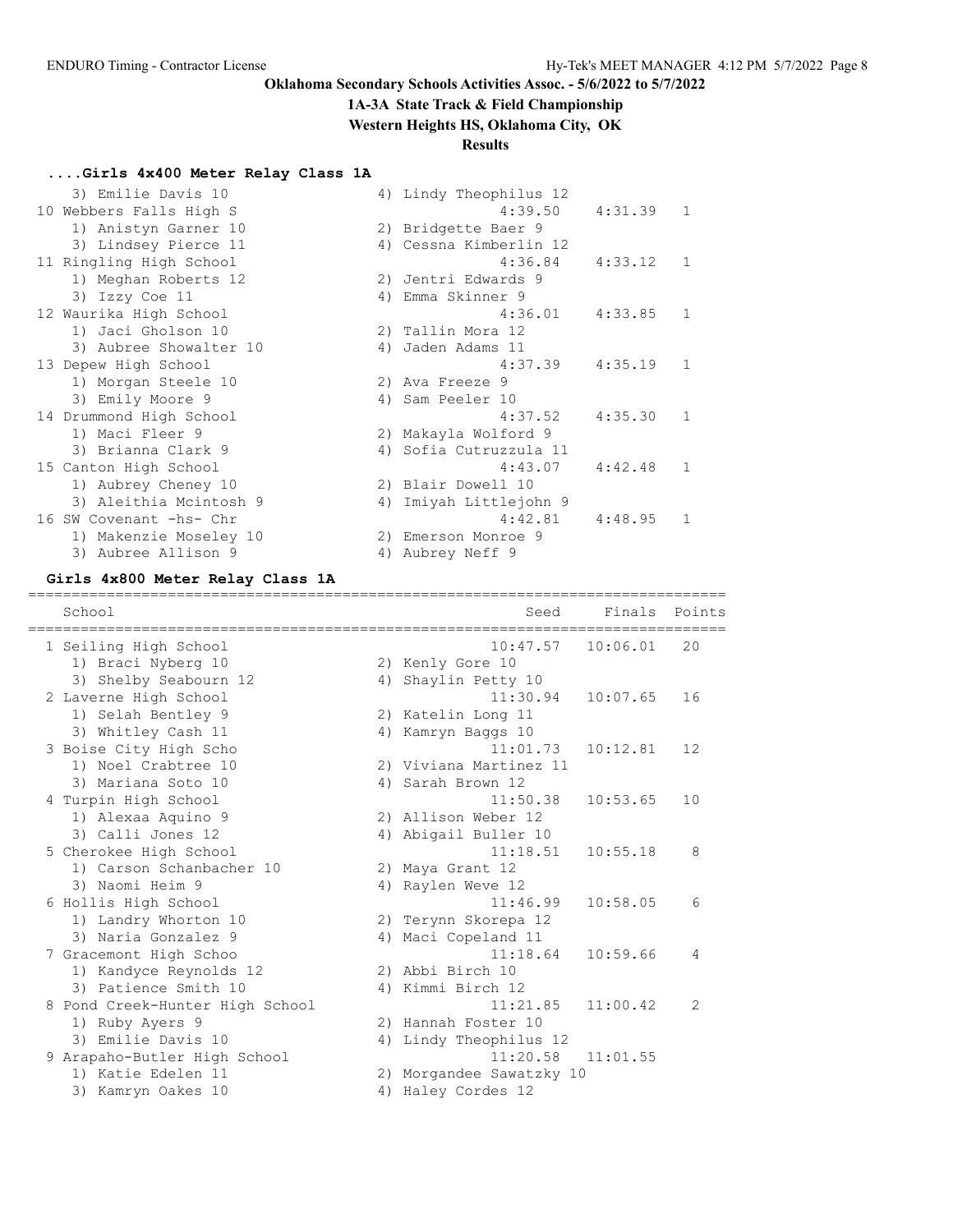#### **1A-3A State Track & Field Championship**

**Western Heights HS, Oklahoma City, OK**

### **Results**

### **....Girls 4x400 Meter Relay Class 1A**

| 3) Emilie Davis 10      | 4) Lindy Theophilus 12    |                       |              |
|-------------------------|---------------------------|-----------------------|--------------|
| 10 Webbers Falls High S |                           | $4:39.50$ $4:31.39$ 1 |              |
| 1) Anistyn Garner 10    | 2) Bridgette Baer 9       |                       |              |
| 3) Lindsey Pierce 11    | 4) Cessna Kimberlin 12    |                       |              |
| 11 Ringling High School | 4:36.84                   | $4:33.12$ 1           |              |
| 1) Meghan Roberts 12    | 2) Jentri Edwards 9       |                       |              |
| 3) Izzy Coe 11          | 4) Emma Skinner 9         |                       |              |
| 12 Waurika High School  | 4:36.01                   | $4:33.85$ 1           |              |
| 1) Jaci Gholson 10      | 2) Tallin Mora 12         |                       |              |
| 3) Aubree Showalter 10  | 4) Jaden Adams 11         |                       |              |
| 13 Depew High School    | 4:37.39                   | 4:35.19               | $\mathbf{1}$ |
| 1) Morgan Steele 10     | 2) Ava Freeze 9           |                       |              |
| 3) Emily Moore 9        | 4) Sam Peeler 10          |                       |              |
| 14 Drummond High School | 4:37.52                   | 4:35.30 1             |              |
| 1) Maci Fleer 9         | 2) Makayla Wolford 9      |                       |              |
| 3) Brianna Clark 9      | 4) Sofia Cutruzzula 11    |                       |              |
| 15 Canton High School   | 4:43.07                   | 4:42.48               | 1            |
| 1) Aubrey Cheney 10     | 2) Blair Dowell 10        |                       |              |
| 3) Aleithia Mcintosh 9  | Imiyah Littlejohn 9<br>4) |                       |              |
| 16 SW Covenant -hs- Chr | 4:42.81                   | 4:48.95               | 1            |
| 1) Makenzie Moseley 10  | 2) Emerson Monroe 9       |                       |              |
| 3) Aubree Allison 9     | 4) Aubrey Neff 9          |                       |              |

#### **Girls 4x800 Meter Relay Class 1A**

================================================================================ School Seed Finals Points ================================================================================ 1 Seiling High School 10:47.57 10:06.01 20 1) Braci Nyberg 10 2) Kenly Gore 10 3) Shelby Seabourn 12 1940 4) Shaylin Petty 10 2 Laverne High School 11:30.94 10:07.65 16 1) Selah Bentley 9 2) Katelin Long 11 3) Whitley Cash 11 4) Kamryn Baggs 10 3 Boise City High Scho 11:01.73 10:12.81 12 1) Noel Crabtree 10 2) Viviana Martinez 11 3) Mariana Soto 10 4) Sarah Brown 12 4 Turpin High School 11:50.38 10:53.65 10 1) Alexaa Aquino 9 2) Allison Weber 12 3) Calli Jones 12 (4) Abigail Buller 10 5 Cherokee High School 11:18.51 10:55.18 8 1) Carson Schanbacher 10 2) Maya Grant 12 3) Naomi Heim 9 10 10 10 10 12 4) Raylen Weve 6 Hollis High School 11:46.99 10:58.05 6 1) Landry Whorton 10 2) Terynn Skorepa 12 3) Naria Gonzalez 9 <br />
4) Maci Copeland 11 7 Gracemont High Schoo 11:18.64 10:59.66 4 1) Kandyce Reynolds 12 2) Abbi Birch 10 3) Patience Smith 10 4) Kimmi Birch 12 8 Pond Creek-Hunter High School 11:21.85 11:00.42 2 1) Ruby Ayers 9 2) Hannah Foster 10 3) Emilie Davis 10 4) Lindy Theophilus 12 9 Arapaho-Butler High School 11:20.58 11:01.55 1) Katie Edelen 11 2) Morgandee Sawatzky 10 3) Kamryn Oakes 10 4) Haley Cordes 12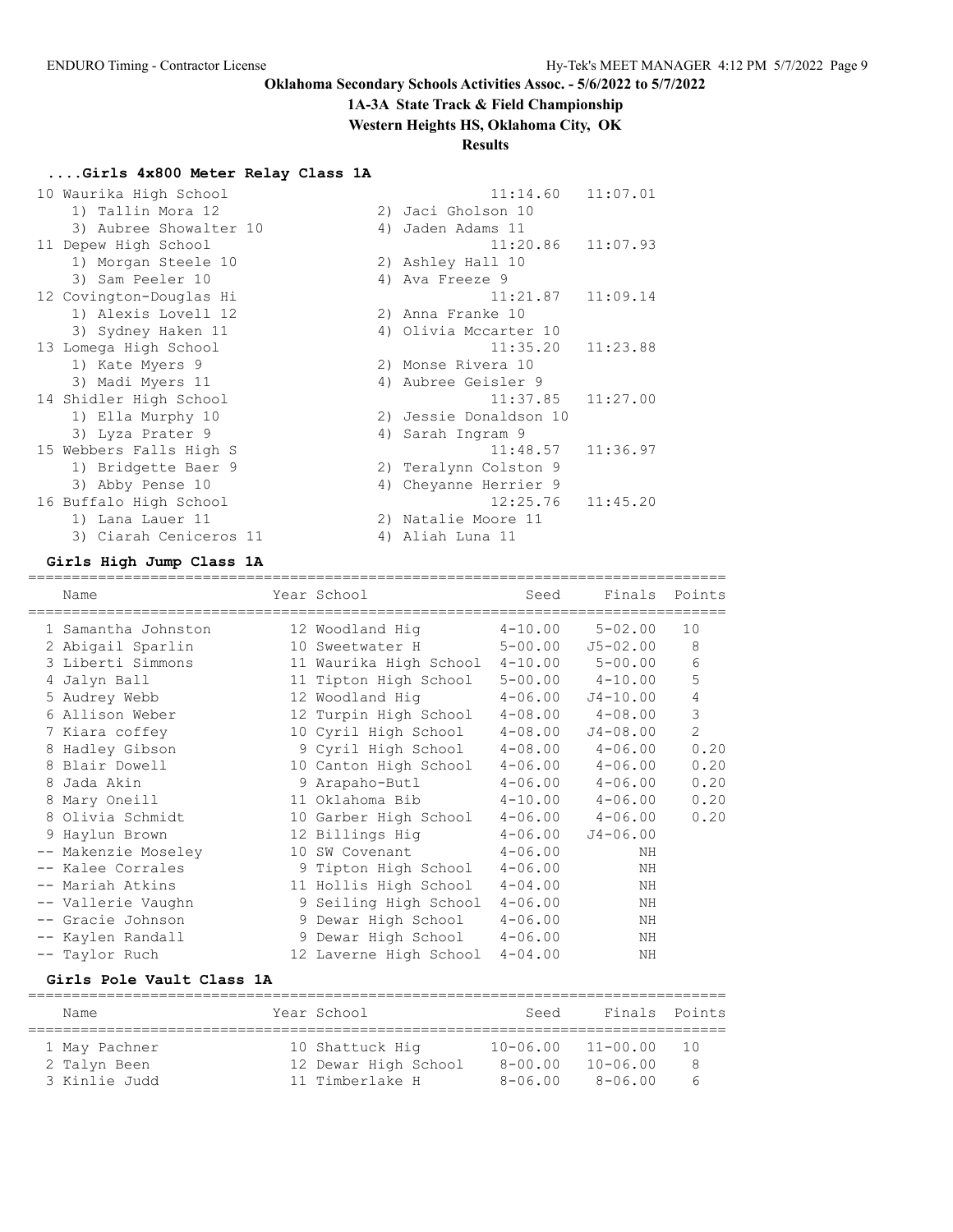#### **1A-3A State Track & Field Championship**

**Western Heights HS, Oklahoma City, OK**

#### **Results**

### **....Girls 4x800 Meter Relay Class 1A**

| 10 Waurika High School  | 11:07.01<br>11:14.60   |
|-------------------------|------------------------|
| 1) Tallin Mora 12       | 2) Jaci Gholson 10     |
| 3) Aubree Showalter 10  | 4) Jaden Adams 11      |
| 11 Depew High School    | 11:07.93<br>11:20.86   |
| 1) Morgan Steele 10     | 2) Ashley Hall 10      |
| 3) Sam Peeler 10        | 4) Ava Freeze 9        |
| 12 Covington-Douglas Hi | $11:21.87$ $11:09.14$  |
| 1) Alexis Lovell 12     | 2) Anna Franke 10      |
| 3) Sydney Haken 11      | 4) Olivia Mccarter 10  |
| 13 Lomega High School   | 11:35.20<br>11:23.88   |
| 1) Kate Myers 9         | 2) Monse Rivera 10     |
| 3) Madi Myers 11        | 4) Aubree Geisler 9    |
| 14 Shidler High School  | $11:37.85$ $11:27.00$  |
| 1) Ella Murphy 10       | 2) Jessie Donaldson 10 |
| 3) Lyza Prater 9        | 4) Sarah Ingram 9      |
| 15 Webbers Falls High S | 11:48.57<br>11:36.97   |
| 1) Bridgette Baer 9     | 2) Teralynn Colston 9  |
| 3) Abby Pense 10        | 4) Cheyanne Herrier 9  |
| 16 Buffalo High School  | 12:25.76<br>11:45.20   |
| 1) Lana Lauer 11        | 2) Natalie Moore 11    |
| 3) Ciarah Ceniceros 11  | 4) Aliah Luna 11       |

#### **Girls High Jump Class 1A**

================================================================================ Name Year School Seed Finals Points ================================================================================ 1 Samantha Johnston 12 Woodland Hig 4-10.00 5-02.00 10 2 Abigail Sparlin 10 Sweetwater H 5-00.00 J5-02.00 8 3 Liberti Simmons 11 Waurika High School 4-10.00 5-00.00 6 4 Jalyn Ball 11 Tipton High School 5-00.00 4-10.00 5 5 Audrey Webb 12 Woodland Hig 4-06.00 J4-10.00 4 6 Allison Weber 12 Turpin High School 4-08.00 4-08.00 3 7 Kiara coffey 10 Cyril High School 4-08.00 J4-08.00 2 8 Hadley Gibson 9 Cyril High School 4-08.00 4-06.00 0.20 8 Blair Dowell 10 Canton High School 4-06.00 4-06.00 0.20 8 Jada Akin 9 Arapaho-Butl 4-06.00 4-06.00 0.20 8 Mary Oneill 11 Oklahoma Bib 4-10.00 4-06.00 0.20 8 Olivia Schmidt 10 Garber High School 4-06.00 4-06.00 0.20 9 Haylun Brown 12 Billings Hig 4-06.00 J4-06.00 -- Makenzie Moseley 10 SW Covenant 4-06.00 NH -- Kalee Corrales 9 Tipton High School 4-06.00 NH -- Mariah Atkins 11 Hollis High School 4-04.00 NH -- Vallerie Vaughn 9 Seiling High School 4-06.00 NH -- Gracie Johnson 9 Dewar High School 4-06.00 NH -- Kaylen Randall 9 Dewar High School 4-06.00 NH -- Taylor Ruch 12 Laverne High School 4-04.00 NH

#### **Girls Pole Vault Class 1A**

| Name          | Year School          | Seed         | Finals Points |     |
|---------------|----------------------|--------------|---------------|-----|
|               |                      |              |               |     |
| 1 May Pachner | 10 Shattuck Hig      | $10 - 06.00$ | $11 - 00.00$  | 1 N |
| 2 Talyn Been  | 12 Dewar High School | $8 - 00.00$  | $10 - 06.00$  | 8   |
| 3 Kinlie Judd | 11 Timberlake H      | $8 - 06.00$  | $8 - 06.00$   | 6   |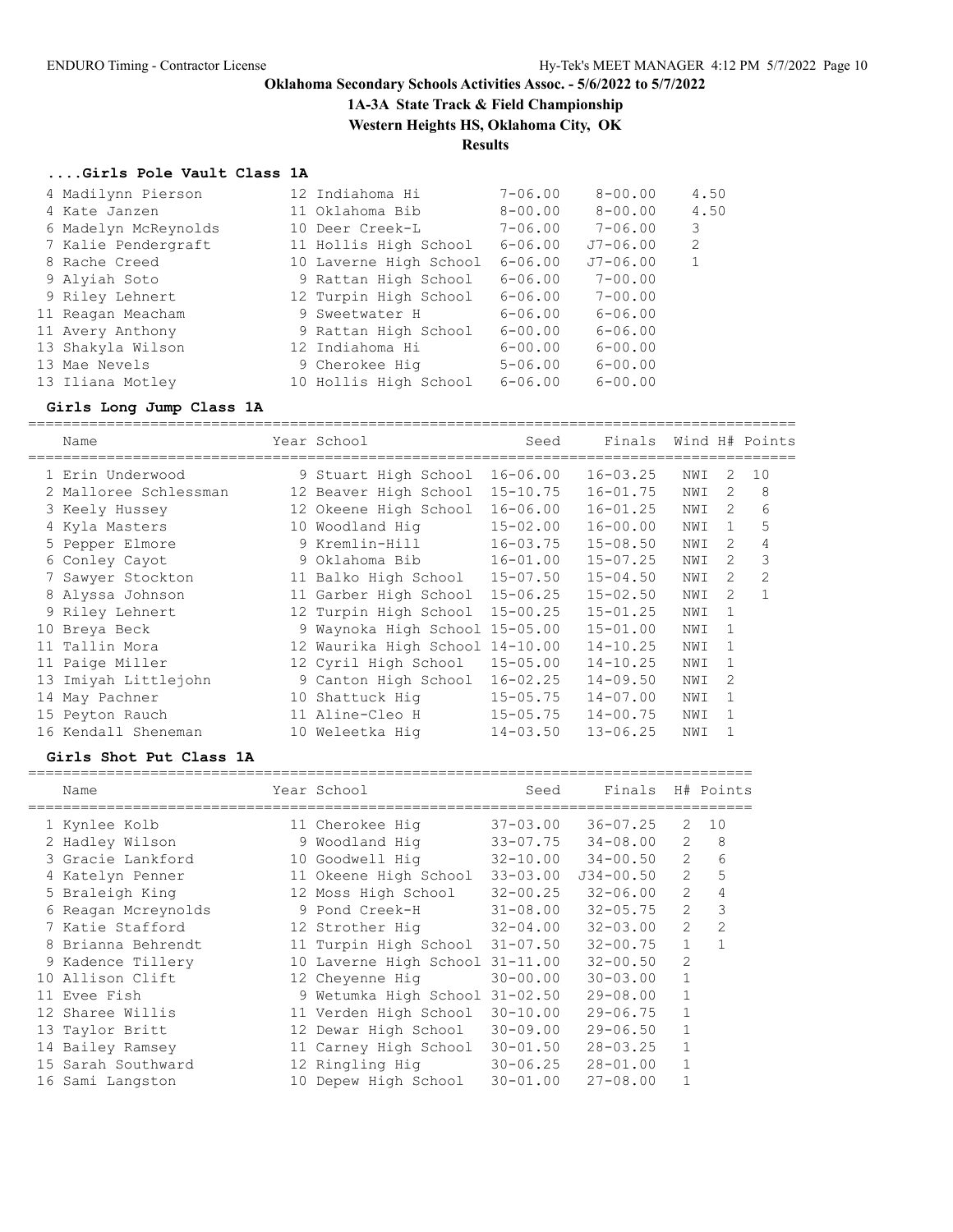## **1A-3A State Track & Field Championship**

**Western Heights HS, Oklahoma City, OK**

## **Results**

### **....Girls Pole Vault Class 1A**

| 4 Madilynn Pierson   | 12 Indiahoma Hi        | $7 - 06.00$ | $8 - 00.00$  | 4.50         |
|----------------------|------------------------|-------------|--------------|--------------|
| 4 Kate Janzen        | 11 Oklahoma Bib        | $8 - 00.00$ | $8 - 00.00$  | 4.50         |
| 6 Madelyn McReynolds | 10 Deer Creek-L        | $7 - 06.00$ | $7 - 06.00$  | 3            |
| 7 Kalie Pendergraft  | 11 Hollis High School  | $6 - 06.00$ | $J7 - 06.00$ | 2            |
| 8 Rache Creed        | 10 Laverne High School | $6 - 06.00$ | $J7 - 06.00$ | $\mathbf{1}$ |
| 9 Alyiah Soto        | 9 Rattan High School   | $6 - 06.00$ | $7 - 00.00$  |              |
| 9 Riley Lehnert      | 12 Turpin High School  | $6 - 06.00$ | $7 - 00.00$  |              |
| 11 Reagan Meacham    | 9 Sweetwater H         | $6 - 06.00$ | $6 - 06.00$  |              |
| 11 Avery Anthony     | 9 Rattan High School   | $6 - 00.00$ | $6 - 06.00$  |              |
| 13 Shakyla Wilson    | 12 Indiahoma Hi        | $6 - 00.00$ | $6 - 00.00$  |              |
| 13 Mae Nevels        | 9 Cherokee Hig         | $5 - 06.00$ | $6 - 00.00$  |              |
| 13 Iliana Motley     | 10 Hollis High School  | $6 - 06.00$ | $6 - 00.00$  |              |

# **Girls Long Jump Class 1A**

| Name                  |    | Year School                    | Seed         | Finals       |     |               | Wind H# Points |
|-----------------------|----|--------------------------------|--------------|--------------|-----|---------------|----------------|
| 1 Erin Underwood      |    | 9 Stuart High School           | $16 - 06.00$ | $16 - 03.25$ | NWI | 2             | 10             |
| 2 Malloree Schlessman |    | 12 Beaver High School          | $15 - 10.75$ | $16 - 01.75$ | NWI | 2             | 8              |
| 3 Keely Hussey        |    | 12 Okeene High School          | $16 - 06.00$ | $16 - 01.25$ | NWI | $\mathcal{L}$ | 6              |
| 4 Kyla Masters        |    | 10 Woodland Hig                | $15 - 02.00$ | $16 - 00.00$ | NWI | 1             | 5              |
| 5 Pepper Elmore       |    | 9 Kremlin-Hill                 | $16 - 03.75$ | $15 - 08.50$ | NWI | $\mathcal{L}$ | 4              |
| 6 Conley Cayot        |    | 9 Oklahoma Bib                 | $16 - 01.00$ | $15 - 07.25$ | NWI | 2             | 3              |
| 7 Sawyer Stockton     |    | 11 Balko High School           | $15 - 07.50$ | $15 - 04.50$ | NWI | 2             | 2              |
| 8 Alyssa Johnson      |    | 11 Garber High School          | $15 - 06.25$ | $15 - 02.50$ | NWI | 2             |                |
| 9 Riley Lehnert       |    | 12 Turpin High School          | $15 - 00.25$ | $15 - 01.25$ | NWI | 1             |                |
| 10 Breya Beck         |    | 9 Waynoka High School 15-05.00 |              | $15 - 01.00$ | NWI | 1             |                |
| 11 Tallin Mora        |    | 12 Waurika High School         | 14-10.00     | $14 - 10.25$ | NWI | 1             |                |
| 11 Paige Miller       |    | 12 Cyril High School           | $15 - 05.00$ | $14 - 10.25$ | NWI | 1             |                |
| 13 Imiyah Littlejohn  |    | 9 Canton High School           | $16 - 02.25$ | $14 - 09.50$ | NWI | 2             |                |
| 14 May Pachner        | 10 | Shattuck Hig                   | $15 - 05.75$ | $14 - 07.00$ | NWI | 1             |                |
| 15 Peyton Rauch       |    | 11 Aline-Cleo H                | $15 - 05.75$ | $14 - 00.75$ | NWI |               |                |
| 16 Kendall Sheneman   | 10 | Weleetka Hig                   | $14 - 03.50$ | $13 - 06.25$ | NWI |               |                |

### **Girls Shot Put Class 1A**

| Name                | Year School                    | Seed         | Finals        |                | H# Points      |
|---------------------|--------------------------------|--------------|---------------|----------------|----------------|
| 1 Kynlee Kolb       | 11 Cherokee Hig                | $37 - 03.00$ | $36 - 07.25$  | 2              | 10             |
| 2 Hadley Wilson     | 9 Woodland Hig                 | $33 - 07.75$ | $34 - 08.00$  | $\overline{2}$ | 8              |
| 3 Gracie Lankford   | 10 Goodwell Hiq                | $32 - 10.00$ | $34 - 00.50$  | $\overline{2}$ | 6              |
| 4 Katelyn Penner    | 11 Okeene High School          | $33 - 03.00$ | $J34 - 00.50$ | $\overline{c}$ |                |
| 5 Braleigh King     | 12 Moss High School            | $32 - 00.25$ | $32 - 06.00$  | $\overline{2}$ |                |
| 6 Reagan Mcreynolds | 9 Pond Creek-H                 | $31 - 08.00$ | $32 - 05.75$  | $\mathfrak{D}$ | 3              |
| 7 Katie Stafford    | 12 Strother Hig                | $32 - 04.00$ | $32 - 03.00$  | 2              | $\overline{2}$ |
| 8 Brianna Behrendt  | 11 Turpin High School          | $31 - 07.50$ | $32 - 00.75$  | $\mathbf{1}$   |                |
| 9 Kadence Tillery   | 10 Laverne High School         | $31 - 11.00$ | $32 - 00.50$  | 2              |                |
| 10 Allison Clift    | 12 Cheyenne Hig                | $30 - 00.00$ | $30 - 03.00$  |                |                |
| 11 Evee Fish        | 9 Wetumka High School 31-02.50 |              | $29 - 08.00$  |                |                |
| 12 Sharee Willis    | 11 Verden High School          | $30 - 10.00$ | $29 - 06.75$  |                |                |
| 13 Taylor Britt     | 12 Dewar High School           | $30 - 09.00$ | $29 - 06.50$  |                |                |
| 14 Bailey Ramsey    | 11 Carney High School          | $30 - 01.50$ | $28 - 03.25$  |                |                |
| 15 Sarah Southward  | 12 Ringling Hig                | $30 - 06.25$ | $28 - 01.00$  |                |                |
| 16 Sami Langston    | 10 Depew High School           | $30 - 01.00$ | $27 - 08.00$  |                |                |
|                     |                                |              |               |                |                |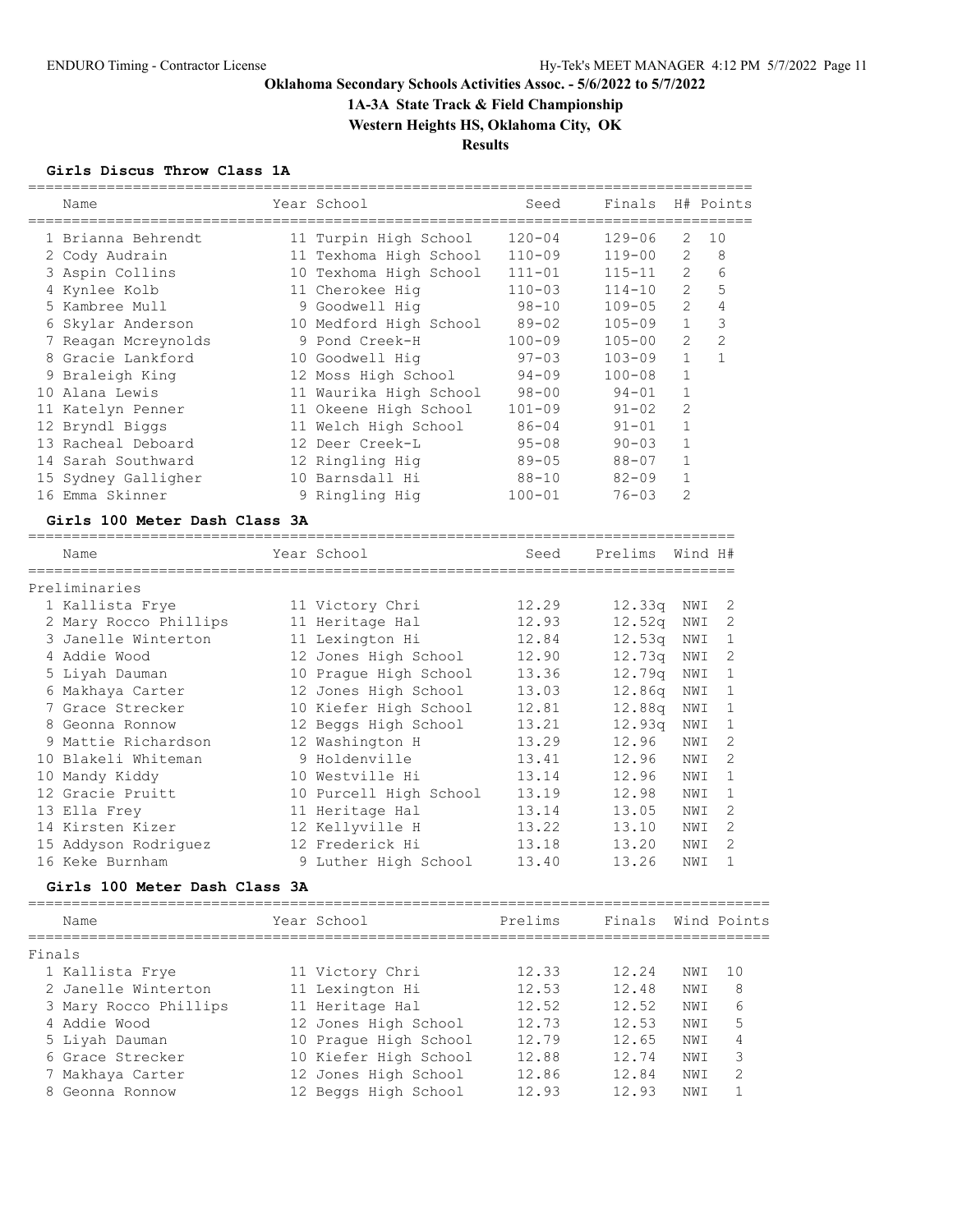**1A-3A State Track & Field Championship**

**Western Heights HS, Oklahoma City, OK**

**Results**

### **Girls Discus Throw Class 1A**

| Name                                      | Year School            | Seed       | Finals     |                | H# Points      |
|-------------------------------------------|------------------------|------------|------------|----------------|----------------|
| 1 Brianna Behrendt                        | 11 Turpin High School  | $120 - 04$ | $129 - 06$ | 2              | 10             |
| 2 Cody Audrain                            | 11 Texhoma High School | $110 - 09$ | 119-00     | 2              | 8              |
| 3 Aspin Collins                           | 10 Texhoma High School | $111 - 01$ | $115 - 11$ | $\overline{2}$ | 6              |
| 4 Kynlee Kolb                             | 11 Cherokee Hig        | $110 - 03$ | $114 - 10$ | $\overline{2}$ | 5              |
| 5 Kambree Mull                            | 9 Goodwell Hig         | $98 - 10$  | $109 - 05$ | $\overline{2}$ | 4              |
| 6 Skylar Anderson                         | 10 Medford High School | $89 - 02$  | $105 - 09$ | $\mathbf{1}$   | 3              |
| 7 Reagan Mcreynolds                       | 9 Pond Creek-H         | $100 - 09$ | $105 - 00$ | $\overline{2}$ | $\overline{2}$ |
| 8 Gracie Lankford                         | 10 Goodwell Hig        | $97 - 03$  | 103-09     | $\mathbf{1}$   | $\mathbf{1}$   |
| 9 Braleigh King                           | 12 Moss High School    | $94 - 09$  | $100 - 08$ | $\mathbf{1}$   |                |
| 10 Alana Lewis                            | 11 Waurika High School | $98 - 00$  | $94 - 01$  | $\mathbf{1}$   |                |
| 11 Katelyn Penner                         | 11 Okeene High School  | $101 - 09$ | $91 - 02$  | $\mathfrak{D}$ |                |
| 12 Bryndl Biggs                           | 11 Welch High School   | $86 - 04$  | $91 - 01$  | $\mathbf{1}$   |                |
| 13 Racheal Deboard                        | 12 Deer Creek-L        | $95 - 08$  | $90 - 03$  | 1              |                |
| 14 Sarah Southward                        | 12 Ringling Hig        | $89 - 05$  | $88 - 07$  | $\mathbf{1}$   |                |
| 15 Sydney Galligher                       | 10 Barnsdall Hi        | $88 - 10$  | $82 - 09$  | 1              |                |
| 16 Emma Skinner                           | 9 Ringling Hig         | $100 - 01$ | $76 - 03$  | 2              |                |
| $C1$ $\approx$ 100 Motor Bach $C1$ and 23 |                        |            |            |                |                |

#### **Girls 100 Meter Dash Class 3A**

|        | Name                          | Year School            | Seed    | Prelims Wind H#    |     |                |
|--------|-------------------------------|------------------------|---------|--------------------|-----|----------------|
|        | Preliminaries                 |                        |         |                    |     |                |
|        | 1 Kallista Frye               | 11 Victory Chri        | 12.29   | 12.33q             | NWI | 2              |
|        | 2 Mary Rocco Phillips         | 11 Heritage Hal        | 12.93   | 12.52q             | NWI | 2              |
|        | 3 Janelle Winterton           | 11 Lexington Hi        | 12.84   | 12.53q             | NWI | $\mathbf{1}$   |
|        | 4 Addie Wood                  | 12 Jones High School   | 12.90   | 12.73q             | NWI | 2              |
|        | 5 Liyah Dauman                | 10 Prague High School  | 13.36   | 12.79 <sub>q</sub> | NWI | $\mathbf{1}$   |
|        | 6 Makhaya Carter              | 12 Jones High School   | 13.03   | 12.86q             | NWI | $\mathbf{1}$   |
|        | 7 Grace Strecker              | 10 Kiefer High School  | 12.81   | 12.88q             | NWI | 1              |
|        | 8 Geonna Ronnow               | 12 Beggs High School   | 13.21   | 12.93q             | NWI | $\mathbf{1}$   |
|        | 9 Mattie Richardson           | 12 Washington H        | 13.29   | 12.96              | NWI | $\mathcal{L}$  |
|        | 10 Blakeli Whiteman           | 9 Holdenville          | 13.41   | 12.96              | NWI | 2              |
|        | 10 Mandy Kiddy                | 10 Westville Hi        | 13.14   | 12.96              | NWI | $\mathbf{1}$   |
|        | 12 Gracie Pruitt              | 10 Purcell High School | 13.19   | 12.98              | NWI | $\mathbf{1}$   |
|        | 13 Ella Frey                  | 11 Heritage Hal        | 13.14   | 13.05              | NWI | 2              |
|        | 14 Kirsten Kizer              | 12 Kellyville H        | 13.22   | 13.10              | NWI | 2              |
|        | 15 Addyson Rodriguez          | 12 Frederick Hi        | 13.18   | 13.20              | NWI | $\overline{2}$ |
|        | 16 Keke Burnham               | 9 Luther High School   | 13.40   | 13.26              | NWI | $\mathbf{1}$   |
|        | Girls 100 Meter Dash Class 3A |                        |         |                    |     |                |
|        | Name                          | Year School            | Prelims | Finals             |     | Wind Points    |
| Finals |                               |                        |         |                    |     |                |
|        | 1 Kallista Frye               | 11 Victory Chri        | 12.33   | 12.24              | NWI | 10             |
|        | 2 Janelle Winterton           | 11 Lexington Hi        | 12.53   | 12.48              | NWI | 8              |
|        | 3 Mary Rocco Phillips         | 11 Heritage Hal        | 12.52   | 12.52              | NWI | 6              |
|        | 4 Addie Wood                  | 12 Jones High School   | 12.73   | 12.53              | NWI | 5              |
|        | 5 Liyah Dauman                | 10 Prague High School  | 12.79   | 12.65              | NWI | 4              |
|        | 6 Grace Strecker              | 10 Kiefer High School  | 12.88   | 12.74              | NWI | 3              |

 7 Makhaya Carter 12 Jones High School 12.86 12.84 NWI 2 8 Geonna Ronnow 12 Beggs High School 12.93 12.93 NWI 1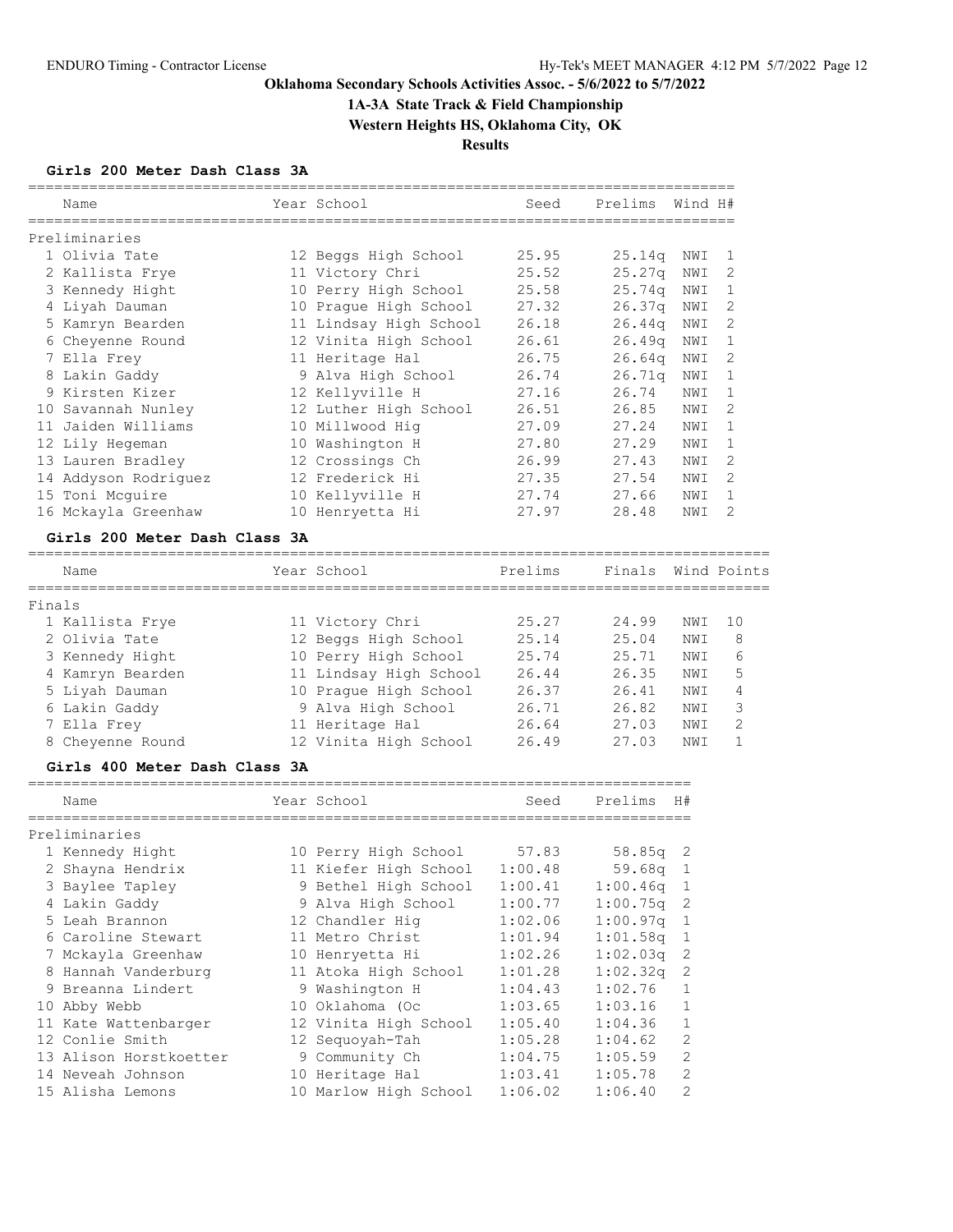# **1A-3A State Track & Field Championship**

**Western Heights HS, Oklahoma City, OK**

**Results**

### **Girls 200 Meter Dash Class 3A**

|        | Name                          | Year School            | Seed           | Prelims  | Wind H#      |              |
|--------|-------------------------------|------------------------|----------------|----------|--------------|--------------|
|        | ,,,,,,,,,,,,,,,,,,,,,,,       |                        |                |          |              |              |
|        | Preliminaries                 |                        |                |          |              |              |
|        | 1 Olivia Tate                 | 12 Beggs High School   | 25.95          | 25.14q   | NWI          | 1            |
|        | 2 Kallista Frye               | 11 Victory Chri        | 25.52          | 25.27q   | NWI          | 2            |
|        | 3 Kennedy Hight               | 10 Perry High School   | 25.58          | 25.74q   | NWI          | 1            |
|        | 4 Liyah Dauman                | 10 Prague High School  | 27.32          | 26.37q   | NWI          | 2            |
|        | 5 Kamryn Bearden              | 11 Lindsay High School | 26.18          | 26.44q   | NWI          | 2            |
|        | 6 Cheyenne Round              | 12 Vinita High School  | 26.61          | 26.49q   | NWI          | $\mathbf{1}$ |
|        | 7 Ella Frey                   | 11 Heritage Hal        | 26.75<br>26.74 | 26.64q   | NWI          | 2            |
|        | 8 Lakin Gaddy                 | 9 Alva High School     | 27.16          | 26.71q   | NWI          | 1            |
|        | 9 Kirsten Kizer               | 12 Kellyville H        |                | 26.74    | NWI          | 1            |
|        | 10 Savannah Nunley            | 12 Luther High School  | 26.51          | 26.85    | NWI          | 2            |
|        | 11 Jaiden Williams            | 10 Millwood Hig        | 27.09          | 27.24    | NWI          | 1            |
|        | 12 Lily Hegeman               | 10 Washington H        | 27.80          | 27.29    | NWI          | 1<br>2       |
|        | 13 Lauren Bradley             | 12 Crossings Ch        | 26.99          | 27.43    | NWI          |              |
|        | 14 Addyson Rodriguez          | 12 Frederick Hi        | 27.35<br>27.74 | 27.54    | NWI          | 2            |
|        | 15 Toni Mcguire               | 10 Kellyville H        | 27.97          | 27.66    | NWI          | 1<br>2       |
|        | 16 Mckayla Greenhaw           | 10 Henryetta Hi        |                | 28.48    | NWI          |              |
|        | Girls 200 Meter Dash Class 3A |                        |                |          |              |              |
|        | Name                          | Year School            | Prelims        | Finals   |              | Wind Points  |
|        |                               |                        |                |          |              |              |
| Finals |                               |                        |                |          |              |              |
|        | 1 Kallista Frye               | 11 Victory Chri        | 25.27          | 24.99    | NWI          | 10           |
|        | 2 Olivia Tate                 | 12 Beggs High School   | 25.14          | 25.04    | NWI          | 8            |
|        | 3 Kennedy Hight               | 10 Perry High School   | 25.74          | 25.71    | NWI          | 6            |
|        | 4 Kamryn Bearden              | 11 Lindsay High School | 26.44          | 26.35    | NWI          | 5            |
|        | 5 Liyah Dauman                | 10 Prague High School  | 26.37          | 26.41    | NWI          | 4            |
|        | 6 Lakin Gaddy                 | 9 Alva High School     | 26.71          | 26.82    | NWI          | 3            |
|        | 7 Ella Frey                   | 11 Heritage Hal        | 26.64          | 27.03    | NWI          | 2            |
|        | 8 Cheyenne Round              | 12 Vinita High School  | 26.49          | 27.03    | NWI          | $\mathbf{1}$ |
|        | Girls 400 Meter Dash Class 3A |                        |                |          |              |              |
|        | Name                          | Year School            | Seed           | Prelims  | H#           |              |
|        |                               |                        |                |          |              |              |
|        | Preliminaries                 |                        |                |          |              |              |
|        | 1 Kennedy Hight               | 10 Perry High School   | 57.83          | 58.85q   | 2            |              |
|        | 2 Shayna Hendrix              | 11 Kiefer High School  | 1:00.48        | 59.68q   | 1            |              |
|        | 3 Baylee Tapley               | 9 Bethel High School   | 1:00.41        | 1:00.46q | 1            |              |
|        | 4 Lakin Gaddy                 | 9 Alva High School     | 1:00.77        | 1:00.75q | 2            |              |
|        | 5 Leah Brannon                | 12 Chandler Hig        | 1:02.06        | 1:00.97q | 1            |              |
|        | 6 Caroline Stewart            | 11 Metro Christ        | 1:01.94        | 1:01.58q | 1            |              |
|        | 7 Mckayla Greenhaw            | 10 Henryetta Hi        | 1:02.26        | 1:02.03q | 2            |              |
|        | 8 Hannah Vanderburg           | 11 Atoka High School   | 1:01.28        | 1:02.32q | 2            |              |
|        | 9 Breanna Lindert             | 9 Washington H         | 1:04.43        | 1:02.76  | 1            |              |
|        | 10 Abby Webb                  | 10 Oklahoma (Oc        | 1:03.65        | 1:03.16  | 1            |              |
|        | 11 Kate Wattenbarger          | 12 Vinita High School  | 1:05.40        | 1:04.36  | 1            |              |
|        | 12 Conlie Smith               | 12 Sequoyah-Tah        | 1:05.28        | 1:04.62  | 2            |              |
|        | 13 Alison Horstkoetter        | 9 Community Ch         | 1:04.75        | 1:05.59  | 2            |              |
|        | 14 Neveah Johnson             | 10 Heritage Hal        | 1:03.41        | 1:05.78  | $\mathbf{2}$ |              |
|        | 15 Alisha Lemons              | 10 Marlow High School  | 1:06.02        | 1:06.40  | 2            |              |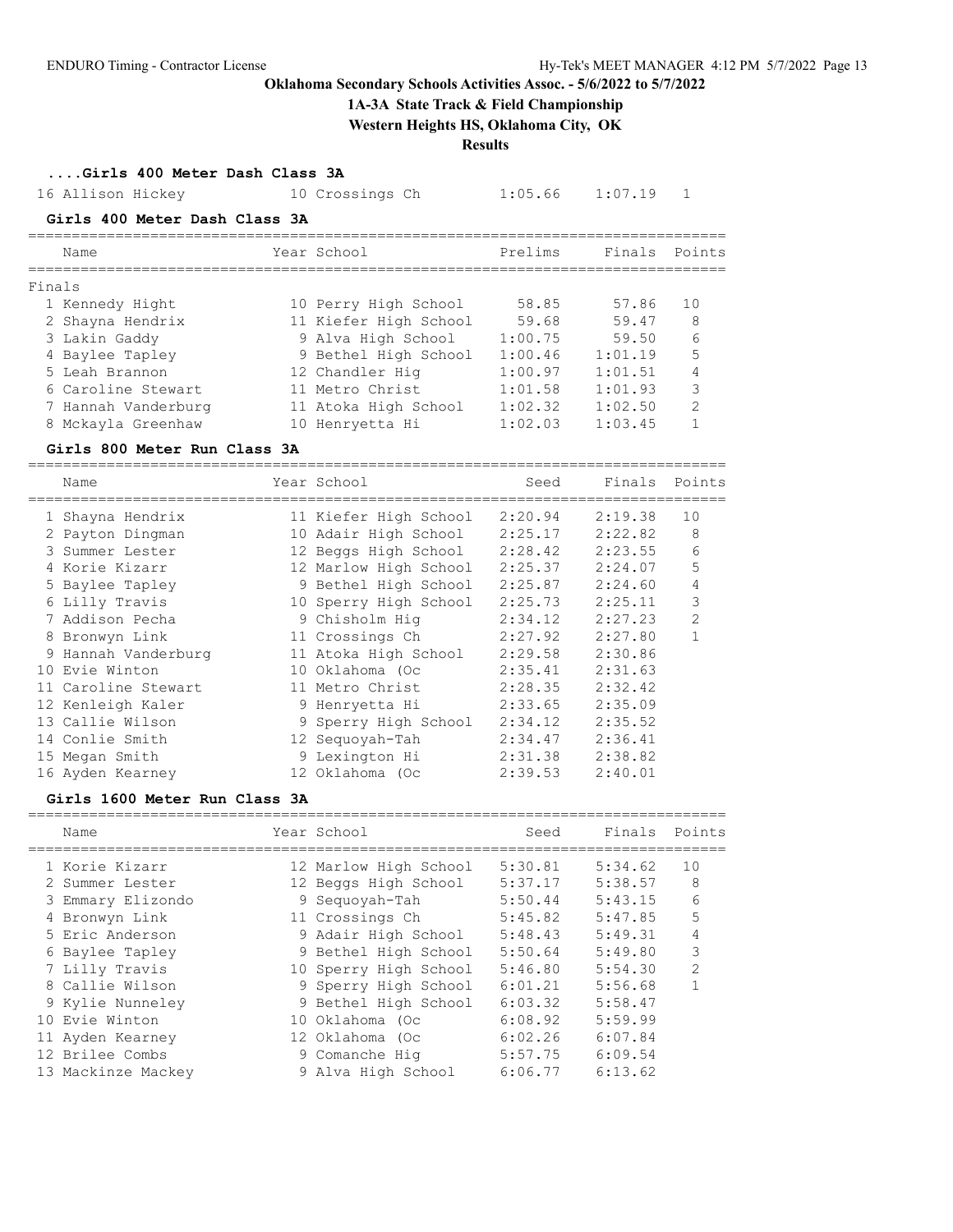#### **1A-3A State Track & Field Championship**

**Western Heights HS, Oklahoma City, OK**

**Results**

**....Girls 400 Meter Dash Class 3A**

|        | 16 Allison Hickey             | 10 Crossings Ch       | 1:05.66 | 1:07.19 |                |
|--------|-------------------------------|-----------------------|---------|---------|----------------|
|        | Girls 400 Meter Dash Class 3A |                       |         |         |                |
|        | Name                          | Year School           | Prelims | Finals  | Points         |
| Finals |                               |                       |         |         |                |
|        | 1 Kennedy Hight               | 10 Perry High School  | 58.85   | 57.86   | 10             |
|        | 2 Shayna Hendrix              | 11 Kiefer High School | 59.68   | 59.47   | 8              |
|        | 3 Lakin Gaddy                 | 9 Alva High School    | 1:00.75 | 59.50   | 6              |
|        | 4 Baylee Tapley               | 9 Bethel High School  | 1:00.46 | 1:01.19 | 5              |
|        | 5 Leah Brannon                | 12 Chandler Hig       | 1:00.97 | 1:01.51 | 4              |
|        | 6 Caroline Stewart            | 11 Metro Christ       | 1:01.58 | 1:01.93 | 3              |
|        | 7 Hannah Vanderburg           | 11 Atoka High School  | 1:02.32 | 1:02.50 | $\mathfrak{D}$ |
|        | 8 Mckayla Greenhaw            | 10 Henryetta Hi       | 1:02.03 | 1:03.45 |                |

#### **Girls 800 Meter Run Class 3A**

================================================================================ Name **Year School** Seed Finals Points ================================================================================ 1 Shayna Hendrix 11 Kiefer High School 2:20.94 2:19.38 10 2 Payton Dingman 10 Adair High School 2:25.17 2:22.82 8 3 Summer Lester 12 Beggs High School 2:28.42 2:23.55 6 4 Korie Kizarr 12 Marlow High School 2:25.37 2:24.07 5 5 Baylee Tapley 9 Bethel High School 2:25.87 2:24.60 4 6 Lilly Travis 10 Sperry High School 2:25.73 2:25.11 3 7 Addison Pecha 9 Chisholm Hig 2:34.12 2:27.23 2 8 Bronwyn Link 11 Crossings Ch 2:27.92 2:27.80 1 9 Hannah Vanderburg 11 Atoka High School 2:29.58 2:30.86 10 Evie Winton 10 Oklahoma (Oc 2:35.41 2:31.63 11 Caroline Stewart 11 Metro Christ 2:28.35 2:32.42 12 Kenleigh Kaler 9 Henryetta Hi 2:33.65 2:35.09 13 Callie Wilson 9 Sperry High School 2:34.12 2:35.52 14 Conlie Smith 12 Sequoyah-Tah 2:34.47 2:36.41 15 Megan Smith 9 Lexington Hi 2:31.38 2:38.82 16 Ayden Kearney 12 Oklahoma (Oc 2:39.53 2:40.01

#### **Girls 1600 Meter Run Class 3A**

| Name               | Year School           | Seed    | Finals Points |                |
|--------------------|-----------------------|---------|---------------|----------------|
| 1 Korie Kizarr     | 12 Marlow High School | 5:30.81 | 5:34.62       | 10             |
| 2 Summer Lester    | 12 Beggs High School  | 5:37.17 | 5:38.57       | 8              |
| 3 Emmary Elizondo  | 9 Sequoyah-Tah        | 5:50.44 | 5:43.15       | 6              |
| 4 Bronwyn Link     | 11 Crossings Ch       | 5:45.82 | 5:47.85       | 5              |
| 5 Eric Anderson    | 9 Adair High School   | 5:48.43 | 5:49.31       | 4              |
| 6 Baylee Tapley    | 9 Bethel High School  | 5:50.64 | 5:49.80       | 3              |
| 7 Lilly Travis     | 10 Sperry High School | 5:46.80 | 5:54.30       | $\mathfrak{D}$ |
| 8 Callie Wilson    | 9 Sperry High School  | 6:01.21 | 5:56.68       |                |
| 9 Kylie Nunneley   | 9 Bethel High School  | 6:03.32 | 5:58.47       |                |
| 10 Evie Winton     | 10 Oklahoma (Oc       | 6:08.92 | 5:59.99       |                |
| 11 Ayden Kearney   | 12 Oklahoma (Oc       | 6:02.26 | 6:07.84       |                |
| 12 Brilee Combs    | 9 Comanche Hig        | 5:57.75 | 6:09.54       |                |
| 13 Mackinze Mackey | 9 Alva High School    | 6:06.77 | 6:13.62       |                |
|                    |                       |         |               |                |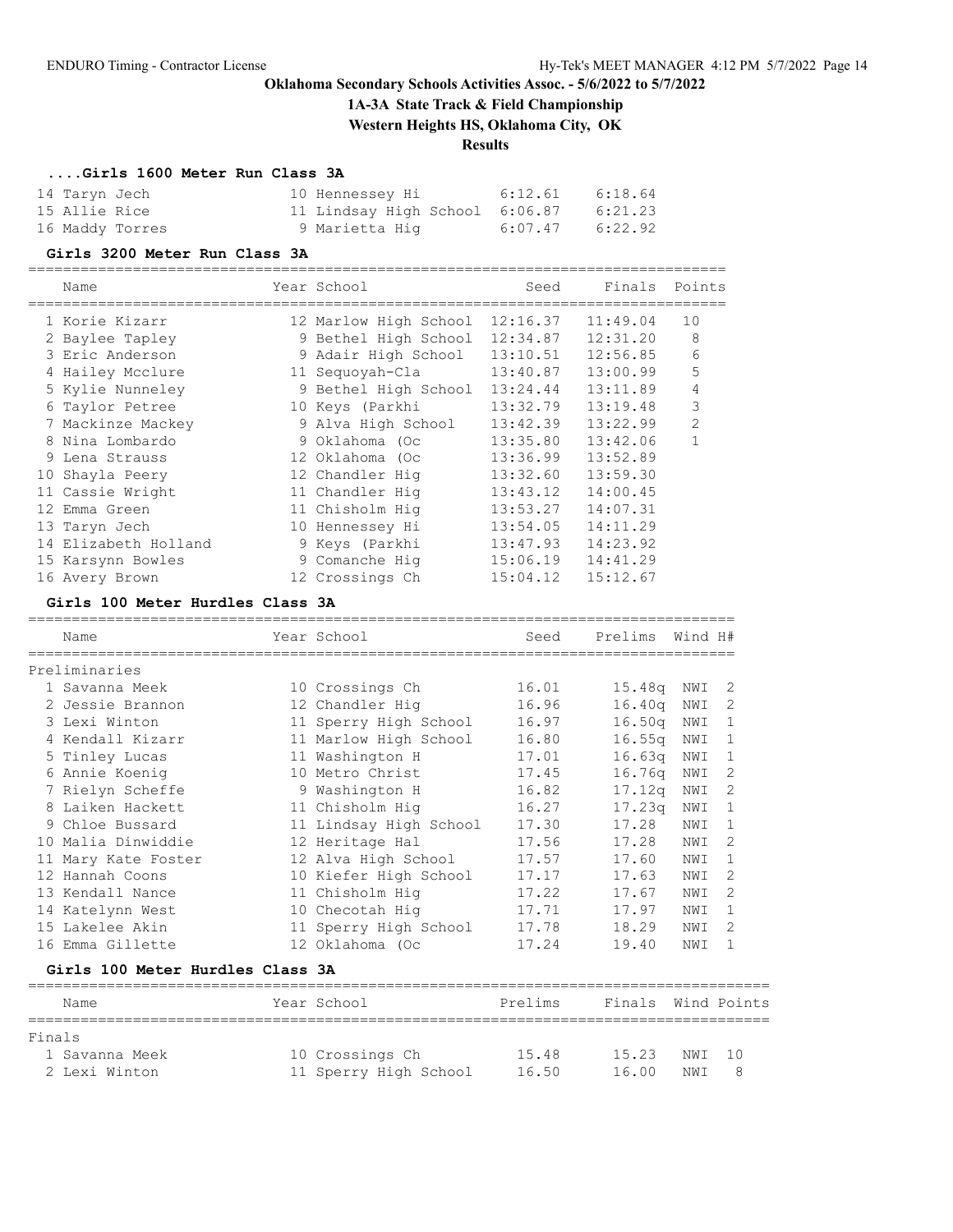**1A-3A State Track & Field Championship**

**Western Heights HS, Oklahoma City, OK**

## **Results**

### **....Girls 1600 Meter Run Class 3A**

| 14 Taryn Jech   | 10 Hennessey Hi                | 6:12.61 | 6:18.64 |
|-----------------|--------------------------------|---------|---------|
| 15 Allie Rice   | 11 Lindsay High School 6:06.87 |         | 6:21.23 |
| 16 Maddy Torres | 9 Marietta Hiq                 | 6:07.47 | 6:22.92 |

#### **Girls 3200 Meter Run Class 3A**

================================================================================

| Name                 | Year School           | Seed     | Finals   | Points         |
|----------------------|-----------------------|----------|----------|----------------|
| 1 Korie Kizarr       | 12 Marlow High School | 12:16.37 | 11:49.04 | 10             |
| 2 Baylee Tapley      | 9 Bethel High School  | 12:34.87 | 12:31.20 | 8              |
| 3 Eric Anderson      | 9 Adair High School   | 13:10.51 | 12:56.85 | 6              |
| 4 Hailey Mcclure     | 11 Sequoyah-Cla       | 13:40.87 | 13:00.99 | 5              |
| 5 Kylie Nunneley     | 9 Bethel High School  | 13:24.44 | 13:11.89 | 4              |
| 6 Taylor Petree      | 10 Keys (Parkhi       | 13:32.79 | 13:19.48 | 3              |
| 7 Mackinze Mackey    | 9 Alva High School    | 13:42.39 | 13:22.99 | $\overline{2}$ |
| 8 Nina Lombardo      | 9 Oklahoma (Oc        | 13:35.80 | 13:42.06 | 1              |
| 9 Lena Strauss       | 12 Oklahoma (Oc       | 13:36.99 | 13:52.89 |                |
| 10 Shayla Peery      | 12 Chandler Hiq       | 13:32.60 | 13:59.30 |                |
| 11 Cassie Wright     | 11 Chandler Hig       | 13:43.12 | 14:00.45 |                |
| 12 Emma Green        | 11 Chisholm Hig       | 13:53.27 | 14:07.31 |                |
| 13 Taryn Jech        | 10 Hennessey Hi       | 13:54.05 | 14:11.29 |                |
| 14 Elizabeth Holland | 9 Keys (Parkhi        | 13:47.93 | 14:23.92 |                |
| 15 Karsynn Bowles    | 9 Comanche Hig        | 15:06.19 | 14:41.29 |                |
| 16 Avery Brown       | 12 Crossings Ch       | 15:04.12 | 15:12.67 |                |

#### **Girls 100 Meter Hurdles Class 3A**

| 16.01<br>10 Crossings Ch<br>16.96<br>12 Chandler Hig | 15.48q             | NWI |                              |
|------------------------------------------------------|--------------------|-----|------------------------------|
|                                                      |                    |     |                              |
|                                                      |                    |     | 2                            |
|                                                      | 16.40q             | NWI | 2                            |
| 16.97<br>11 Sperry High School                       | 16.50q             | NWI | 1                            |
| 16.80<br>11 Marlow High School                       | 16.55 <sub>q</sub> | NWI | 1                            |
| 11 Washington H<br>17.01                             | 16.63q             | NWI | 1                            |
| 10 Metro Christ<br>17.45                             | 16.76 <sub>q</sub> | NWI | 2                            |
| 9 Washington H<br>16.82                              |                    | NWI | 2                            |
| 16.27<br>11 Chisholm Hiq                             |                    | NWI | 1                            |
| 11 Lindsay High School<br>17.30                      | 17.28              | NWI | 1                            |
| 17.56<br>12 Heritage Hal                             | 17.28              | NWI | 2                            |
| 12 Alva High School<br>17.57                         | 17.60              | NWI | 1                            |
| 10 Kiefer High School<br>17.17                       | 17.63              | NWI | 2                            |
| 17.22<br>11 Chisholm Hig                             | 17.67              | NWI | $\mathcal{D}$                |
| 17.71<br>10 Checotah Hiq                             | 17.97              | NWI | 1                            |
| 17.78<br>11 Sperry High School                       | 18.29              | NWI | 2                            |
| 12 Oklahoma (Oc<br>17.24                             | 19.40              | NWI | 1                            |
|                                                      |                    |     | 17.12 <sub>q</sub><br>17.23q |

#### **Girls 100 Meter Hurdles Class 3A**

| Name           | Year School           | Prelims | Finals Wind Points |        |     |
|----------------|-----------------------|---------|--------------------|--------|-----|
| Finals         |                       |         |                    |        |     |
| 1 Savanna Meek | 10 Crossings Ch       | 15.48   | 15.23              | NWI 10 |     |
| 2 Lexi Winton  | 11 Sperry High School | 16.50   | 16.00              | NW T   | - 8 |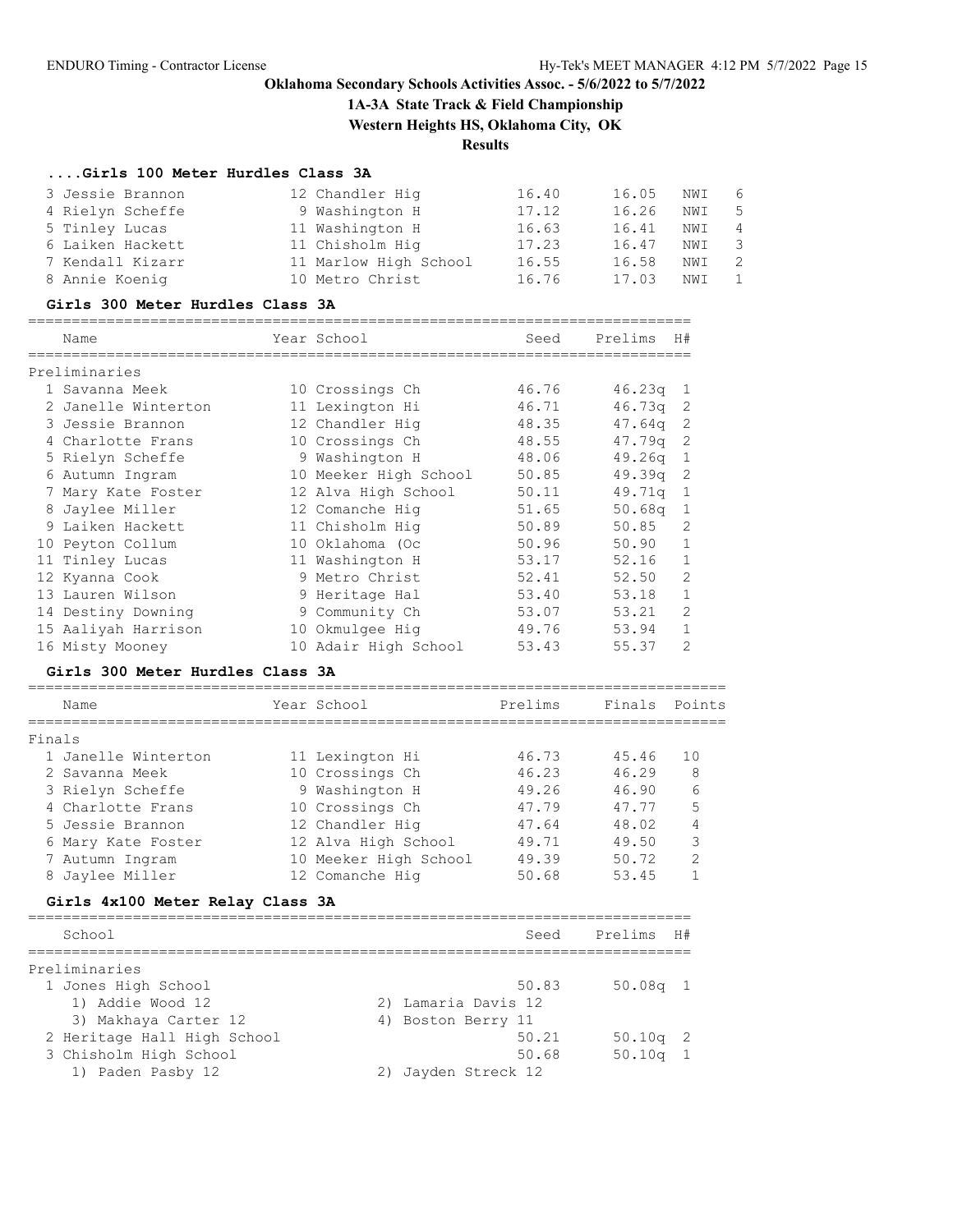**1A-3A State Track & Field Championship**

**Western Heights HS, Oklahoma City, OK**

### **Results**

## **....Girls 100 Meter Hurdles Class 3A**

| 3 Jessie Brannon | 12 Chandler Hig       | 16.40 | 16.05 | NWI | 6                       |
|------------------|-----------------------|-------|-------|-----|-------------------------|
| 4 Rielyn Scheffe | 9 Washington H        | 17.12 | 16.26 | NWI | $-5$                    |
| 5 Tinley Lucas   | 11 Washington H       | 16.63 | 16.41 | NWI | $\overline{4}$          |
| 6 Laiken Hackett | 11 Chisholm Hig       | 17.23 | 16.47 | NWI | $\overline{\mathbf{3}}$ |
| 7 Kendall Kizarr | 11 Marlow High School | 16.55 | 16.58 | NWI | $\overline{2}$          |
| 8 Annie Koenig   | 10 Metro Christ       | 16.76 | 17.03 | NWI |                         |

#### **Girls 300 Meter Hurdles Class 3A**

| Name                | Year School           | Seed  | Prelims    | H#             |
|---------------------|-----------------------|-------|------------|----------------|
| Preliminaries       |                       |       |            |                |
| 1 Savanna Meek      | 10 Crossings Ch       | 46.76 | $46.23q$ 1 |                |
| 2 Janelle Winterton | 11 Lexington Hi       | 46.71 | 46.73a     | 2              |
| 3 Jessie Brannon    | 12 Chandler Hig       | 48.35 | 47.64a     | -2             |
| 4 Charlotte Frans   | 10 Crossings Ch       | 48.55 | 47.79q     | 2              |
| 5 Rielyn Scheffe    | 9 Washington H        | 48.06 | 49.26q     | 1              |
| 6 Autumn Ingram     | 10 Meeker High School | 50.85 | 49.39q     | 2              |
| 7 Mary Kate Foster  | 12 Alva High School   | 50.11 | 49.71q     | $\overline{1}$ |
| 8 Jaylee Miller     | 12 Comanche Hig       | 51.65 | 50.68q     | 1              |
| 9 Laiken Hackett    | 11 Chisholm Hig       | 50.89 | 50.85      | $\mathcal{D}$  |
| 10 Peyton Collum    | 10 Oklahoma (Oc       | 50.96 | 50.90      | 1              |
| 11 Tinley Lucas     | 11 Washington H       | 53.17 | 52.16      | 1              |
| 12 Kyanna Cook      | 9 Metro Christ        | 52.41 | 52.50      | $\mathfrak{D}$ |
| 13 Lauren Wilson    | 9 Heritage Hal        | 53.40 | 53.18      | 1              |
| 14 Destiny Downing  | 9 Community Ch        | 53.07 | 53.21      | $\mathfrak{D}$ |
| 15 Aaliyah Harrison | 10 Okmulgee Hig       | 49.76 | 53.94      |                |
| 16 Misty Mooney     | 10 Adair High School  | 53.43 | 55.37      | $\overline{2}$ |

### **Girls 300 Meter Hurdles Class 3A**

|        | Name                | Year School           | Prelims | Finals | Points        |
|--------|---------------------|-----------------------|---------|--------|---------------|
| Finals |                     |                       |         |        |               |
|        | 1 Janelle Winterton | 11 Lexington Hi       | 46.73   | 45.46  | 10            |
|        | 2 Savanna Meek      | 10 Crossings Ch       | 46.23   | 46.29  | 8             |
|        | 3 Rielyn Scheffe    | 9 Washington H        | 49.26   | 46.90  | 6             |
|        | 4 Charlotte Frans   | 10 Crossings Ch       | 47.79   | 47.77  | 5             |
|        | 5 Jessie Brannon    | 12 Chandler Hig       | 47.64   | 48.02  | 4             |
|        | 6 Mary Kate Foster  | 12 Alva High School   | 49.71   | 49.50  | 3             |
|        | 7 Autumn Ingram     | 10 Meeker High School | 49.39   | 50.72  | $\mathcal{D}$ |
|        | 8 Jaylee Miller     | 12 Comanche Hig       | 50.68   | 53.45  |               |
|        |                     |                       |         |        |               |

### **Girls 4x100 Meter Relay Class 3A**

| School                      | Seed                | Prelims H# |
|-----------------------------|---------------------|------------|
| Preliminaries               |                     |            |
| 1 Jones High School         | 50.83               | $50.08q$ 1 |
| 1) Addie Wood 12            | 2) Lamaria Davis 12 |            |
| 3) Makhaya Carter 12        | 4) Boston Berry 11  |            |
| 2 Heritage Hall High School | 50.21               | $50.10q$ 2 |
| 3 Chisholm High School      | 50.68               | $50.10q$ 1 |
| 1) Paden Pasby 12           | Jayden Streck 12    |            |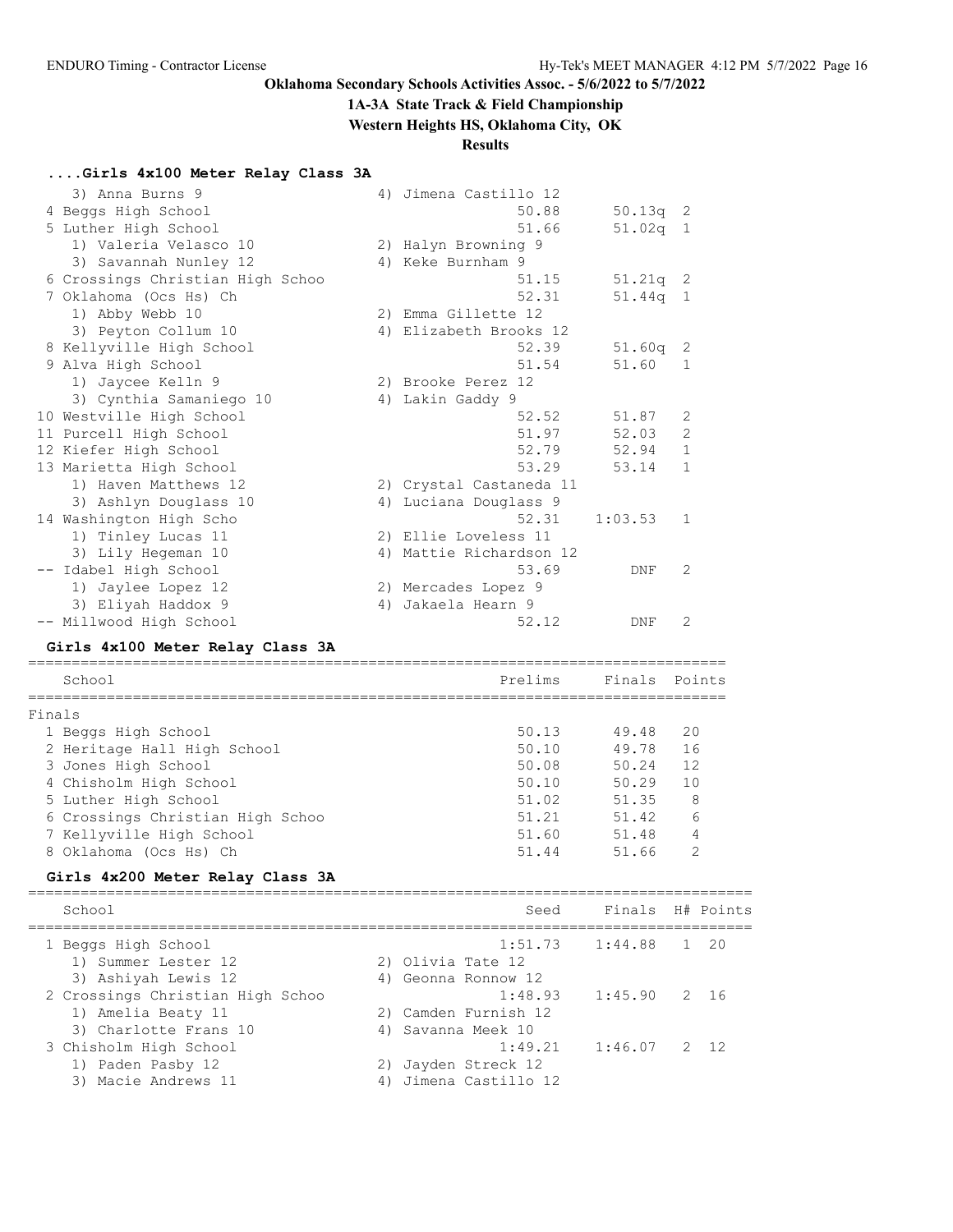## **1A-3A State Track & Field Championship**

**Western Heights HS, Oklahoma City, OK**

## **Results**

## **....Girls 4x100 Meter Relay Class 3A**

| 3) Anna Burns 9                  | 4) | Jimena Castillo 12      |            |              |
|----------------------------------|----|-------------------------|------------|--------------|
| 4 Beggs High School              |    | 50.88                   | $50.13q$ 2 |              |
| 5 Luther High School             |    | 51.66                   | $51.02q$ 1 |              |
| 1) Valeria Velasco 10            |    | 2) Halyn Browning 9     |            |              |
| 3) Savannah Nunley 12            |    | 4) Keke Burnham 9       |            |              |
| 6 Crossings Christian High Schoo |    | 51.15                   | $51.21q$ 2 |              |
| 7 Oklahoma (Ocs Hs) Ch           |    | 52.31                   | $51.44q$ 1 |              |
| 1) Abby Webb 10                  |    | 2) Emma Gillette 12     |            |              |
| 3) Peyton Collum 10              | 4) | Elizabeth Brooks 12     |            |              |
| 8 Kellyville High School         |    | 52.39                   | $51.60q$ 2 |              |
| 9 Alva High School               |    | 51.54                   | 51.60      | 1            |
| 1) Jaycee Kelln 9                |    | 2) Brooke Perez 12      |            |              |
| 3) Cynthia Samaniego 10          |    | 4) Lakin Gaddy 9        |            |              |
| 10 Westville High School         |    | 52.52                   | 51.87      | 2            |
| 11 Purcell High School           |    | 51.97                   | 52.03      | 2            |
| 12 Kiefer High School            |    | 52.79                   | 52.94      | $\mathbf{1}$ |
| 13 Marietta High School          |    | 53.29                   | 53.14      | $\mathbf{1}$ |
| 1) Haven Matthews 12             |    | 2) Crystal Castaneda 11 |            |              |
| 3) Ashlyn Douglass 10            |    | 4) Luciana Douglass 9   |            |              |
| 14 Washington High Scho          |    | 52.31                   | 1:03.53    | $\mathbf{1}$ |
| 1) Tinley Lucas 11               |    | 2) Ellie Loveless 11    |            |              |
| 3) Lily Hegeman 10               |    | 4) Mattie Richardson 12 |            |              |
| -- Idabel High School            |    | 53.69                   | DNF        | 2            |
| 1) Jaylee Lopez 12               |    | 2) Mercades Lopez 9     |            |              |
| 3) Eliyah Haddox 9               | 4) | Jakaela Hearn 9         |            |              |
| -- Millwood High School          |    | 52.12                   | DNF        | 2            |

### **Girls 4x100 Meter Relay Class 3A**

|        | School                           | Prelims | Finals Points |    |  |  |  |  |  |  |
|--------|----------------------------------|---------|---------------|----|--|--|--|--|--|--|
| Finals |                                  |         |               |    |  |  |  |  |  |  |
|        | 1 Beggs High School              | 50.13   | 49.48         | 20 |  |  |  |  |  |  |
|        | 2 Heritage Hall High School      | 50.10   | 49.78         | 16 |  |  |  |  |  |  |
|        | 3 Jones High School              | 50.08   | 50.24         | 12 |  |  |  |  |  |  |
|        | 4 Chisholm High School           | 50.10   | 50.29         | 10 |  |  |  |  |  |  |
|        | 5 Luther High School             | 51.02   | 51.35         | 8  |  |  |  |  |  |  |
|        | 6 Crossings Christian High Schoo | 51.21   | 51.42         | 6  |  |  |  |  |  |  |
|        | 7 Kellyville High School         | 51.60   | 51.48         |    |  |  |  |  |  |  |
|        | 8 Oklahoma (Ocs Hs) Ch           | 51.44   | 51.66         | っ  |  |  |  |  |  |  |

## **Girls 4x200 Meter Relay Class 3A**

| Finals H# Points<br>School<br>Seed<br>$1:51.73$ $1:44.88$ 1 20<br>1 Beggs High School<br>1) Summer Lester 12<br>2) Olivia Tate 12<br>3) Ashiyah Lewis 12<br>4) Geonna Ronnow 12<br>2 Crossings Christian High Schoo<br>$1:48.93$ $1:45.90$ 2 16<br>2) Camden Furnish 12<br>1) Amelia Beaty 11<br>3) Charlotte Frans 10<br>4) Savanna Meek 10<br>1:49.21<br>$1:46.07$ 2 12<br>3 Chisholm High School<br>1) Paden Pasby 12<br>2) Jayden Streck 12<br>4) Jimena Castillo 12<br>3) Macie Andrews 11 |  |  |
|-------------------------------------------------------------------------------------------------------------------------------------------------------------------------------------------------------------------------------------------------------------------------------------------------------------------------------------------------------------------------------------------------------------------------------------------------------------------------------------------------|--|--|
|                                                                                                                                                                                                                                                                                                                                                                                                                                                                                                 |  |  |
|                                                                                                                                                                                                                                                                                                                                                                                                                                                                                                 |  |  |
|                                                                                                                                                                                                                                                                                                                                                                                                                                                                                                 |  |  |
|                                                                                                                                                                                                                                                                                                                                                                                                                                                                                                 |  |  |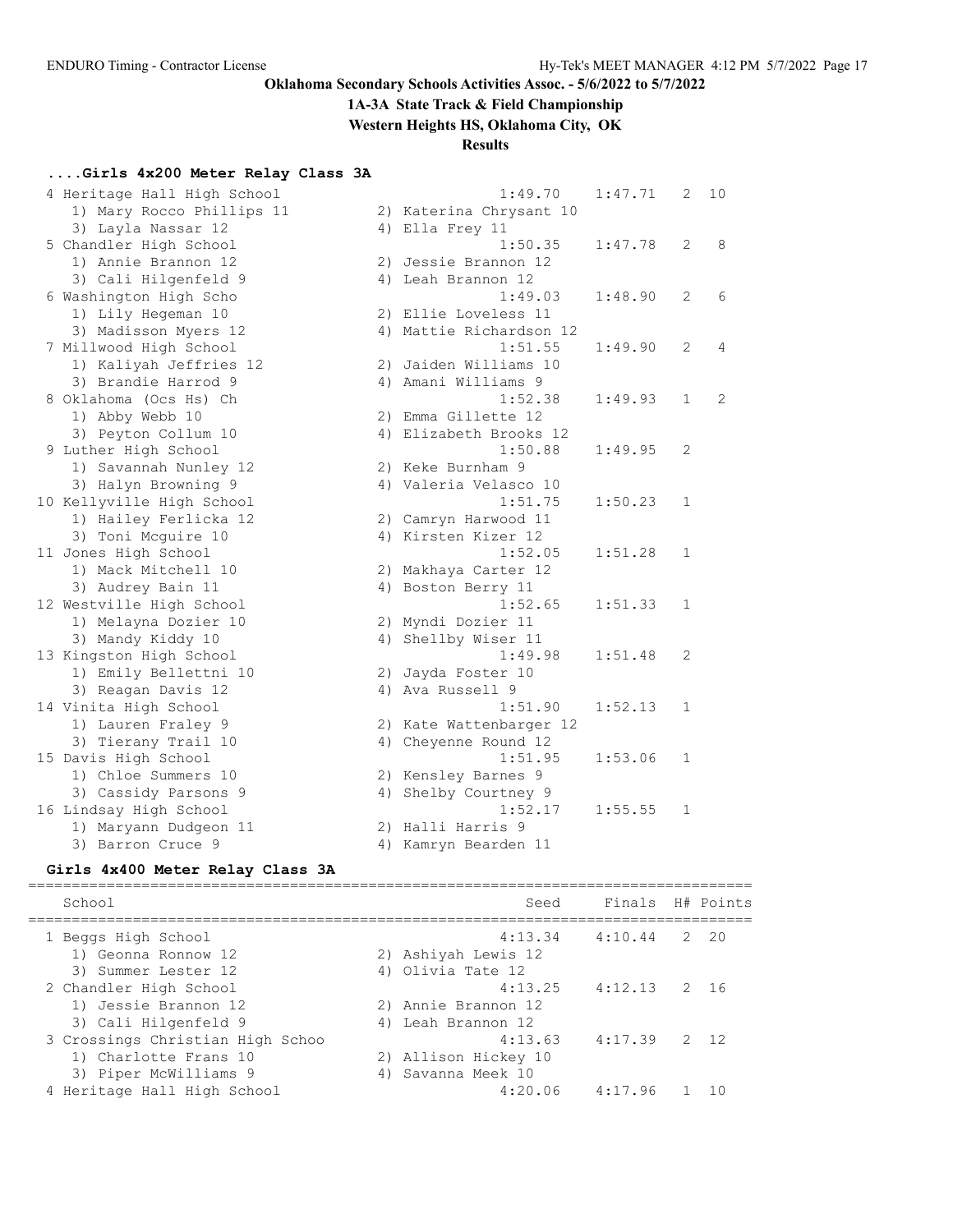**1A-3A State Track & Field Championship**

**Western Heights HS, Oklahoma City, OK**

### **Results**

### **....Girls 4x200 Meter Relay Class 3A**

| 4 Heritage Hall High School |    | 1:49.70                 | 1:47.71 | $\mathbf{2}$   | 10 |
|-----------------------------|----|-------------------------|---------|----------------|----|
| 1) Mary Rocco Phillips 11   |    | 2) Katerina Chrysant 10 |         |                |    |
| 3) Layla Nassar 12          |    | 4) Ella Frey 11         |         |                |    |
| 5 Chandler High School      |    | 1:50.35                 | 1:47.78 | 2              | 8  |
| 1) Annie Brannon 12         |    | 2) Jessie Brannon 12    |         |                |    |
| 3) Cali Hilgenfeld 9        |    | 4) Leah Brannon 12      |         |                |    |
| 6 Washington High Scho      |    | 1:49.03                 | 1:48.90 | $\overline{2}$ | 6  |
| 1) Lily Hegeman 10          |    | 2) Ellie Loveless 11    |         |                |    |
| 3) Madisson Myers 12        |    | 4) Mattie Richardson 12 |         |                |    |
| 7 Millwood High School      |    | 1:51.55                 | 1:49.90 | 2              | 4  |
| 1) Kaliyah Jeffries 12      |    | 2) Jaiden Williams 10   |         |                |    |
| 3) Brandie Harrod 9         |    | 4) Amani Williams 9     |         |                |    |
| 8 Oklahoma (Ocs Hs) Ch      |    | 1:52.38                 | 1:49.93 | $\mathbf{1}$   | 2  |
| 1) Abby Webb 10             |    | 2) Emma Gillette 12     |         |                |    |
| 3) Peyton Collum 10         |    | 4) Elizabeth Brooks 12  |         |                |    |
| 9 Luther High School        |    | 1:50.88                 | 1:49.95 | $\mathbf{2}$   |    |
| 1) Savannah Nunley 12       |    | 2) Keke Burnham 9       |         |                |    |
| 3) Halyn Browning 9         |    | 4) Valeria Velasco 10   |         |                |    |
| 10 Kellyville High School   |    | 1:51.75                 | 1:50.23 | 1              |    |
| 1) Hailey Ferlicka 12       |    | 2) Camryn Harwood 11    |         |                |    |
| 3) Toni Mcquire 10          |    | 4) Kirsten Kizer 12     |         |                |    |
| 11 Jones High School        |    | 1:52.05                 | 1:51.28 | 1              |    |
| 1) Mack Mitchell 10         |    | 2) Makhaya Carter 12    |         |                |    |
| 3) Audrey Bain 11           |    | 4) Boston Berry 11      |         |                |    |
| 12 Westville High School    |    | 1:52.65                 | 1:51.33 | 1              |    |
| 1) Melayna Dozier 10        |    | 2) Myndi Dozier 11      |         |                |    |
| 3) Mandy Kiddy 10           |    | 4) Shellby Wiser 11     |         |                |    |
| 13 Kingston High School     |    | 1:49.98                 | 1:51.48 | 2              |    |
| 1) Emily Bellettni 10       |    | 2) Jayda Foster 10      |         |                |    |
| 3) Reagan Davis 12          |    | 4) Ava Russell 9        |         |                |    |
| 14 Vinita High School       |    | 1:51.90                 | 1:52.13 | $\mathbf{1}$   |    |
| 1) Lauren Fraley 9          |    | 2) Kate Wattenbarger 12 |         |                |    |
| 3) Tierany Trail 10         |    | 4) Cheyenne Round 12    |         |                |    |
| 15 Davis High School        |    | 1:51.95                 | 1:53.06 | 1              |    |
| 1) Chloe Summers 10         |    | 2) Kensley Barnes 9     |         |                |    |
| 3) Cassidy Parsons 9        | 4) | Shelby Courtney 9       |         |                |    |
| 16 Lindsay High School      |    | 1:52.17                 | 1:55.55 | 1              |    |
| 1) Maryann Dudgeon 11       |    | 2) Halli Harris 9       |         |                |    |
| 3) Barron Cruce 9           |    | 4) Kamryn Bearden 11    |         |                |    |

#### **Girls 4x400 Meter Relay Class 3A**

=================================================================================== School Seed Finals H# Points =================================================================================== 1 Beggs High School 4:13.34 4:10.44 2 20 1) Geonna Ronnow 12 2) Ashiyah Lewis 12 3) Summer Lester 12 (4) Olivia Tate 12 2 Chandler High School 4:13.25 4:12.13 2 16 1) Jessie Brannon 12 2) Annie Brannon 12 3) Cali Hilgenfeld 9 4) Leah Brannon 12 3 Crossings Christian High Schoo 4:13.63 4:17.39 2 12 1) Charlotte Frans 10 2) Allison Hickey 10 3) Piper McWilliams 9 (4) Savanna Meek 10 4 Heritage Hall High School 4:20.06 4:17.96 1 10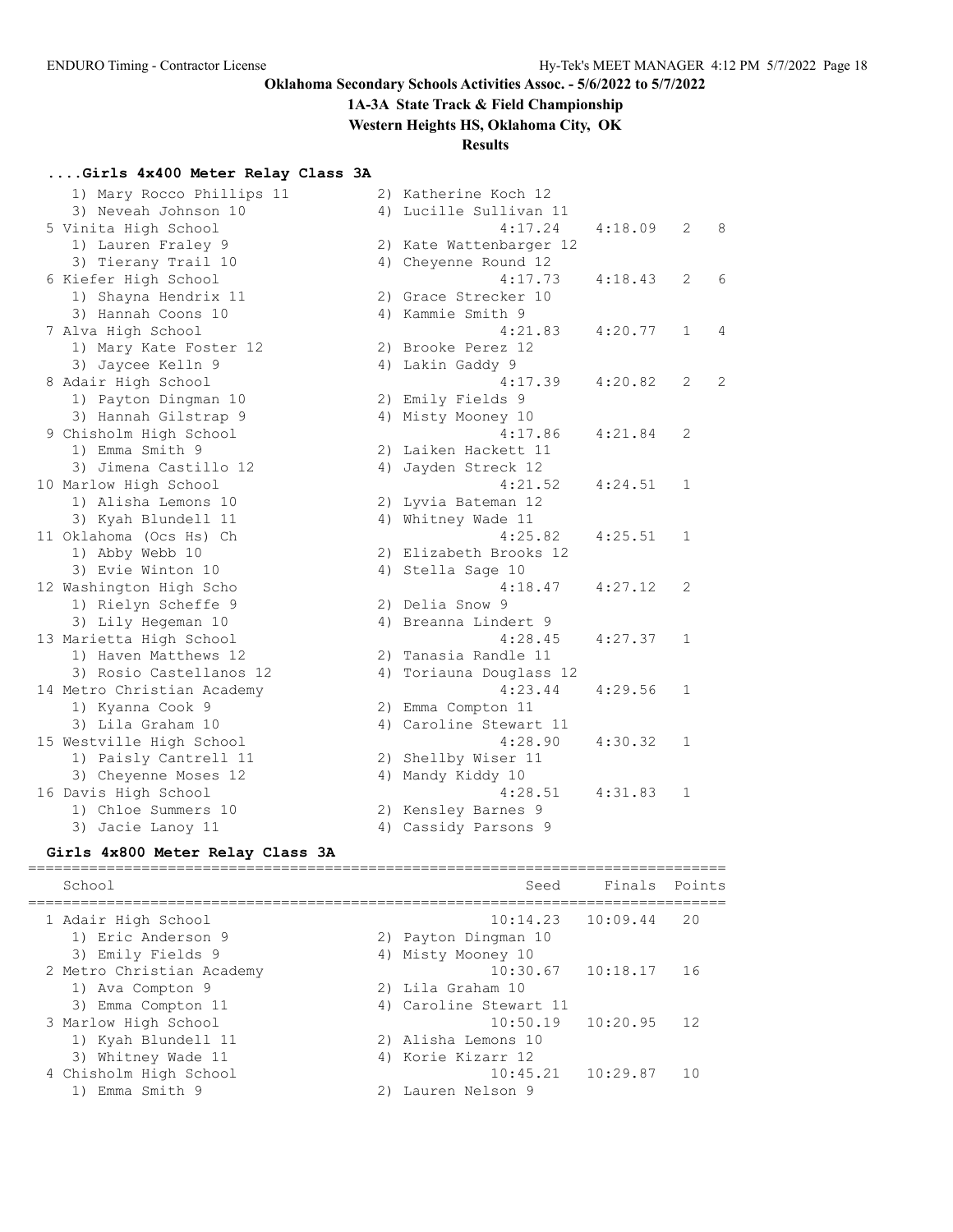## **1A-3A State Track & Field Championship**

**Western Heights HS, Oklahoma City, OK**

## **Results**

## **....Girls 4x400 Meter Relay Class 3A**

| 1) Mary Rocco Phillips 11  | 2) Katherine Koch 12    |         |              |   |
|----------------------------|-------------------------|---------|--------------|---|
| 3) Neveah Johnson 10       | 4) Lucille Sullivan 11  |         |              |   |
| 5 Vinita High School       | 4:17.24                 | 4:18.09 | 2            | 8 |
| 1) Lauren Fraley 9         | 2) Kate Wattenbarger 12 |         |              |   |
| 3) Tierany Trail 10        | 4) Cheyenne Round 12    |         |              |   |
| 6 Kiefer High School       | 4:17.73                 | 4:18.43 | 2            | 6 |
| 1) Shayna Hendrix 11       | 2) Grace Strecker 10    |         |              |   |
| 3) Hannah Coons 10         | 4) Kammie Smith 9       |         |              |   |
| 7 Alva High School         | 4:21.83                 | 4:20.77 | 1            | 4 |
| 1) Mary Kate Foster 12     | 2) Brooke Perez 12      |         |              |   |
| 3) Jaycee Kelln 9          | 4) Lakin Gaddy 9        |         |              |   |
| 8 Adair High School        | 4:17.39                 | 4:20.82 | 2            | 2 |
| 1) Payton Dingman 10       | 2) Emily Fields 9       |         |              |   |
| 3) Hannah Gilstrap 9       | 4) Misty Mooney 10      |         |              |   |
| 9 Chisholm High School     | 4:17.86                 | 4:21.84 | 2            |   |
| 1) Emma Smith 9            | 2) Laiken Hackett 11    |         |              |   |
| 3) Jimena Castillo 12      | 4) Jayden Streck 12     |         |              |   |
| 10 Marlow High School      | 4:21.52                 | 4:24.51 | $\mathbf{1}$ |   |
| 1) Alisha Lemons 10        | 2) Lyvia Bateman 12     |         |              |   |
| 3) Kyah Blundell 11        | 4) Whitney Wade 11      |         |              |   |
| 11 Oklahoma (Ocs Hs) Ch    | 4:25.82                 | 4:25.51 | 1            |   |
| 1) Abby Webb 10            | 2) Elizabeth Brooks 12  |         |              |   |
| 3) Evie Winton 10          | 4) Stella Sage 10       |         |              |   |
| 12 Washington High Scho    | 4:18.47                 | 4:27.12 | 2            |   |
| 1) Rielyn Scheffe 9        | 2) Delia Snow 9         |         |              |   |
| 3) Lily Hegeman 10         | 4) Breanna Lindert 9    |         |              |   |
| 13 Marietta High School    | 4:28.45                 | 4:27.37 | 1            |   |
| 1) Haven Matthews 12       | 2) Tanasia Randle 11    |         |              |   |
| 3) Rosio Castellanos 12    | 4) Toriauna Douglass 12 |         |              |   |
| 14 Metro Christian Academy | 4:23.44                 | 4:29.56 | 1            |   |
| 1) Kyanna Cook 9           | 2) Emma Compton 11      |         |              |   |
| 3) Lila Graham 10          | 4) Caroline Stewart 11  |         |              |   |
| 15 Westville High School   | 4:28.90                 | 4:30.32 | 1            |   |
| 1) Paisly Cantrell 11      | 2) Shellby Wiser 11     |         |              |   |
| 3) Cheyenne Moses 12       | 4) Mandy Kiddy 10       |         |              |   |
| 16 Davis High School       | 4:28.51                 | 4:31.83 | 1            |   |
| 1) Chloe Summers 10        | 2) Kensley Barnes 9     |         |              |   |
| 3) Jacie Lanoy 11          | 4) Cassidy Parsons 9    |         |              |   |
|                            |                         |         |              |   |

### **Girls 4x800 Meter Relay Class 3A**

| School                                                            | Seed                                                                   | Finals | Points |
|-------------------------------------------------------------------|------------------------------------------------------------------------|--------|--------|
| 1 Adair High School<br>1) Eric Anderson 9<br>3) Emily Fields 9    | $10:14.23$ $10:09.44$<br>2) Payton Dingman 10<br>4) Misty Mooney 10    |        | 20     |
| 2 Metro Christian Academy<br>1) Ava Compton 9                     | $10:30.67$ $10:18.17$ 16<br>2) Lila Graham 10                          |        |        |
| 3) Emma Compton 11<br>3 Marlow High School<br>1) Kyah Blundell 11 | 4) Caroline Stewart 11<br>$10:50.19$ $10:20.95$<br>2) Alisha Lemons 10 |        | 12     |
| 3) Whitney Wade 11<br>4 Chisholm High School<br>1) Emma Smith 9   | 4) Korie Kizarr 12<br>$10:45.21$ $10:29.87$<br>Lauren Nelson 9         |        | 1 O    |
|                                                                   |                                                                        |        |        |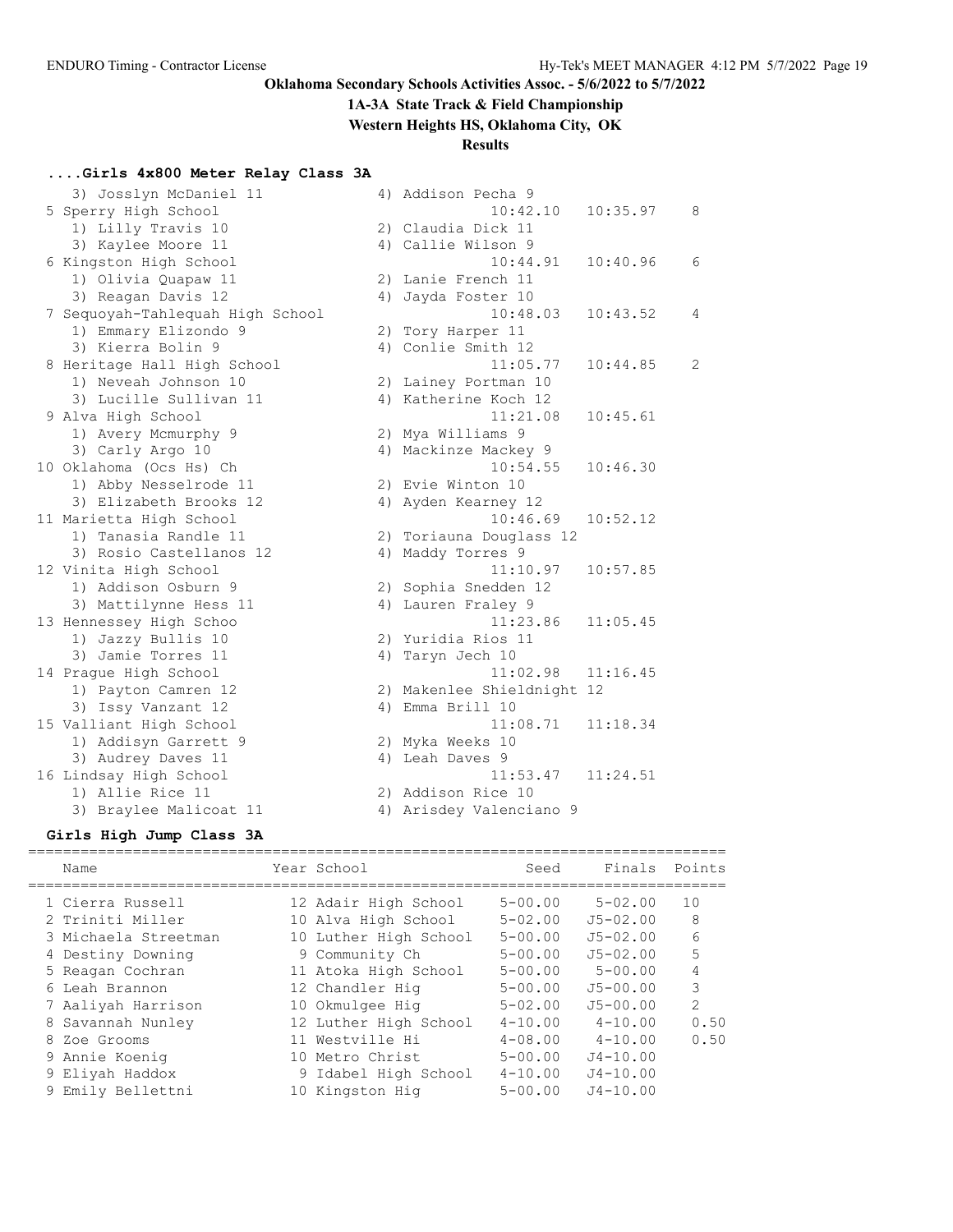**1A-3A State Track & Field Championship**

## **Western Heights HS, Oklahoma City, OK**

## **Results**

## **....Girls 4x800 Meter Relay Class 3A**

| 3) Josslyn McDaniel 11           | 4) Addison Pecha 9         |          |   |
|----------------------------------|----------------------------|----------|---|
| 5 Sperry High School             | 10:42.10                   | 10:35.97 | 8 |
| 1) Lilly Travis 10               | 2) Claudia Dick 11         |          |   |
| 3) Kaylee Moore 11               | 4) Callie Wilson 9         |          |   |
| 6 Kingston High School           | 10:44.91                   | 10:40.96 | 6 |
| 1) Olivia Quapaw 11              | 2) Lanie French 11         |          |   |
| 3) Reagan Davis 12               | 4) Jayda Foster 10         |          |   |
| 7 Sequoyah-Tahlequah High School | 10:48.03                   | 10:43.52 | 4 |
| 1) Emmary Elizondo 9             | 2) Tory Harper 11          |          |   |
| 3) Kierra Bolin 9                | 4) Conlie Smith 12         |          |   |
| 8 Heritage Hall High School      | 11:05.77                   | 10:44.85 | 2 |
| 1) Neveah Johnson 10             | 2) Lainey Portman 10       |          |   |
| 3) Lucille Sullivan 11           | 4) Katherine Koch 12       |          |   |
| 9 Alva High School               | 11:21.08                   | 10:45.61 |   |
| 1) Avery Mcmurphy 9              | 2) Mya Williams 9          |          |   |
| 3) Carly Argo 10                 | 4) Mackinze Mackey 9       |          |   |
| 10 Oklahoma (Ocs Hs) Ch          | 10:54.55                   | 10:46.30 |   |
| 1) Abby Nesselrode 11            | 2) Evie Winton 10          |          |   |
| 3) Elizabeth Brooks 12           | 4) Ayden Kearney 12        |          |   |
| 11 Marietta High School          | 10:46.69                   | 10:52.12 |   |
| 1) Tanasia Randle 11             | 2) Toriauna Douglass 12    |          |   |
| 3) Rosio Castellanos 12          | 4) Maddy Torres 9          |          |   |
| 12 Vinita High School            | 11:10.97                   | 10:57.85 |   |
| 1) Addison Osburn 9              | 2) Sophia Snedden 12       |          |   |
| 3) Mattilynne Hess 11            | 4) Lauren Fraley 9         |          |   |
| 13 Hennessey High Schoo          | 11:23.86                   | 11:05.45 |   |
| 1) Jazzy Bullis 10               | 2) Yuridia Rios 11         |          |   |
| 3) Jamie Torres 11               | 4) Taryn Jech 10           |          |   |
| 14 Prague High School            | 11:02.98                   | 11:16.45 |   |
| 1) Payton Camren 12              | 2) Makenlee Shieldnight 12 |          |   |
| 3) Issy Vanzant 12               | 4) Emma Brill 10           |          |   |
| 15 Valliant High School          | 11:08.71                   | 11:18.34 |   |
| 1) Addisyn Garrett 9             | 2) Myka Weeks 10           |          |   |
| 3) Audrey Daves 11               | 4) Leah Daves 9            |          |   |
| 16 Lindsay High School           | 11:53.47                   | 11:24.51 |   |
| 1) Allie Rice 11                 | 2) Addison Rice 10         |          |   |
| 3) Braylee Malicoat 11           | 4) Arisdey Valenciano 9    |          |   |

## **Girls High Jump Class 3A**

| Name                 | Year School           | Seed        | Finals       | Points        |
|----------------------|-----------------------|-------------|--------------|---------------|
| 1 Cierra Russell     | 12 Adair High School  | $5 - 00.00$ | $5 - 02.00$  | 10            |
|                      |                       |             |              |               |
| 2 Triniti Miller     | 10 Alva High School   | $5 - 02.00$ | $J5 - 02.00$ | 8             |
| 3 Michaela Streetman | 10 Luther High School | $5 - 00.00$ | $J5 - 02.00$ | 6             |
| 4 Destiny Downing    | 9 Community Ch        | $5 - 00.00$ | $J5 - 02.00$ | 5             |
| 5 Reagan Cochran     | 11 Atoka High School  | $5 - 00.00$ | $5 - 00.00$  | 4             |
| 6 Leah Brannon       | 12 Chandler Hig       | $5 - 00.00$ | $J5 - 00.00$ | 3             |
| 7 Aaliyah Harrison   | 10 Okmulgee Hig       | $5 - 02.00$ | $J5 - 00.00$ | $\mathcal{P}$ |
| 8 Savannah Nunley    | 12 Luther High School | $4 - 10.00$ | $4 - 10.00$  | 0.50          |
| 8 Zoe Grooms         | 11 Westville Hi       | $4 - 08.00$ | $4 - 10.00$  | 0.50          |
| 9 Annie Koenig       | 10 Metro Christ       | $5 - 00.00$ | $J4 - 10.00$ |               |
| 9 Eliyah Haddox      | 9 Idabel High School  | $4 - 10.00$ | $J4 - 10.00$ |               |
| 9 Emily Bellettni    | 10 Kingston Hig       | $5 - 00.00$ | $J4 - 10.00$ |               |
|                      |                       |             |              |               |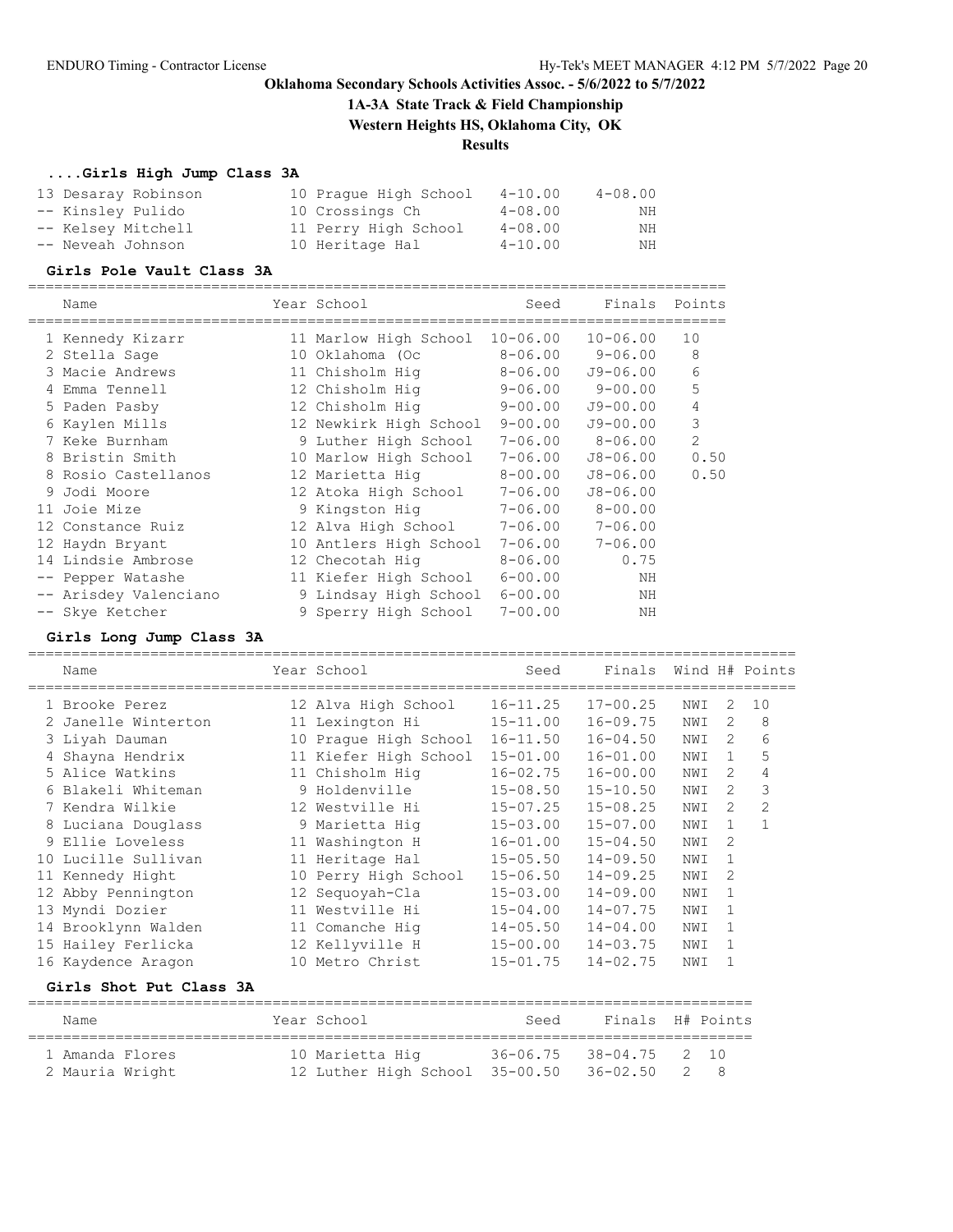## **1A-3A State Track & Field Championship**

**Western Heights HS, Oklahoma City, OK**

## **Results**

### **....Girls High Jump Class 3A**

| 13 Desaray Robinson | 10 Praque High School | $4 - 10.00$ | $4 - 08.00$ |
|---------------------|-----------------------|-------------|-------------|
| -- Kinsley Pulido   | 10 Crossings Ch       | $4 - 08.00$ | NH          |
| -- Kelsey Mitchell  | 11 Perry High School  | $4 - 08.00$ | NH          |
| -- Neveah Johnson   | 10 Heritage Hal       | $4 - 10.00$ | NH          |

#### **Girls Pole Vault Class 3A**

================================================================================

| Name                  | Year School            | Seed         | Finals       | Points |
|-----------------------|------------------------|--------------|--------------|--------|
| 1 Kennedy Kizarr      | 11 Marlow High School  | $10 - 06.00$ | $10 - 06.00$ | 10     |
| 2 Stella Sage         | 10 Oklahoma (Oc        | $8 - 06.00$  | $9 - 06.00$  | 8      |
| 3 Macie Andrews       | 11 Chisholm Hig        | $8 - 06.00$  | $J9 - 06.00$ | 6      |
| 4 Emma Tennell        | 12 Chisholm Hiq        | $9 - 06.00$  | $9 - 00.00$  | 5      |
| 5 Paden Pasby         | 12 Chisholm Hig        | $9 - 00.00$  | $J9 - 00.00$ | 4      |
| 6 Kaylen Mills        | 12 Newkirk High School | $9 - 00.00$  | $J9 - 00.00$ | 3      |
| 7 Keke Burnham        | 9 Luther High School   | $7 - 06.00$  | $8 - 06.00$  | 2      |
| 8 Bristin Smith       | 10 Marlow High School  | $7 - 06.00$  | $J8 - 06.00$ | 0.50   |
| 8 Rosio Castellanos   | 12 Marietta Hig        | $8 - 00.00$  | $J8 - 06.00$ | 0.50   |
| 9 Jodi Moore          | 12 Atoka High School   | $7 - 06.00$  | $J8 - 06.00$ |        |
| 11 Joie Mize          | 9 Kingston Hig         | $7 - 06.00$  | $8 - 00.00$  |        |
| 12 Constance Ruiz     | 12 Alva High School    | $7 - 06.00$  | $7 - 06.00$  |        |
| 12 Haydn Bryant       | 10 Antlers High School | 7-06.00      | $7 - 06.00$  |        |
| 14 Lindsie Ambrose    | 12 Checotah Hiq        | $8 - 06.00$  | 0.75         |        |
| -- Pepper Watashe     | 11 Kiefer High School  | $6 - 00.00$  | NH           |        |
| -- Arisdey Valenciano | 9 Lindsay High School  | $6 - 00.00$  | ΝH           |        |
| -- Skye Ketcher       | 9 Sperry High School   | $7 - 00.00$  | ΝH           |        |

### **Girls Long Jump Class 3A**

| Name                |    | Year School           | Seed         | Finals       |     |               | Wind H# Points |
|---------------------|----|-----------------------|--------------|--------------|-----|---------------|----------------|
| 1 Brooke Perez      |    | 12 Alva High School   | $16 - 11.25$ | $17 - 00.25$ | NWI | 2             | 10             |
| 2 Janelle Winterton |    | 11 Lexington Hi       | $15 - 11.00$ | $16 - 09.75$ | NWI | $\mathcal{L}$ | 8              |
| 3 Liyah Dauman      | 10 | Praque High School    | $16 - 11.50$ | $16 - 04.50$ | NWI | $\mathcal{L}$ | 6              |
| 4 Shayna Hendrix    |    | 11 Kiefer High School | $15 - 01.00$ | $16 - 01.00$ | NWI | $\mathbf{1}$  | 5              |
| 5 Alice Watkins     |    | 11 Chisholm Hiq       | $16 - 02.75$ | $16 - 00.00$ | NWI | $\mathcal{L}$ | 4              |
| 6 Blakeli Whiteman  |    | 9 Holdenville         | $15 - 08.50$ | $15 - 10.50$ | NWI | $\mathcal{L}$ | 3              |
| 7 Kendra Wilkie     |    | 12 Westville Hi       | $15 - 07.25$ | $15 - 08.25$ | NWI | $\mathcal{L}$ | $\overline{2}$ |
| 8 Luciana Douglass  |    | 9 Marietta Hiq        | $15 - 03.00$ | $15 - 07.00$ | NWI | 1             | $\overline{1}$ |
| 9 Ellie Loveless    |    | 11 Washington H       | $16 - 01.00$ | $15 - 04.50$ | NWI | $\mathcal{D}$ |                |
| 10 Lucille Sullivan |    | 11 Heritage Hal       | $15 - 05.50$ | $14 - 09.50$ | NWI | 1             |                |
| 11 Kennedy Hight    | 10 | Perry High School     | $15 - 06.50$ | $14 - 09.25$ | NWI | 2             |                |
| 12 Abby Pennington  |    | 12 Sequoyah-Cla       | $15 - 03.00$ | $14 - 09.00$ | NWI |               |                |
| 13 Myndi Dozier     |    | 11 Westville Hi       | $15 - 04.00$ | $14 - 07.75$ | NWI | 1             |                |
| 14 Brooklynn Walden |    | 11 Comanche Hig       | $14 - 05.50$ | $14 - 04.00$ | NWI | -1            |                |
| 15 Hailey Ferlicka  |    | 12 Kellyville H       | $15 - 00.00$ | $14 - 03.75$ | NWI | -1            |                |
| 16 Kaydence Aragon  |    | 10 Metro Christ       | $15 - 01.75$ | $14 - 02.75$ | NWI |               |                |
|                     |    |                       |              |              |     |               |                |

## **Girls Shot Put Class 3A**

| Name            | Year School                             | Seed                   | Finals H# Points |    |
|-----------------|-----------------------------------------|------------------------|------------------|----|
| 1 Amanda Flores | 10 Marietta Hig                         | 36-06.75 38-04.75 2 10 |                  |    |
| 2 Mauria Wright | 12 Luther High School 35-00.50 36-02.50 |                        |                  | 28 |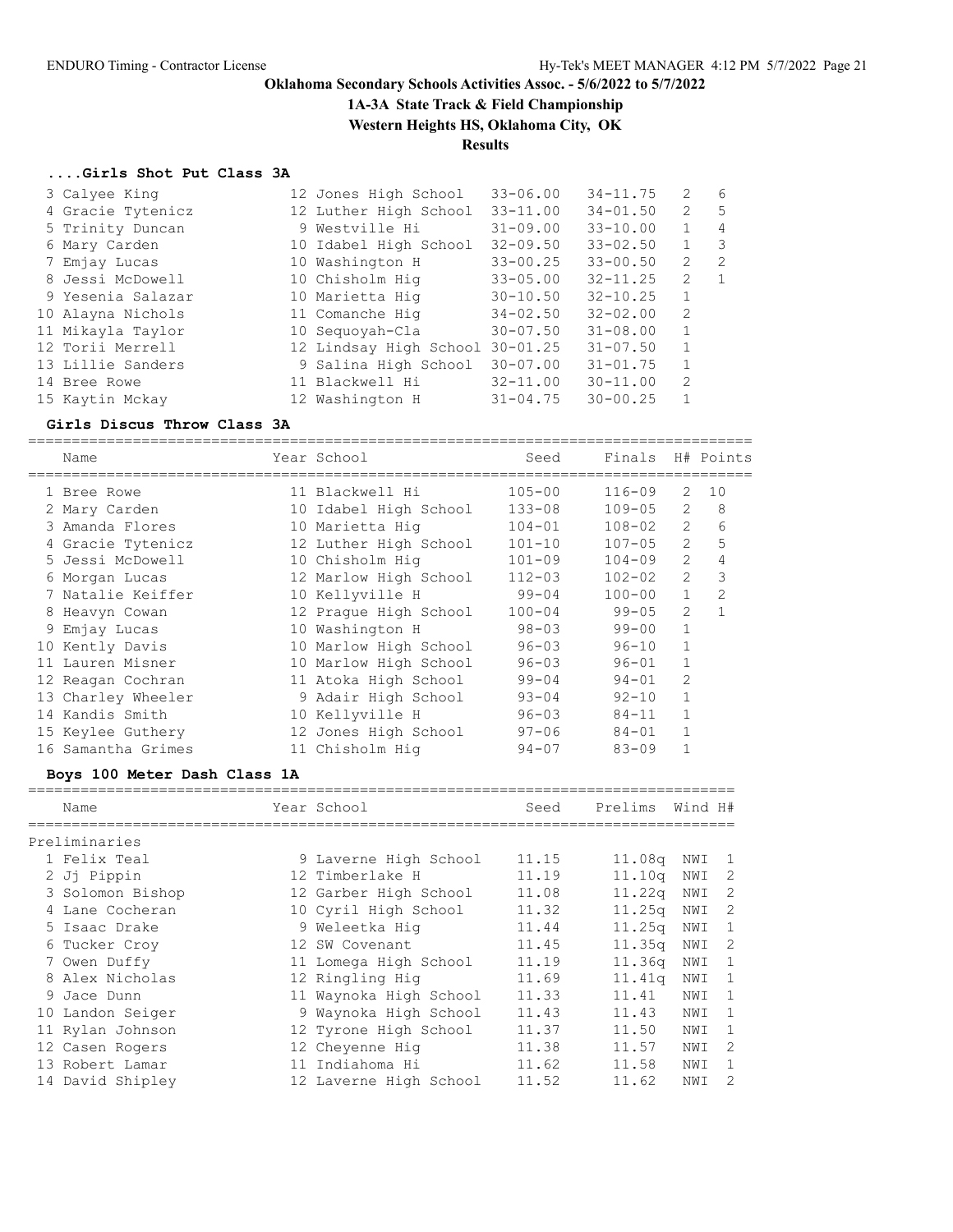## **1A-3A State Track & Field Championship**

**Western Heights HS, Oklahoma City, OK**

# **Results**

### **....Girls Shot Put Class 3A**

| 3 Calyee King     | 12 Jones High School            | $33 - 06.00$ | $34 - 11.75$ | 2            | - 6                     |
|-------------------|---------------------------------|--------------|--------------|--------------|-------------------------|
| 4 Gracie Tytenicz | 12 Luther High School           | $33 - 11.00$ | $34 - 01.50$ | 2            | 5                       |
| 5 Trinity Duncan  | 9 Westville Hi                  | $31 - 09.00$ | $33 - 10.00$ | $\mathbf{1}$ | 4                       |
| 6 Mary Carden     | 10 Idabel High School           | $32 - 09.50$ | $33 - 02.50$ | 1            | $\overline{\mathbf{3}}$ |
| 7 Emjay Lucas     | 10 Washington H                 | $33 - 00.25$ | $33 - 00.50$ | 2            | $\overline{2}$          |
| 8 Jessi McDowell  | 10 Chisholm Hig                 | $33 - 05.00$ | $32 - 11.25$ | 2            | 1                       |
| 9 Yesenia Salazar | 10 Marietta Hig                 | $30 - 10.50$ | $32 - 10.25$ | $\mathbf{1}$ |                         |
| 10 Alayna Nichols | 11 Comanche Hiq                 | $34 - 02.50$ | $32 - 02.00$ | 2            |                         |
| 11 Mikayla Taylor | 10 Sequoyah-Cla                 | $30 - 07.50$ | $31 - 08.00$ | $\mathbf{1}$ |                         |
| 12 Torii Merrell  | 12 Lindsay High School 30-01.25 |              | $31 - 07.50$ | $\mathbf{1}$ |                         |
| 13 Lillie Sanders | 9 Salina High School            | $30 - 07.00$ | $31 - 01.75$ | $\mathbf{1}$ |                         |
| 14 Bree Rowe      | 11 Blackwell Hi                 | $32 - 11.00$ | $30 - 11.00$ | 2            |                         |
| 15 Kaytin Mckay   | 12 Washington H                 | $31 - 04.75$ | $30 - 00.25$ | 1            |                         |

# **Girls Discus Throw Class 3A**

|  | Girls Discus Throw Class 3A |                       |            |            |                |                |
|--|-----------------------------|-----------------------|------------|------------|----------------|----------------|
|  | Name                        | Year School           | Seed       | Finals     |                | H# Points      |
|  | 1 Bree Rowe                 | 11 Blackwell Hi       | $105 - 00$ | $116 - 09$ | 2              | 10             |
|  | 2 Mary Carden               | 10 Idabel High School | $133 - 08$ | $109 - 05$ | 2              | 8              |
|  | 3 Amanda Flores             | 10 Marietta Hiq       | $104 - 01$ | $108 - 02$ | $\overline{2}$ | 6              |
|  | 4 Gracie Tytenicz           | 12 Luther High School | $101 - 10$ | $107 - 05$ | 2              | 5              |
|  | 5 Jessi McDowell            | 10 Chisholm Hig       | $101 - 09$ | $104 - 09$ | $\overline{2}$ | 4              |
|  | 6 Morgan Lucas              | 12 Marlow High School | $112 - 03$ | $102 - 02$ | $\overline{2}$ | 3              |
|  | 7 Natalie Keiffer           | 10 Kellyville H       | $99 - 04$  | $100 - 00$ | $\mathbf{1}$   | $\overline{2}$ |
|  | 8 Heavyn Cowan              | 12 Praque High School | $100 - 04$ | $99 - 05$  | $\overline{2}$ | 1              |
|  | 9 Emjay Lucas               | 10 Washington H       | $98 - 03$  | $99 - 00$  | $\mathbf{1}$   |                |
|  | 10 Kently Davis             | 10 Marlow High School | $96 - 03$  | $96 - 10$  | $\mathbf{1}$   |                |
|  | 11 Lauren Misner            | 10 Marlow High School | $96 - 03$  | $96 - 01$  |                |                |
|  | 12 Reagan Cochran           | 11 Atoka High School  | $99 - 04$  | $94 - 01$  | 2              |                |
|  | 13 Charley Wheeler          | 9 Adair High School   | $93 - 04$  | $92 - 10$  | $\mathbf{1}$   |                |
|  | 14 Kandis Smith             | 10 Kellyville H       | $96 - 03$  | $84 - 11$  | 1              |                |
|  | 15 Keylee Guthery           | 12 Jones High School  | $97 - 06$  | $84 - 01$  | 1              |                |
|  | 16 Samantha Grimes          | 11 Chisholm Hiq       | $94 - 07$  | $83 - 09$  |                |                |
|  |                             |                       |            |            |                |                |

#### **Boys 100 Meter Dash Class 1A**

| Name |                                                                                                                                                                                                                                                                           | Seed                                                                                                                                                                                                                                                                                                                                 | Prelims | Wind H#                                            |                                                                                    |
|------|---------------------------------------------------------------------------------------------------------------------------------------------------------------------------------------------------------------------------------------------------------------------------|--------------------------------------------------------------------------------------------------------------------------------------------------------------------------------------------------------------------------------------------------------------------------------------------------------------------------------------|---------|----------------------------------------------------|------------------------------------------------------------------------------------|
|      |                                                                                                                                                                                                                                                                           |                                                                                                                                                                                                                                                                                                                                      |         |                                                    |                                                                                    |
|      |                                                                                                                                                                                                                                                                           | 11.15                                                                                                                                                                                                                                                                                                                                |         | NWI                                                | $\overline{1}$                                                                     |
|      |                                                                                                                                                                                                                                                                           | 11.19                                                                                                                                                                                                                                                                                                                                |         | NWI                                                | 2                                                                                  |
|      |                                                                                                                                                                                                                                                                           | 11.08                                                                                                                                                                                                                                                                                                                                |         | NWI                                                | 2                                                                                  |
|      |                                                                                                                                                                                                                                                                           | 11.32                                                                                                                                                                                                                                                                                                                                |         | NWI                                                | -2                                                                                 |
|      |                                                                                                                                                                                                                                                                           | 11.44                                                                                                                                                                                                                                                                                                                                |         | NWI                                                | 1                                                                                  |
|      |                                                                                                                                                                                                                                                                           | 11.45                                                                                                                                                                                                                                                                                                                                |         | NWI                                                | $\overline{\phantom{0}}^2$                                                         |
|      |                                                                                                                                                                                                                                                                           | 11.19                                                                                                                                                                                                                                                                                                                                |         | NWI                                                | $\overline{1}$                                                                     |
|      |                                                                                                                                                                                                                                                                           | 11.69                                                                                                                                                                                                                                                                                                                                |         | NWI                                                | -1                                                                                 |
|      |                                                                                                                                                                                                                                                                           | 11.33                                                                                                                                                                                                                                                                                                                                | 11.41   | NWI                                                | -1                                                                                 |
|      |                                                                                                                                                                                                                                                                           | 11.43                                                                                                                                                                                                                                                                                                                                | 11.43   | NWI                                                | $\mathbf{1}$                                                                       |
|      |                                                                                                                                                                                                                                                                           | 11.37                                                                                                                                                                                                                                                                                                                                | 11.50   | NWI                                                | $\mathbf{1}$                                                                       |
|      |                                                                                                                                                                                                                                                                           | 11.38                                                                                                                                                                                                                                                                                                                                | 11.57   | NWI                                                | 2                                                                                  |
|      |                                                                                                                                                                                                                                                                           | 11.62                                                                                                                                                                                                                                                                                                                                | 11.58   | NWI                                                | 1                                                                                  |
|      |                                                                                                                                                                                                                                                                           | 11.52                                                                                                                                                                                                                                                                                                                                | 11.62   | NWI                                                | $\overline{c}$                                                                     |
|      | Preliminaries<br>1 Felix Teal<br>2 Jj Pippin<br>3 Solomon Bishop<br>4 Lane Cocheran<br>5 Isaac Drake<br>6 Tucker Croy<br>7 Owen Duffy<br>8 Alex Nicholas<br>9 Jace Dunn<br>10 Landon Seiger<br>11 Rylan Johnson<br>12 Casen Rogers<br>13 Robert Lamar<br>14 David Shipley | Year School<br>9 Laverne High School<br>12 Timberlake H<br>12 Garber High School<br>10 Cyril High School<br>9 Weleetka Hiq<br>12 SW Covenant<br>11 Lomega High School<br>12 Ringling Hig<br>11 Waynoka High School<br>9 Waynoka High School<br>12 Tyrone High School<br>12 Cheyenne Hig<br>11 Indiahoma Hi<br>12 Laverne High School |         | 11.08 <sub>q</sub><br>11.25q<br>11.35 <sub>q</sub> | 11.10 <sub>q</sub><br>11.22 <sub>q</sub><br>11.25 <sub>q</sub><br>11.36q<br>11.41q |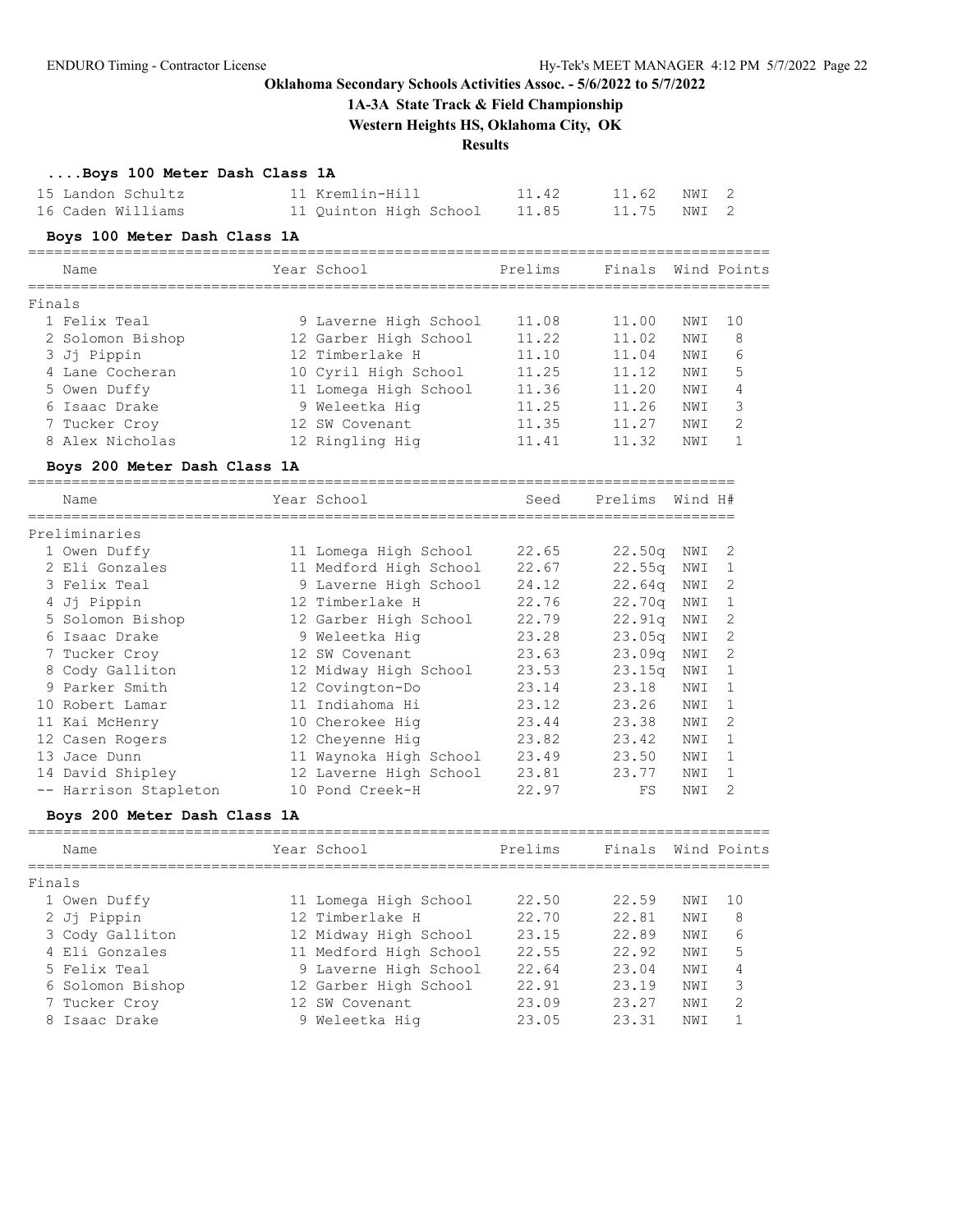## **1A-3A State Track & Field Championship**

**Western Heights HS, Oklahoma City, OK**

## **Results**

## **....Boys 100 Meter Dash Class 1A**

| 15 Landon Schultz | 11 Kremlin-Hill        | 11.42 | 11.62 NWI 2 |  |
|-------------------|------------------------|-------|-------------|--|
| 16 Caden Williams | 11 Quinton High School | 11.85 | 11.75 NWI 2 |  |

### **Boys 100 Meter Dash Class 1A**

|        | Name                         | Year School                  | Prelims | Finals  |         | Wind Points   |
|--------|------------------------------|------------------------------|---------|---------|---------|---------------|
| Finals |                              |                              |         |         |         |               |
|        | 1 Felix Teal                 | 9 Laverne High School        | 11.08   | 11.00   | NWI     | 10            |
|        | 2 Solomon Bishop             | 12 Garber High School        | 11.22   | 11.02   | NWI     | 8             |
|        | 3 Jj Pippin                  | 12 Timberlake H              | 11.10   | 11.04   | NWI     | 6             |
|        | 4 Lane Cocheran              | 10 Cyril High School         | 11.25   | 11.12   | NWI     | 5             |
|        | 5 Owen Duffy                 | 11 Lomega High School        | 11.36   | 11.20   | NWI     | 4             |
|        | 6 Isaac Drake                | 9 Weleetka Hig               | 11.25   | 11.26   | NWI     | 3             |
|        | 7 Tucker Croy                | 12 SW Covenant               | 11.35   | 11.27   | NWI     | $\mathcal{L}$ |
|        | 8 Alex Nicholas              | 12 Ringling Hig              | 11.41   | 11.32   | NWI     | $\mathbf{1}$  |
|        | Boys 200 Meter Dash Class 1A |                              |         |         |         |               |
|        | Name                         | Year School                  | Seed    | Prelims | Wind H# |               |
|        | Preliminaries                |                              |         |         |         |               |
|        | 1 Owen Duffy                 | 11 Lomega High School 22.65  |         | 22.50q  | NWI     | -2            |
|        | 2 Eli Gonzales               | 11 Medford High School 22.67 |         | 22.55q  | NWI     | -1            |
|        | 3 Felix Teal                 | 9 Laverne High School 24.12  |         | 22.64q  | NWI     | 2             |
|        | 4 Jj Pippin                  | 12 Timberlake H              | 22.76   | 22.70q  | NWI     |               |
|        | 5 Solomon Bishop             | 12 Garber High School        | 22.79   | 22.91q  | NWI     | 2             |
|        | 6 Isaac Drake                | 9 Weleetka Hig               | 23.28   | 23.05q  | NWI     | 2             |

| 7 Tucker Croy         | 12 SW Covenant         | 23.63 | 23.09q NWI 2       |       |                |
|-----------------------|------------------------|-------|--------------------|-------|----------------|
| 8 Cody Galliton       | 12 Midway High School  | 23.53 | 23.15 <sub>q</sub> | NWI 1 |                |
| 9 Parker Smith        | 12 Covington-Do        | 23.14 | 23.18              | NWI 1 |                |
| 10 Robert Lamar       | 11 Indiahoma Hi        | 23.12 | 23.26              | NWI   | $\overline{1}$ |
| 11 Kai McHenry        | 10 Cherokee Hig        | 23.44 | 23.38              | NWI 2 |                |
| 12 Casen Rogers       | 12 Chevenne Hig        | 23.82 | 23.42              | NWI 1 |                |
| 13 Jace Dunn          | 11 Waynoka High School | 23.49 | 23.50              | NWI 1 |                |
| 14 David Shipley      | 12 Laverne High School | 23.81 | 23.77              | NWI   | $\overline{1}$ |
| -- Harrison Stapleton | 10 Pond Creek-H        | 22.97 | FS                 | NWI 2 |                |

## **Boys 200 Meter Dash Class 1A**

| Name             | Year School            | Prelims | Finals Wind Points |      |               |
|------------------|------------------------|---------|--------------------|------|---------------|
| Finals           |                        |         |                    |      |               |
| 1 Owen Duffy     | 11 Lomega High School  | 22.50   | 22.59              | NWI  | 1 O           |
| 2 Jj Pippin      | 12 Timberlake H        | 22.70   | 22.81              | NWI  | -8            |
| 3 Cody Galliton  | 12 Midway High School  | 23.15   | 22.89              | NWI  | 6             |
| 4 Eli Gonzales   | 11 Medford High School | 22.55   | 22.92              | NWI  | 5             |
| 5 Felix Teal     | 9 Laverne High School  | 22.64   | 23.04              | NW T | 4             |
| 6 Solomon Bishop | 12 Garber High School  | 22.91   | 23.19              | NW T | 3             |
| 7 Tucker Croy    | 12 SW Covenant         | 23.09   | 23.27              | NWI  | $\mathcal{L}$ |
| 8 Isaac Drake    | 9 Weleetka Hig         | 23.05   | 23.31              | NW I |               |
|                  |                        |         |                    |      |               |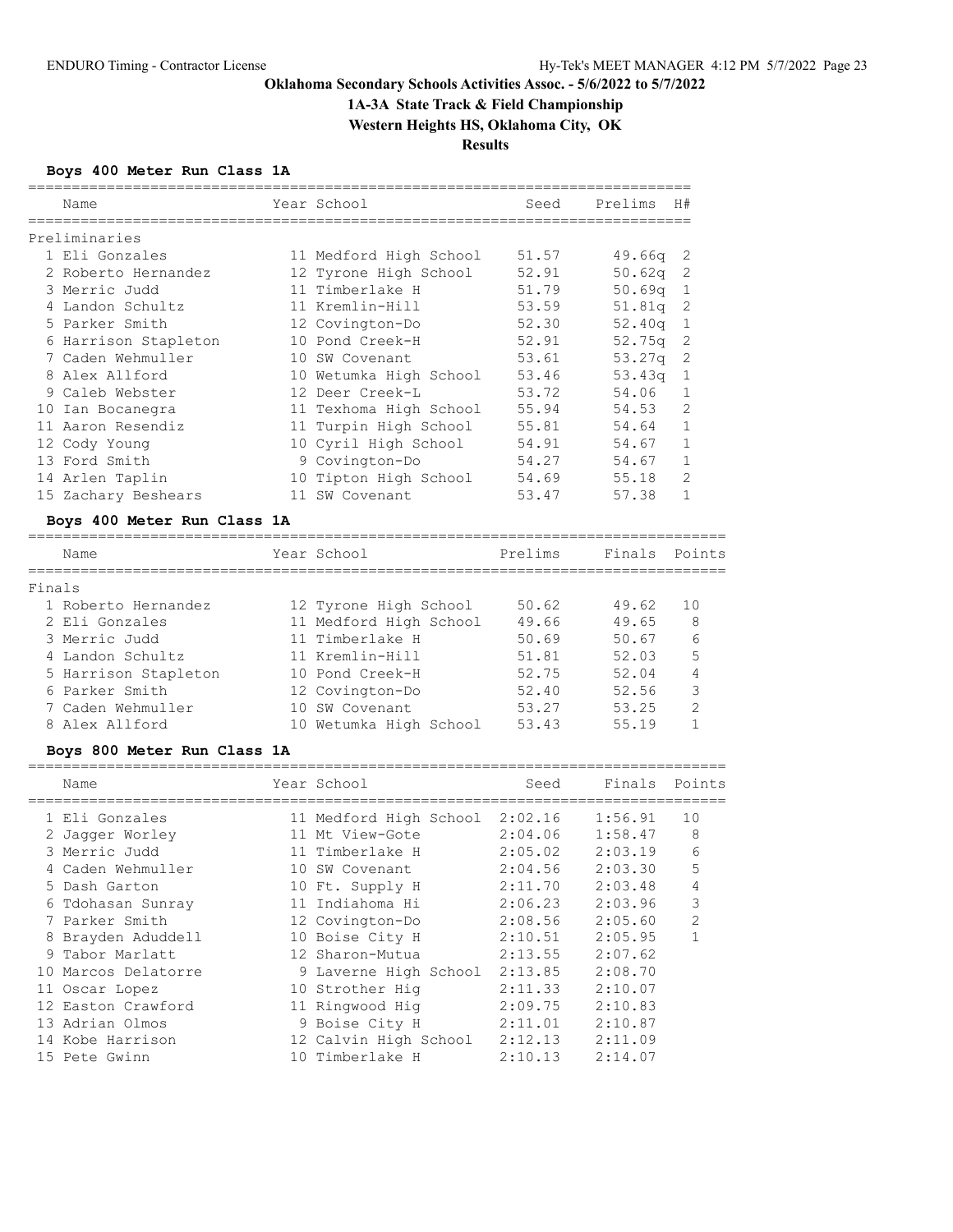# **1A-3A State Track & Field Championship**

**Western Heights HS, Oklahoma City, OK**

**Results**

## **Boys 400 Meter Run Class 1A**

| Name                 | Year School            | Seed  | Prelims | H#  |
|----------------------|------------------------|-------|---------|-----|
| Preliminaries        |                        |       |         |     |
| 1 Eli Gonzales       | 11 Medford High School | 51.57 | 49.66a  | - 2 |
| 2 Roberto Hernandez  | 12 Tyrone High School  | 52.91 | 50.62q  | 2   |
| 3 Merric Judd        | 11 Timberlake H        | 51.79 | 50.69q  | -1  |
| 4 Landon Schultz     | 11 Kremlin-Hill        | 53.59 | 51.81q  | -2  |
| 5 Parker Smith       | 12 Covington-Do        | 52.30 | 52.40q  | 1   |
| 6 Harrison Stapleton | 10 Pond Creek-H        | 52.91 | 52.75q  | -2  |
| 7 Caden Wehmuller    | 10 SW Covenant         | 53.61 | 53.27q  | 2   |
| 8 Alex Allford       | 10 Wetumka High School | 53.46 | 53.43q  | 1   |
| 9 Caleb Webster      | 12 Deer Creek-L        | 53.72 | 54.06   |     |
| 10 Ian Bocanegra     | 11 Texhoma High School | 55.94 | 54.53   | 2   |
| 11 Aaron Resendiz    | 11 Turpin High School  | 55.81 | 54.64   | 1   |
| 12 Cody Young        | 10 Cyril High School   | 54.91 | 54.67   |     |
| 13 Ford Smith        | 9 Covington-Do         | 54.27 | 54.67   |     |
| 14 Arlen Taplin      | 10 Tipton High School  | 54.69 | 55.18   | 2   |
| 15 Zachary Beshears  | 11 SW Covenant         | 53.47 | 57.38   |     |

### **Boys 400 Meter Run Class 1A**

|        | Name                 | Year School            | Prelims | Finals Points |               |
|--------|----------------------|------------------------|---------|---------------|---------------|
| Finals |                      |                        |         |               |               |
|        | 1 Roberto Hernandez  | 12 Tyrone High School  | 50.62   | 49.62         | 10            |
|        | 2 Eli Gonzales       | 11 Medford High School | 49.66   | 49.65         | 8             |
|        | 3 Merric Judd        | 11 Timberlake H        | 50.69   | 50.67         | 6             |
|        | 4 Landon Schultz     | 11 Kremlin-Hill        | 51.81   | 52.03         | 5             |
|        | 5 Harrison Stapleton | 10 Pond Creek-H        | 52.75   | 52.04         | 4             |
|        | 6 Parker Smith       | 12 Covington-Do        | 52.40   | 52.56         | 3             |
|        | 7 Caden Wehmuller    | 10 SW Covenant         | 53.27   | 53.25         | $\mathcal{L}$ |
|        | 8 Alex Allford       | 10 Wetumka High School | 53.43   | 55.19         |               |
|        |                      |                        |         |               |               |

### **Boys 800 Meter Run Class 1A**

| Name                | Year School            | Seed    | Finals Points |                |
|---------------------|------------------------|---------|---------------|----------------|
| 1 Eli Gonzales      | 11 Medford High School | 2:02.16 | 1:56.91       | 10             |
| 2 Jaqqer Worley     | 11 Mt View-Gote        | 2:04.06 | 1:58.47       | 8              |
| 3 Merric Judd       | 11 Timberlake H        | 2:05.02 | 2:03.19       | 6              |
| 4 Caden Wehmuller   | 10 SW Covenant         | 2:04.56 | 2:03.30       | 5              |
| 5 Dash Garton       | 10 Ft. Supply H        | 2:11.70 | 2:03.48       | 4              |
| 6 Tdohasan Sunray   | 11 Indiahoma Hi        | 2:06.23 | 2:03.96       | 3              |
| 7 Parker Smith      | 12 Covington-Do        | 2:08.56 | 2:05.60       | $\mathfrak{D}$ |
| 8 Brayden Aduddell  | 10 Boise City H        | 2:10.51 | 2:05.95       |                |
| 9 Tabor Marlatt     | 12 Sharon-Mutua        | 2:13.55 | 2:07.62       |                |
| 10 Marcos Delatorre | 9 Laverne High School  | 2:13.85 | 2:08.70       |                |
| 11 Oscar Lopez      | 10 Strother Hig        | 2:11.33 | 2:10.07       |                |
| 12 Easton Crawford  | 11 Ringwood Hig        | 2:09.75 | 2:10.83       |                |
| 13 Adrian Olmos     | 9 Boise City H         | 2:11.01 | 2:10.87       |                |
| 14 Kobe Harrison    | 12 Calvin High School  | 2:12.13 | 2:11.09       |                |
| 15 Pete Gwinn       | 10 Timberlake H        | 2:10.13 | 2:14.07       |                |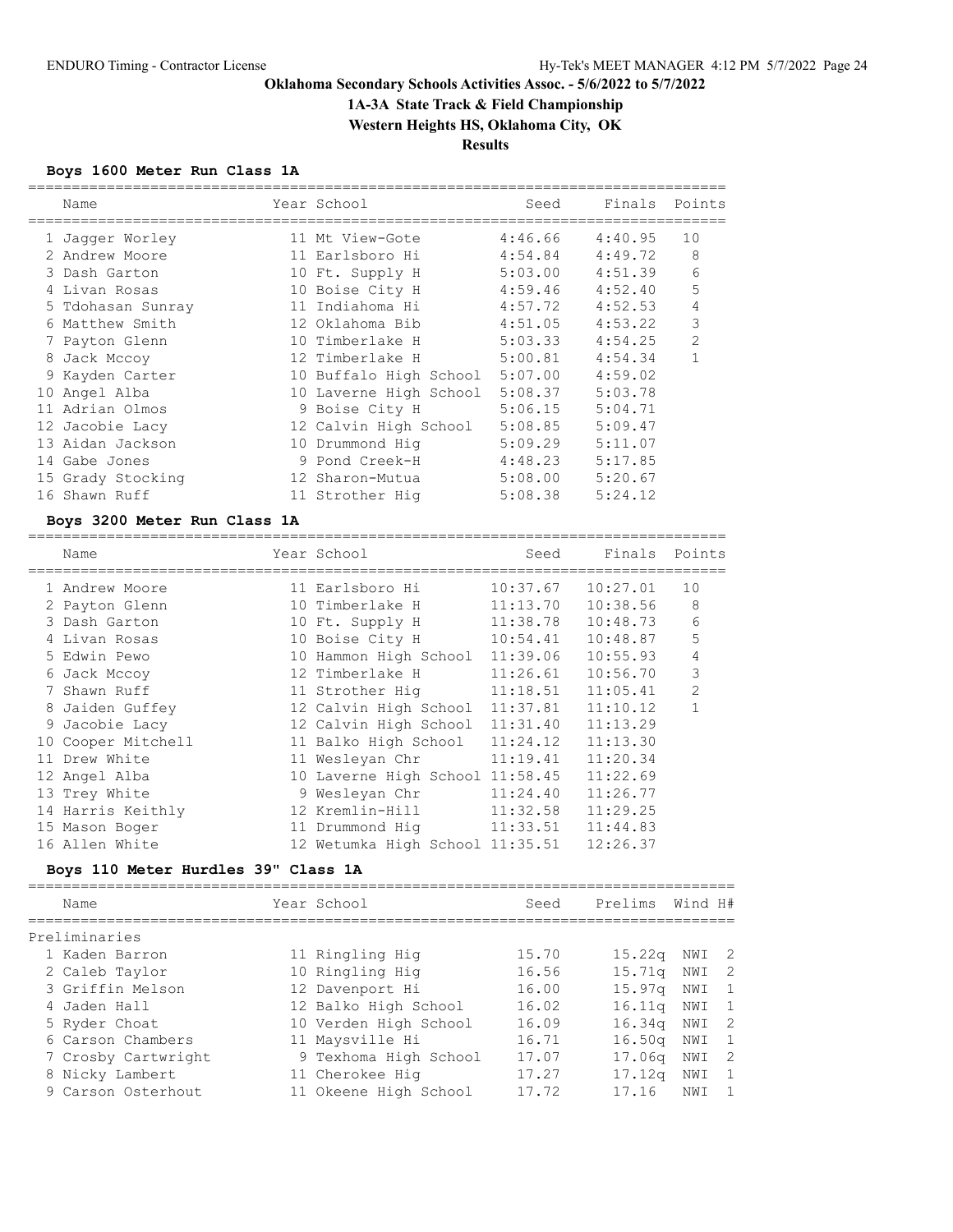# **1A-3A State Track & Field Championship**

**Western Heights HS, Oklahoma City, OK**

**Results**

## **Boys 1600 Meter Run Class 1A**

|    | Name              | Year School            | Seed    | Finals  | Points         |
|----|-------------------|------------------------|---------|---------|----------------|
|    | 1 Jaqqer Worley   | 11 Mt View-Gote        | 4:46.66 | 4:40.95 | 10             |
|    | 2 Andrew Moore    | 11 Earlsboro Hi        | 4:54.84 | 4:49.72 | 8              |
|    | 3 Dash Garton     | 10 Ft. Supply H        | 5:03.00 | 4:51.39 | 6              |
|    | 4 Livan Rosas     | 10 Boise City H        | 4:59.46 | 4:52.40 | 5              |
|    | 5 Tdohasan Sunray | 11 Indiahoma Hi        | 4:57.72 | 4:52.53 | 4              |
|    | 6 Matthew Smith   | 12 Oklahoma Bib        | 4:51.05 | 4:53.22 | 3              |
|    | 7 Payton Glenn    | 10 Timberlake H        | 5:03.33 | 4:54.25 | $\overline{2}$ |
|    | 8 Jack Mccoy      | 12 Timberlake H        | 5:00.81 | 4:54.34 | 1              |
|    | 9 Kayden Carter   | 10 Buffalo High School | 5:07.00 | 4:59.02 |                |
| 10 | Angel Alba        | 10 Laverne High School | 5:08.37 | 5:03.78 |                |
|    | Adrian Olmos      | 9 Boise City H         | 5:06.15 | 5:04.71 |                |
|    | 12 Jacobie Lacy   | 12 Calvin High School  | 5:08.85 | 5:09.47 |                |
|    | 13 Aidan Jackson  | 10 Drummond Hig        | 5:09.29 | 5:11.07 |                |
|    | 14 Gabe Jones     | 9 Pond Creek-H         | 4:48.23 | 5:17.85 |                |
|    | 15 Grady Stocking | 12 Sharon-Mutua        | 5:08.00 | 5:20.67 |                |
|    | 16 Shawn Ruff     | 11 Strother Hig        | 5:08.38 | 5:24.12 |                |
|    |                   |                        |         |         |                |

### **Boys 3200 Meter Run Class 1A**

|    | Name              | Year School                     | Seed     | Finals   | Points         |
|----|-------------------|---------------------------------|----------|----------|----------------|
|    | 1 Andrew Moore    | 11 Earlsboro Hi                 | 10:37.67 | 10:27.01 | 10             |
|    | 2 Payton Glenn    | 10 Timberlake H                 | 11:13.70 | 10:38.56 | 8              |
|    | 3 Dash Garton     | 10 Ft. Supply H                 | 11:38.78 | 10:48.73 | 6              |
|    | 4 Livan Rosas     | 10 Boise City H                 | 10:54.41 | 10:48.87 | 5              |
|    | 5 Edwin Pewo      | 10 Hammon High School           | 11:39.06 | 10:55.93 | 4              |
|    | 6 Jack Mccoy      | 12 Timberlake H                 | 11:26.61 | 10:56.70 | 3              |
|    | Shawn Ruff        | 11 Strother Hig                 | 11:18.51 | 11:05.41 | $\overline{2}$ |
|    | 8 Jaiden Guffey   | 12 Calvin High School           | 11:37.81 | 11:10.12 |                |
|    | 9 Jacobie Lacy    | 12 Calvin High School           | 11:31.40 | 11:13.29 |                |
| 10 | Cooper Mitchell   | 11 Balko High School            | 11:24.12 | 11:13.30 |                |
|    | 11 Drew White     | 11 Wesleyan Chr                 | 11:19.41 | 11:20.34 |                |
|    | 12 Angel Alba     | 10 Laverne High School 11:58.45 |          | 11:22.69 |                |
|    | 13 Trey White     | 9 Wesleyan Chr                  | 11:24.40 | 11:26.77 |                |
|    | 14 Harris Keithly | 12 Kremlin-Hill                 | 11:32.58 | 11:29.25 |                |
|    | 15 Mason Boger    | 11 Drummond Hiq                 | 11:33.51 | 11:44.83 |                |
|    | 16 Allen White    | 12 Wetumka High School 11:35.51 |          | 12:26.37 |                |
|    |                   |                                 |          |          |                |

## **Boys 110 Meter Hurdles 39" Class 1A**

| Name                | Year School           | Seed  | Prelims            | Wind H# |                |
|---------------------|-----------------------|-------|--------------------|---------|----------------|
| Preliminaries       |                       |       |                    |         |                |
| 1 Kaden Barron      | 11 Ringling Hig       | 15.70 | $15.22\sigma$      | NWI     | $\overline{2}$ |
| 2 Caleb Taylor      | 10 Ringling Hig       | 16.56 | 15.71q             | NWI     | $\overline{2}$ |
| 3 Griffin Melson    | 12 Davenport Hi       | 16.00 | 15.97 <sub>q</sub> | NWI     | $\overline{1}$ |
| 4 Jaden Hall        | 12 Balko High School  | 16.02 | 16.11q             | NWI     | - 1            |
| 5 Ryder Choat       | 10 Verden High School | 16.09 | 16.34q             | NWI     | - 2            |
| 6 Carson Chambers   | 11 Maysville Hi       | 16.71 | 16.50 <sub>q</sub> | NWI     | - 1            |
| 7 Crosby Cartwright | 9 Texhoma High School | 17.07 | 17.06 <sub>q</sub> | NWI     | - 2            |
| 8 Nicky Lambert     | 11 Cherokee Hig       | 17.27 | 17.12g             | NWI     | 1              |
| 9 Carson Osterhout  | 11 Okeene High School | 17.72 | 17.16              | NWI     |                |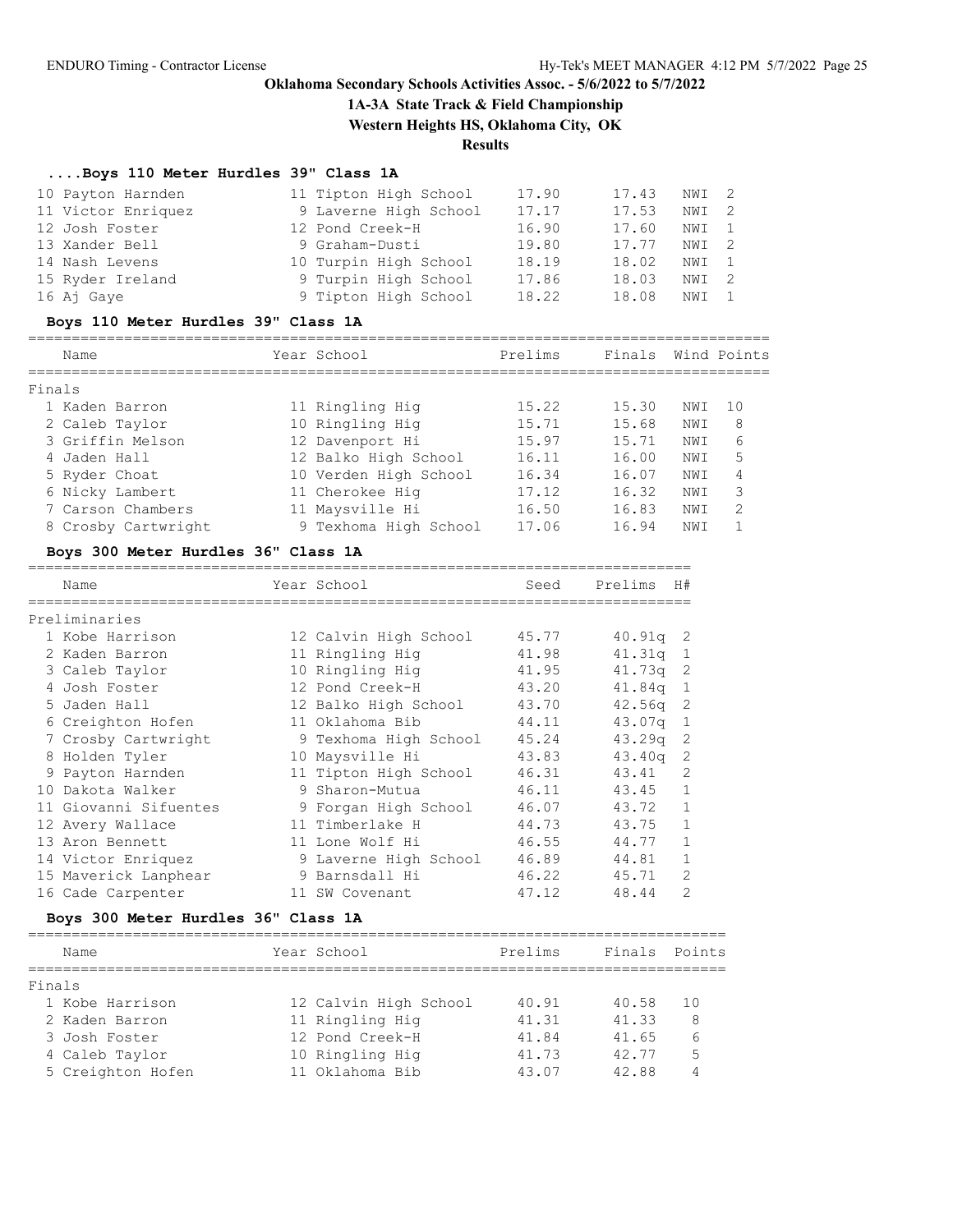## **1A-3A State Track & Field Championship**

**Western Heights HS, Oklahoma City, OK**

**Results**

## **....Boys 110 Meter Hurdles 39" Class 1A**

|        | 10 Payton Harnden                   | 11 Tipton High School | 17.90   | 17.43      | NWI                      | 2            |
|--------|-------------------------------------|-----------------------|---------|------------|--------------------------|--------------|
|        | 11 Victor Enriquez                  | 9 Laverne High School | 17.17   | 17.53      | NWI                      | 2            |
|        | 12 Josh Foster                      | 12 Pond Creek-H       | 16.90   | 17.60      | NWI                      | 1            |
|        | 13 Xander Bell                      | 9 Graham-Dusti        | 19.80   | 17.77      | NWI                      | 2            |
|        | 14 Nash Levens                      | 10 Turpin High School | 18.19   | 18.02      | NWI                      | 1            |
|        | 15 Ryder Ireland                    | 9 Turpin High School  | 17.86   | 18.03      | NWI                      | 2            |
|        | 16 Aj Gaye                          | 9 Tipton High School  | 18.22   | 18.08      | NWI                      | 1            |
|        | Boys 110 Meter Hurdles 39" Class 1A |                       |         |            |                          |              |
|        | Name                                | Year School           | Prelims | Finals     |                          | Wind Points  |
| Finals |                                     |                       |         |            |                          |              |
|        | 1 Kaden Barron                      | 11 Ringling Hig       | 15.22   | 15.30      | NWI                      | 10           |
|        | 2 Caleb Taylor                      | 10 Ringling Hig       | 15.71   | 15.68      | NWI                      | 8            |
|        | 3 Griffin Melson                    | 12 Davenport Hi       | 15.97   | 15.71      | NWI                      | 6            |
|        | 4 Jaden Hall                        | 12 Balko High School  | 16.11   | 16.00      | NWI                      | 5            |
|        | 5 Ryder Choat                       | 10 Verden High School | 16.34   | 16.07      | NWI                      | 4            |
|        | 6 Nicky Lambert                     | 11 Cherokee Hig       | 17.12   | 16.32      | NWI                      | 3            |
|        | 7 Carson Chambers                   | 11 Maysville Hi       | 16.50   | 16.83      | NWI                      | 2            |
|        | 8 Crosby Cartwright                 | 9 Texhoma High School | 17.06   | 16.94      | NWI                      | $\mathbf{1}$ |
|        | Boys 300 Meter Hurdles 36" Class 1A |                       |         |            |                          |              |
|        | Name                                | Year School           | Seed    | Prelims H# |                          |              |
|        | Preliminaries                       |                       |         |            |                          |              |
|        | 1 Kobe Harrison                     | 12 Calvin High School |         |            |                          |              |
|        |                                     |                       | 45.77   | $40.91q$ 2 |                          |              |
|        | 2 Kaden Barron                      | 11 Ringling Hig       | 41.98   | 41.31q     | 1                        |              |
|        | 3 Caleb Taylor                      | 10 Ringling Hig       | 41.95   | 41.73q     | $\overline{\phantom{2}}$ |              |
|        | 4 Josh Foster                       | 12 Pond Creek-H       | 43.20   | 41.84q     | $\mathbf{1}$             |              |
|        | 5 Jaden Hall                        | 12 Balko High School  | 43.70   | $42.56q$ 2 |                          |              |
|        | 6 Creighton Hofen                   | 11 Oklahoma Bib       | 44.11   | 43.07q     | $\mathbf{1}$             |              |
|        | 7 Crosby Cartwright                 | 9 Texhoma High School | 45.24   | 43.29q     | $\mathbf{2}$             |              |
|        | 8 Holden Tyler                      | 10 Maysville Hi       | 43.83   | 43.40g     | 2                        |              |
|        | 9 Payton Harnden                    | 11 Tipton High School | 46.31   | 43.41      | 2                        |              |
|        | 10 Dakota Walker                    | 9 Sharon-Mutua        | 46.11   | 43.45      | $\mathbf{1}$             |              |
|        | 11 Giovanni Sifuentes               | 9 Forgan High School  | 46.07   | 43.72      | 1                        |              |
|        | 12 Avery Wallace                    | 11 Timberlake H       | 44.73   | 43.75      | $\mathbf{1}$             |              |
|        | 13 Aron Bennett                     | 11 Lone Wolf Hi       | 46.55   | 44.77      | 1                        |              |
|        | 14 Victor Enriquez                  | 9 Laverne High School | 46.89   | 44.81      | 1                        |              |
|        | 15 Maverick Lanphear                | 9 Barnsdall Hi        | 46.22   | 45.71      | 2                        |              |
|        | 16 Cade Carpenter                   | 11 SW Covenant        | 47.12   | 48.44      | 2                        |              |

## **Boys 300 Meter Hurdles 36" Class 1A**

| Name              | Year School           | Prelims | Finals | Points |
|-------------------|-----------------------|---------|--------|--------|
|                   |                       |         |        |        |
| Finals            |                       |         |        |        |
| 1 Kobe Harrison   | 12 Calvin High School | 40.91   | 40.58  | 10     |
| 2 Kaden Barron    | 11 Ringling Hig       | 41.31   | 41.33  | 8      |
| 3 Josh Foster     | 12 Pond Creek-H       | 41.84   | 41.65  | 6      |
| 4 Caleb Taylor    | 10 Ringling Hig       | 41.73   | 42.77  | 5      |
| 5 Creighton Hofen | 11 Oklahoma Bib       | 43.07   | 42.88  |        |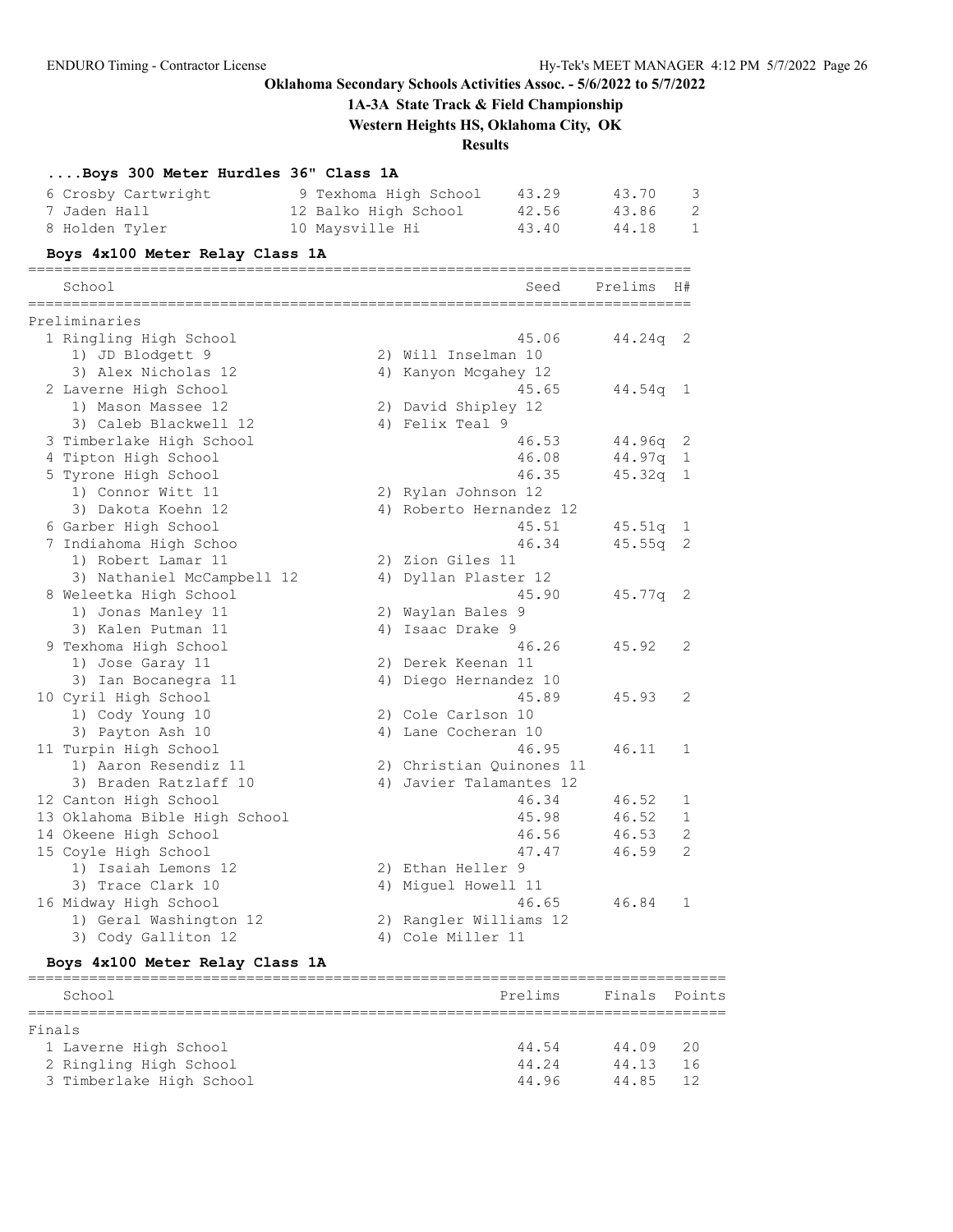**1A-3A State Track & Field Championship**

**Western Heights HS, Oklahoma City, OK**

## **Results**

## **....Boys 300 Meter Hurdles 36" Class 1A**

| 6 Crosby Cartwright | 9 Texhoma High School | 43.29 | 43.70 |  |
|---------------------|-----------------------|-------|-------|--|
| 7 Jaden Hall        | 12 Balko High School  | 42.56 | 43.86 |  |
| 8 Holden Tyler      | 10 Maysville Hi       | 43.40 | 44.18 |  |

### **Boys 4x100 Meter Relay Class 1A**

| School                        | Seed                     | Prelims    | H#                         |
|-------------------------------|--------------------------|------------|----------------------------|
| Preliminaries                 |                          |            |                            |
| 1 Ringling High School        | 45.06                    | 44.24q     | - 2                        |
| 1) JD Blodgett 9              | 2) Will Inselman 10      |            |                            |
| 3) Alex Nicholas 12           | 4) Kanyon Mcgahey 12     |            |                            |
| 2 Laverne High School         | 45.65                    | 44.54q 1   |                            |
| 1) Mason Massee 12            | 2) David Shipley 12      |            |                            |
| 3) Caleb Blackwell 12         | 4) Felix Teal 9          |            |                            |
| 3 Timberlake High School      | 46.53                    | $44.96q$ 2 |                            |
| 4 Tipton High School          | 46.08                    | 44.97q     | $\mathbf{1}$               |
| 5 Tyrone High School          | 46.35                    | 45.32q     | 1                          |
| 1) Connor Witt 11             | 2) Rylan Johnson 12      |            |                            |
| 3) Dakota Koehn 12            | 4) Roberto Hernandez 12  |            |                            |
| 6 Garber High School          | 45.51                    | $45.51q$ 1 |                            |
| 7 Indiahoma High Schoo        | 46.34                    | 45.55q     | 2                          |
| 1) Robert Lamar 11            | 2) Zion Giles 11         |            |                            |
| 3) Nathaniel McCampbell 12    | 4) Dyllan Plaster 12     |            |                            |
| 8 Weleetka High School        | 45.90                    | 45.77q     | $\overline{\phantom{0}}^2$ |
| 1) Jonas Manley 11            | 2) Waylan Bales 9        |            |                            |
| 3) Kalen Putman 11            | 4) Isaac Drake 9         |            |                            |
| 9 Texhoma High School         | 46.26                    | 45.92      | 2                          |
| 1) Jose Garay 11              | 2) Derek Keenan 11       |            |                            |
| 3) Ian Bocanegra 11           | 4) Diego Hernandez 10    |            |                            |
| 10 Cyril High School          | 45.89                    | 45.93      | 2                          |
| 1) Cody Young 10              | 2) Cole Carlson 10       |            |                            |
| 3) Payton Ash 10              | 4) Lane Cocheran 10      |            |                            |
| 11 Turpin High School         | 46.95                    | 46.11      | 1                          |
| 1) Aaron Resendiz 11          | 2) Christian Ouinones 11 |            |                            |
| 3) Braden Ratzlaff 10         | 4) Javier Talamantes 12  |            |                            |
| 12 Canton High School         | 46.34                    | 46.52      | 1                          |
| 13 Oklahoma Bible High School | 45.98                    | 46.52      | $\mathbf{1}$               |
| 14 Okeene High School         | 46.56                    | 46.53      | 2                          |
| 15 Coyle High School          | 47.47                    | 46.59      | $\mathfrak{D}$             |
| 1) Isaiah Lemons 12           | 2) Ethan Heller 9        |            |                            |
| 3) Trace Clark 10             | 4) Miquel Howell 11      |            |                            |
| 16 Midway High School         | 46.65                    | 46.84      | $\mathbf{1}$               |
| 1) Geral Washington 12        | 2) Rangler Williams 12   |            |                            |
| 3) Cody Galliton 12           | 4) Cole Miller 11        |            |                            |

## **Boys 4x100 Meter Relay Class 1A**

|        | School                   | Prelims | Finals Points |    |  |
|--------|--------------------------|---------|---------------|----|--|
|        |                          |         |               |    |  |
| Finals |                          |         |               |    |  |
|        | 1 Laverne High School    | 44.54   | 44.09         | 20 |  |
|        | 2 Ringling High School   | 44.24   | 44.13         | 16 |  |
|        | 3 Timberlake High School | 44.96   | 44.85         | 12 |  |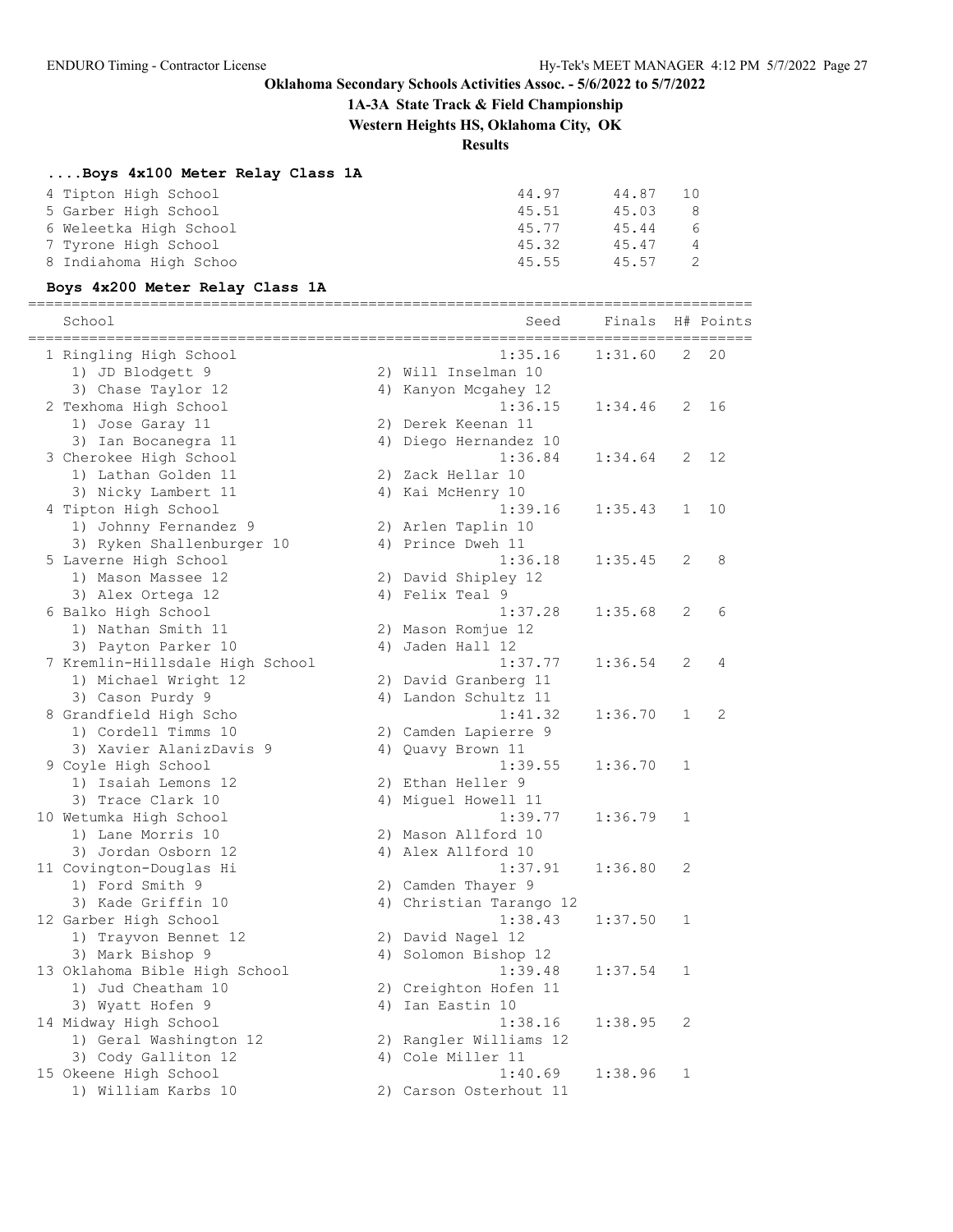## **1A-3A State Track & Field Championship**

**Western Heights HS, Oklahoma City, OK**

# **Results**

## **....Boys 4x100 Meter Relay Class 1A**

| 44.97 | 44.87 | 1 O            |
|-------|-------|----------------|
| 45.51 | 45.03 | -8             |
| 45.77 | 45.44 | 6              |
| 45.32 | 45.47 | $\overline{4}$ |
| 45.55 | 45.57 | -2.            |
|       |       |                |

## **Boys 4x200 Meter Relay Class 1A**

|                                 |                         | ========================   |                |           |
|---------------------------------|-------------------------|----------------------------|----------------|-----------|
| School                          | Seed                    | Finals<br>================ |                | H# Points |
| 1 Ringling High School          | 1:35.16                 | 1:31.60                    | 2              | 20        |
| 1) JD Blodgett 9                | 2) Will Inselman 10     |                            |                |           |
| 3) Chase Taylor 12              | 4) Kanyon Mcgahey 12    |                            |                |           |
| 2 Texhoma High School           | 1:36.15                 | 1:34.46                    | $\overline{2}$ | 16        |
| 1) Jose Garay 11                | 2) Derek Keenan 11      |                            |                |           |
| 3) Ian Bocanegra 11             | 4) Diego Hernandez 10   |                            |                |           |
| 3 Cherokee High School          | 1:36.84                 | 1:34.64                    | 2              | 12        |
| 1) Lathan Golden 11             | 2) Zack Hellar 10       |                            |                |           |
| 3) Nicky Lambert 11             | 4) Kai McHenry 10       |                            |                |           |
| 4 Tipton High School            | 1:39.16                 | 1:35.43                    | 1              | 10        |
| 1) Johnny Fernandez 9           | 2) Arlen Taplin 10      |                            |                |           |
| 3) Ryken Shallenburger 10       | 4) Prince Dweh 11       |                            |                |           |
| 5 Laverne High School           | 1:36.18                 | 1:35.45                    | 2              | 8         |
| 1) Mason Massee 12              | 2) David Shipley 12     |                            |                |           |
| 3) Alex Ortega 12               | 4) Felix Teal 9         |                            |                |           |
| 6 Balko High School             | 1:37.28                 | 1:35.68                    | 2              | 6         |
| 1) Nathan Smith 11              | 2) Mason Romjue 12      |                            |                |           |
| 3) Payton Parker 10             | 4) Jaden Hall 12        |                            |                |           |
| 7 Kremlin-Hillsdale High School | 1:37.77                 | 1:36.54                    | 2              | 4         |
| 1) Michael Wright 12            | 2) David Granberg 11    |                            |                |           |
| 3) Cason Purdy 9                | 4) Landon Schultz 11    |                            |                |           |
| 8 Grandfield High Scho          | 1:41.32                 | 1:36.70                    | $\mathbf{1}$   | 2         |
| 1) Cordell Timms 10             | 2) Camden Lapierre 9    |                            |                |           |
| 3) Xavier AlanizDavis 9         | 4) Quavy Brown 11       |                            |                |           |
| 9 Coyle High School             | 1:39.55                 | 1:36.70                    | $\mathbf{1}$   |           |
| 1) Isaiah Lemons 12             | 2) Ethan Heller 9       |                            |                |           |
| 3) Trace Clark 10               | 4) Miguel Howell 11     |                            |                |           |
| 10 Wetumka High School          | 1:39.77                 | 1:36.79                    | $\mathbf{1}$   |           |
| 1) Lane Morris 10               | 2) Mason Allford 10     |                            |                |           |
| 3) Jordan Osborn 12             | 4) Alex Allford 10      |                            |                |           |
| 11 Covington-Douglas Hi         | 1:37.91                 | 1:36.80                    | 2              |           |
| 1) Ford Smith 9                 | 2) Camden Thayer 9      |                            |                |           |
| 3) Kade Griffin 10              | 4) Christian Tarango 12 |                            |                |           |
| 12 Garber High School           | 1:38.43                 | 1:37.50                    | 1              |           |
| 1) Trayvon Bennet 12            | 2) David Nagel 12       |                            |                |           |
| 3) Mark Bishop 9                | 4) Solomon Bishop 12    |                            |                |           |
| 13 Oklahoma Bible High School   | 1:39.48                 | 1:37.54                    | 1              |           |
| 1) Jud Cheatham 10              | 2) Creighton Hofen 11   |                            |                |           |
| 3) Wyatt Hofen 9                | 4) Ian Eastin 10        |                            |                |           |
| 14 Midway High School           | 1:38.16                 | 1:38.95                    | 2              |           |
| 1) Geral Washington 12          | 2) Rangler Williams 12  |                            |                |           |
| 3) Cody Galliton 12             | 4) Cole Miller 11       |                            |                |           |
| 15 Okeene High School           | 1:40.69                 | 1:38.96                    | 1              |           |
| 1) William Karbs 10             | 2) Carson Osterhout 11  |                            |                |           |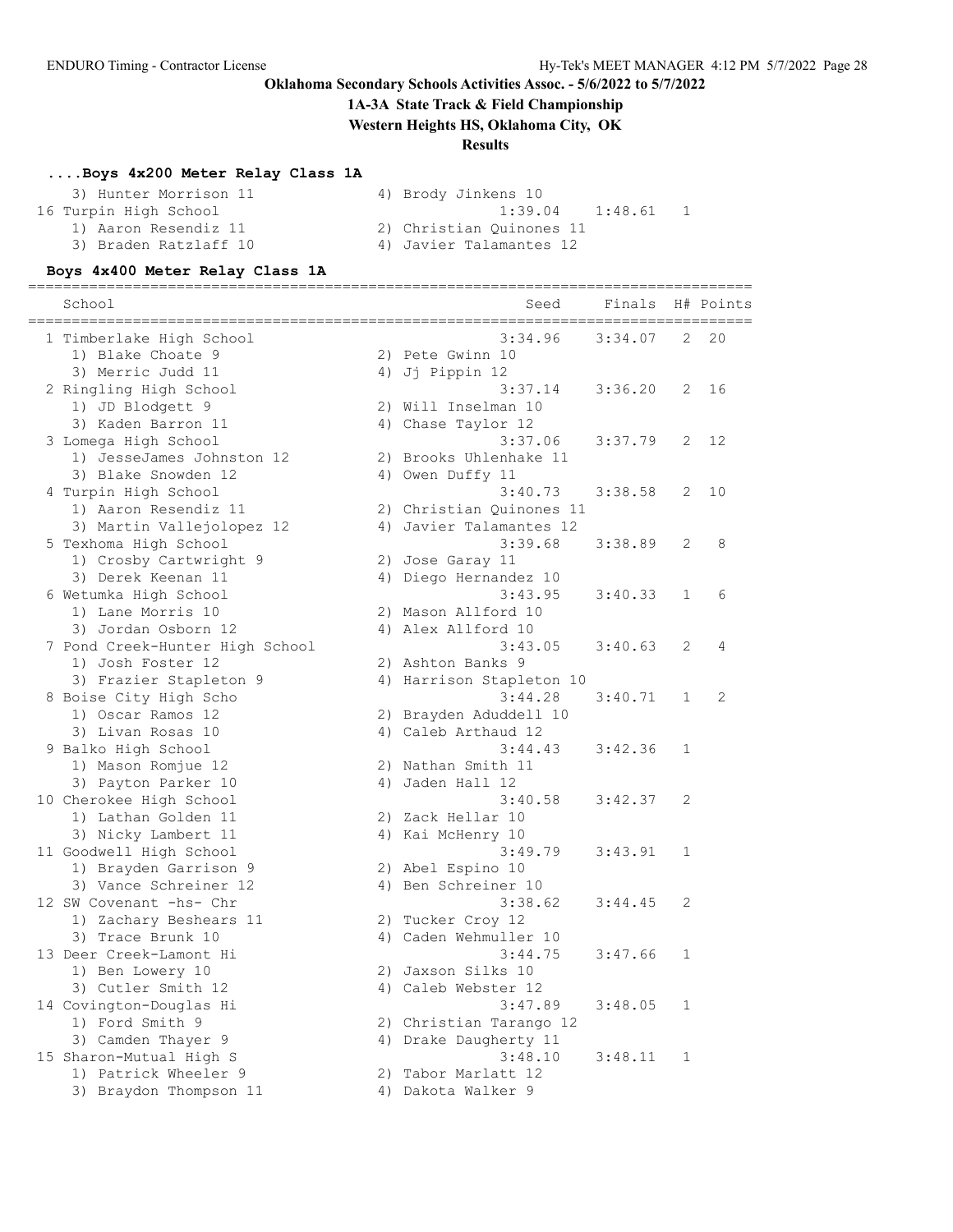#### **1A-3A State Track & Field Championship**

**Western Heights HS, Oklahoma City, OK**

### **Results**

### **....Boys 4x200 Meter Relay Class 1A**

| 3) Hunter Morrison 11 | 4) Brody Jinkens 10      |
|-----------------------|--------------------------|
| 16 Turpin High School | $1:39.04$ $1:48.61$      |
| 1) Aaron Resendiz 11  | 2) Christian Ouinones 11 |
| 3) Braden Ratzlaff 10 | 4) Javier Talamantes 12  |

#### **Boys 4x400 Meter Relay Class 1A**

=================================================================================== School Seed Finals H# Points =================================================================================== 1 Timberlake High School 3:34.96 3:34.07 2 20 1) Blake Choate 9 2) Pete Gwinn 10 3) Merric Judd 11 (4) Jj Pippin 12 2 Ringling High School 3:37.14 3:36.20 2 16 1) JD Blodgett 9 2) Will Inselman 10 3) Kaden Barron 11 <a>4) Chase Taylor 12 3 Lomega High School 3:37.06 3:37.79 2 12 1) JesseJames Johnston 12 2) Brooks Uhlenhake 11 3) Blake Snowden 12 4) Owen Duffy 11 4 Turpin High School 3:40.73 3:38.58 2 10 1) Aaron Resendiz 11 2) Christian Quinones 11 3) Martin Vallejolopez 12 4) Javier Talamantes 12 5 Texhoma High School 3:39.68 3:38.89 2 8 1) Crosby Cartwright 9 2) Jose Garay 11 3) Derek Keenan 11 4) Diego Hernandez 10 6 Wetumka High School 3:43.95 3:40.33 1 6 1) Lane Morris 10 2) Mason Allford 10 3) Jordan Osborn 12 4) Alex Allford 10 7 Pond Creek-Hunter High School 3:43.05 3:40.63 2 4 1) Josh Foster 12 2) Ashton Banks 9 3) Frazier Stapleton 9 (4) Harrison Stapleton 10 8 Boise City High Scho 3:44.28 3:40.71 1 2 1) Oscar Ramos 12 2) Brayden Aduddell 10 3) Livan Rosas 10 4) Caleb Arthaud 12 9 Balko High School 3:44.43 3:42.36 1 1) Mason Romjue 12 2) Nathan Smith 11 3) Payton Parker 10 (4) Jaden Hall 12 10 Cherokee High School 3:40.58 3:42.37 2 1) Lathan Golden 11 2) Zack Hellar 10 3) Nicky Lambert 11 4) Kai McHenry 10 11 Goodwell High School 3:49.79 3:43.91 1 1) Brayden Garrison 9 2) Abel Espino 10 3) Vance Schreiner 12 (a) 4) Ben Schreiner 10 12 SW Covenant -hs- Chr 3:38.62 3:44.45 2 1) Zachary Beshears 11 2) Tucker Croy 12 3) Trace Brunk 10 4) Caden Wehmuller 10 13 Deer Creek-Lamont Hi 3:44.75 3:47.66 1 1) Ben Lowery 10 2) Jaxson Silks 10 3) Cutler Smith 12 (4) Caleb Webster 12 14 Covington-Douglas Hi 3:47.89 3:48.05 1 1) Ford Smith 9 2) Christian Tarango 12 3) Camden Thayer 9 4) Drake Daugherty 11 15 Sharon-Mutual High S 3:48.10 3:48.11 1 1) Patrick Wheeler 9 2) Tabor Marlatt 12 3) Braydon Thompson 11  $\hskip10mm 4)$  Dakota Walker 9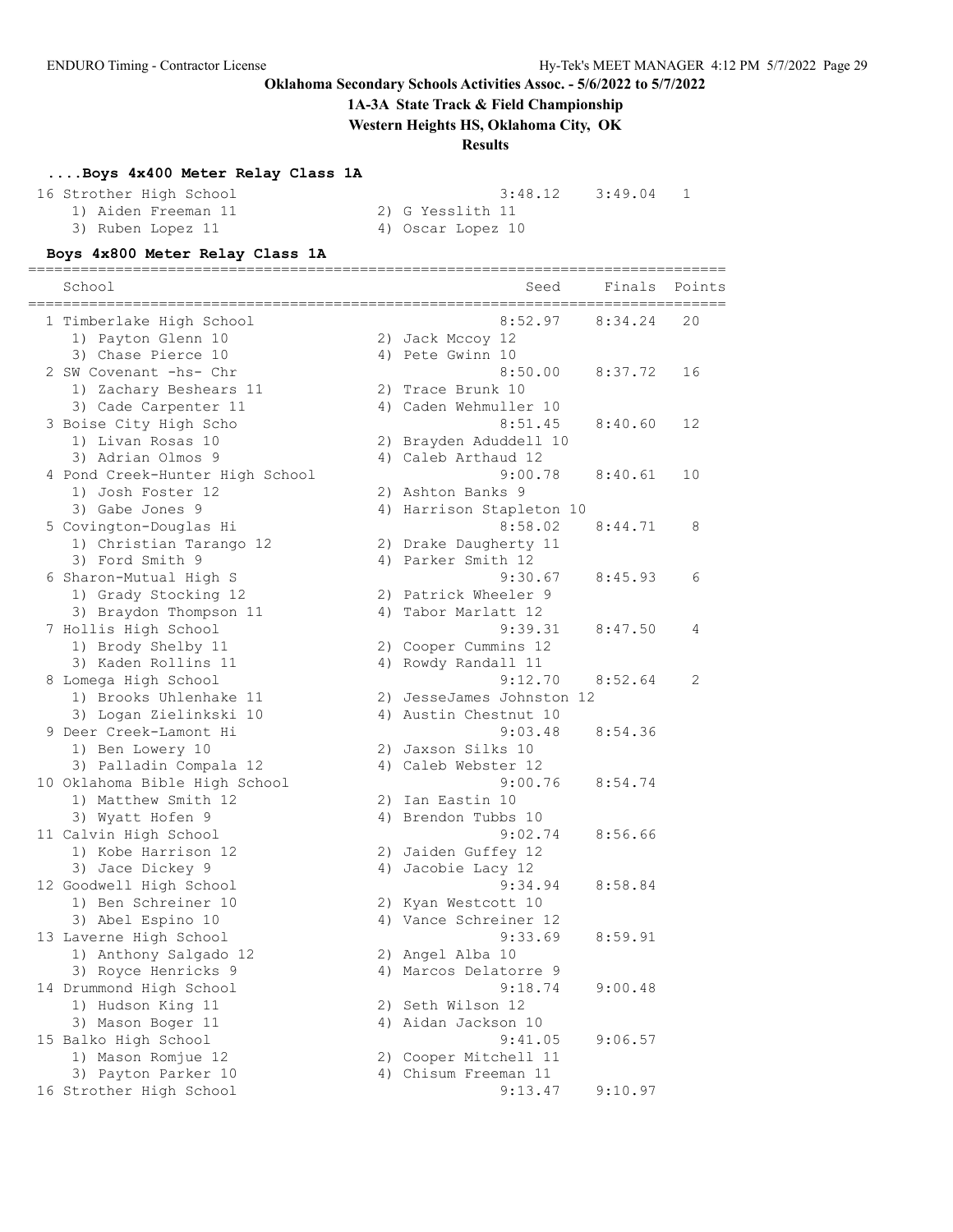#### **1A-3A State Track & Field Championship**

**Western Heights HS, Oklahoma City, OK**

#### **Results**

#### **....Boys 4x400 Meter Relay Class 1A**

3) Ruben Lopez 11 <a>
4) Oscar Lopez 10

16 Strother High School 3:48.12 3:49.04 1

1) Aiden Freeman 11 2) G Yesslith 11

#### **Boys 4x800 Meter Relay Class 1A**

================================================================================ School School School Seed Finals Points Seed Finals Points Seed Finals Points Seed Finals Points Seed Finals Points ================================================================================ 1 Timberlake High School 8:52.97 8:34.24 20 1) Payton Glenn 10 2) Jack Mccoy 12 3) Chase Pierce 10 (4) Pete Gwinn 10 2 SW Covenant -hs- Chr 8:50.00 8:37.72 16 1) Zachary Beshears 11  $\qquad \qquad$  2) Trace Brunk 10 3) Cade Carpenter 11 4) Caden Wehmuller 10 3 Boise City High Scho 8:51.45 8:40.60 12 1) Livan Rosas 10 2) Brayden Aduddell 10 3) Adrian Olmos 9 4) Caleb Arthaud 12 4 Pond Creek-Hunter High School 9:00.78 8:40.61 10 1) Josh Foster 12 2) Ashton Banks 9 3) Gabe Jones 9 12 12 13 13 14 4) Harrison Stapleton 10 5 Covington-Douglas Hi 8:58.02 8:44.71 8 1) Christian Tarango 12 2) Drake Daugherty 11 3) Ford Smith 9 4) Parker Smith 12 6 Sharon-Mutual High S 9:30.67 8:45.93 6 1) Grady Stocking 12 2) Patrick Wheeler 9 3) Braydon Thompson 11  $\hskip1cm$  4) Tabor Marlatt 12 7 Hollis High School 9:39.31 8:47.50 4 1) Brody Shelby 11 2) Cooper Cummins 12 3) Kaden Rollins 11 (4) Rowdy Randall 11 8 Lomega High School 9:12.70 8:52.64 2 1) Brooks Uhlenhake 11 2) JesseJames Johnston 12 3) Logan Zielinkski 10 4) Austin Chestnut 10 9 Deer Creek-Lamont Hi 9:03.48 8:54.36 1) Ben Lowery 10 2) Jaxson Silks 10 3) Palladin Compala 12 (4) Caleb Webster 12 10 Oklahoma Bible High School 9:00.76 8:54.74 1) Matthew Smith 12 2) Ian Eastin 10 3) Wyatt Hofen 9 4) Brendon Tubbs 10 11 Calvin High School 9:02.74 8:56.66 1) Kobe Harrison 12 2) Jaiden Guffey 12 3) Jace Dickey 9 4) Jacobie Lacy 12 12 Goodwell High School 9:34.94 8:58.84 1) Ben Schreiner 10 2) Kyan Westcott 10 3) Abel Espino 10 4) Vance Schreiner 12 13 Laverne High School 9:33.69 8:59.91 1) Anthony Salgado 12 2) Angel Alba 10 3) Royce Henricks 9 4) Marcos Delatorre 9 14 Drummond High School 9:18.74 9:00.48 1) Hudson King 11 2) Seth Wilson 12 3) Mason Boger 11 4) Aidan Jackson 10 15 Balko High School 9:41.05 9:06.57 1) Mason Romjue 12 2) Cooper Mitchell 11 3) Payton Parker 10 (4) 4) Chisum Freeman 11 16 Strother High School 9:13.47 9:10.97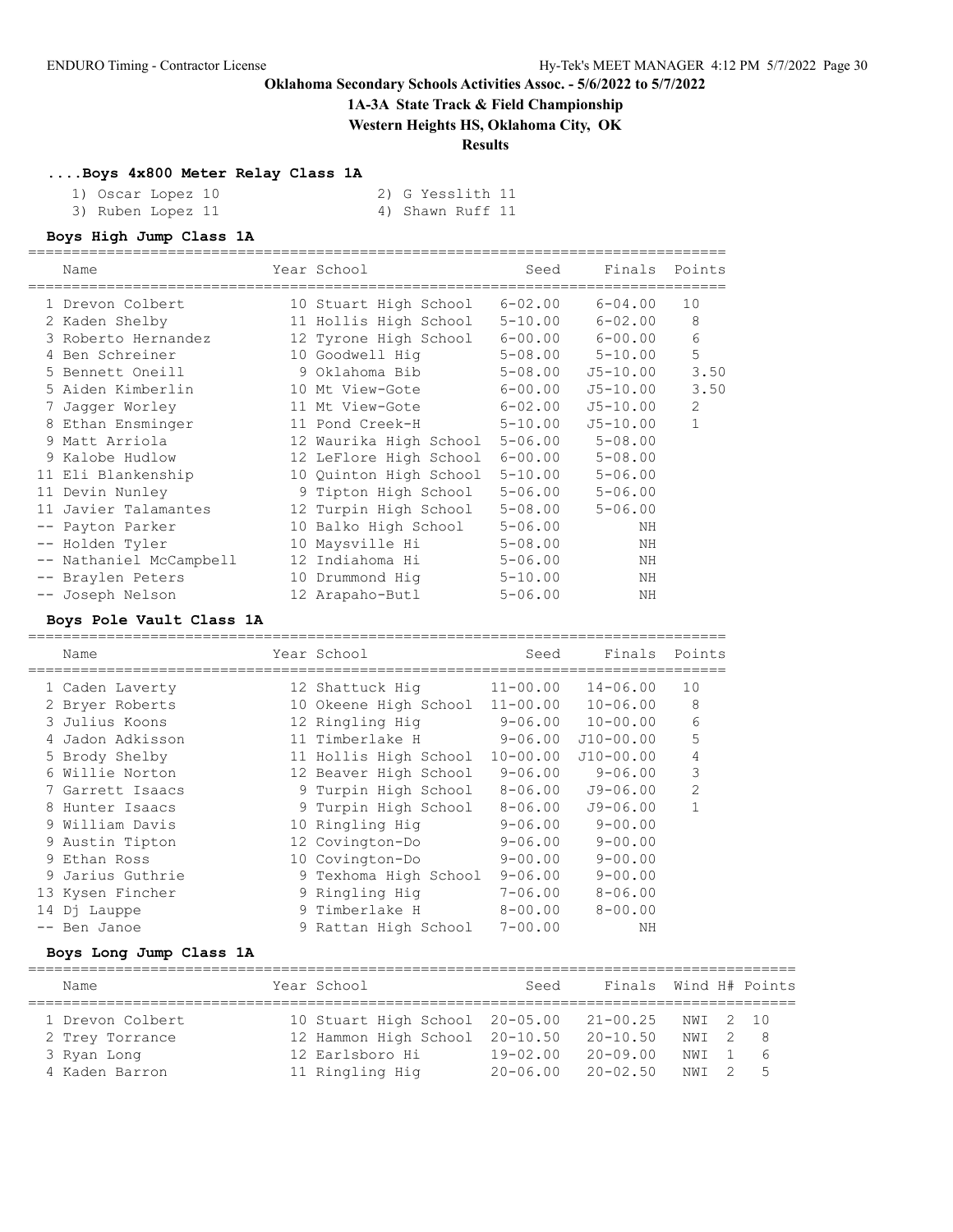### **1A-3A State Track & Field Championship**

**Western Heights HS, Oklahoma City, OK**

#### **Results**

#### **....Boys 4x800 Meter Relay Class 1A**

| ` Oscar Lopez 10 |
|------------------|
|------------------|

10 2) G Yesslith 11 3) Ruben Lopez 11 4) Shawn Ruff 11

#### **Boys High Jump Class 1A**

| Name                    | Year School                    | Seed        | Finals                  | Points       |
|-------------------------|--------------------------------|-------------|-------------------------|--------------|
| 1 Drevon Colbert        | 10 Stuart High School          | $6 - 02.00$ | $6 - 04.00$             | 10           |
| 2 Kaden Shelby          | 11 Hollis High School          | $5 - 10.00$ | $6 - 02.00$             | 8            |
| 3 Roberto Hernandez     | 12 Tyrone High School          |             | $6 - 00.00$ $6 - 00.00$ | 6            |
| 4 Ben Schreiner         | 10 Goodwell Hig                | 5-08.00     | $5 - 10.00$             | 5            |
| 5 Bennett Oneill        | 9 Oklahoma Bib                 | $5 - 08.00$ | $J5 - 10.00$            | 3.50         |
| 5 Aiden Kimberlin       | 10 Mt View-Gote                | $6 - 00.00$ | $J5 - 10.00$            | 3.50         |
| 7 Jaqqer Worley         | 11 Mt View-Gote                | $6 - 02.00$ | $J5 - 10.00$            | 2            |
| 8 Ethan Ensminger       | 11 Pond Creek-H                | $5 - 10.00$ | $J5 - 10.00$            | $\mathbf{1}$ |
| 9 Matt Arriola          | 12 Waurika High School 5-06.00 |             | $5 - 08.00$             |              |
| 9 Kalobe Hudlow         | 12 LeFlore High School         | $6 - 00.00$ | $5 - 08.00$             |              |
| 11 Eli Blankenship      | 10 Quinton High School         | $5 - 10.00$ | $5 - 06.00$             |              |
| 11 Devin Nunley         | 9 Tipton High School           | $5 - 06.00$ | $5 - 06.00$             |              |
| 11 Javier Talamantes    | 12 Turpin High School          | $5 - 08.00$ | $5 - 06.00$             |              |
| -- Payton Parker        | 10 Balko High School           | $5 - 06.00$ | NH                      |              |
| -- Holden Tyler         | 10 Maysville Hi                | $5 - 08.00$ | ΝH                      |              |
| -- Nathaniel McCampbell | 12 Indiahoma Hi                | $5 - 06.00$ | NH                      |              |
| -- Braylen Peters       | 10 Drummond Hig                | $5 - 10.00$ | ΝH                      |              |
| -- Joseph Nelson        | 12 Arapaho-Butl                | $5 - 06.00$ | NΗ                      |              |

#### **Boys Pole Vault Class 1A**

================================================================================ Name The Year School Contract Seed Finals Points ================================================================================ 1 Caden Laverty 12 Shattuck Hig 11-00.00 14-06.00 10 2 Bryer Roberts 10 Okeene High School 11-00.00 10-06.00 8 3 Julius Koons 12 Ringling Hig 9-06.00 10-00.00 6 4 Jadon Adkisson 11 Timberlake H 9-06.00 J10-00.00 5 5 Brody Shelby 11 Hollis High School 10-00.00 J10-00.00 4 6 Willie Norton 12 Beaver High School 9-06.00 9-06.00 3 7 Garrett Isaacs 9 Turpin High School 8-06.00 J9-06.00 2 8 Hunter Isaacs 9 Turpin High School 8-06.00 J9-06.00 1 9 William Davis 10 Ringling Hig 9-06.00 9-00.00 9 Austin Tipton 12 Covington-Do 9-06.00 9-00.00 9 Ethan Ross 10 Covington-Do 9-00.00 9-00.00 9 Jarius Guthrie 9 Texhoma High School 9-06.00 9-00.00 13 Kysen Fincher 9 Ringling Hig 7-06.00 8-06.00

14 Dj Lauppe 6 9 Timberlake H 8-00.00 8-00.00 -- Ben Janoe 9 Rattan High School 7-00.00 NH

#### **Boys Long Jump Class 1A**

| Name             | Year School                    | Seed         | Finals Wind H# Points     |         |      |
|------------------|--------------------------------|--------------|---------------------------|---------|------|
| 1 Drevon Colbert | 10 Stuart High School 20-05.00 |              | 21-00.25 NWI 2 10         |         |      |
| 2 Trey Torrance  | 12 Hammon High School 20-10.50 |              | $20 - 10.50$              | NWI 2 8 |      |
| 3 Ryan Long      | 12 Earlsboro Hi                | $19 - 02.00$ | $20 - 09.00$              | NWI 1   | - 6  |
| 4 Kaden Barron   | 11 Ringling Hig                |              | $20 - 06.00$ $20 - 02.50$ | NWI 2   | $-5$ |

========================================================================================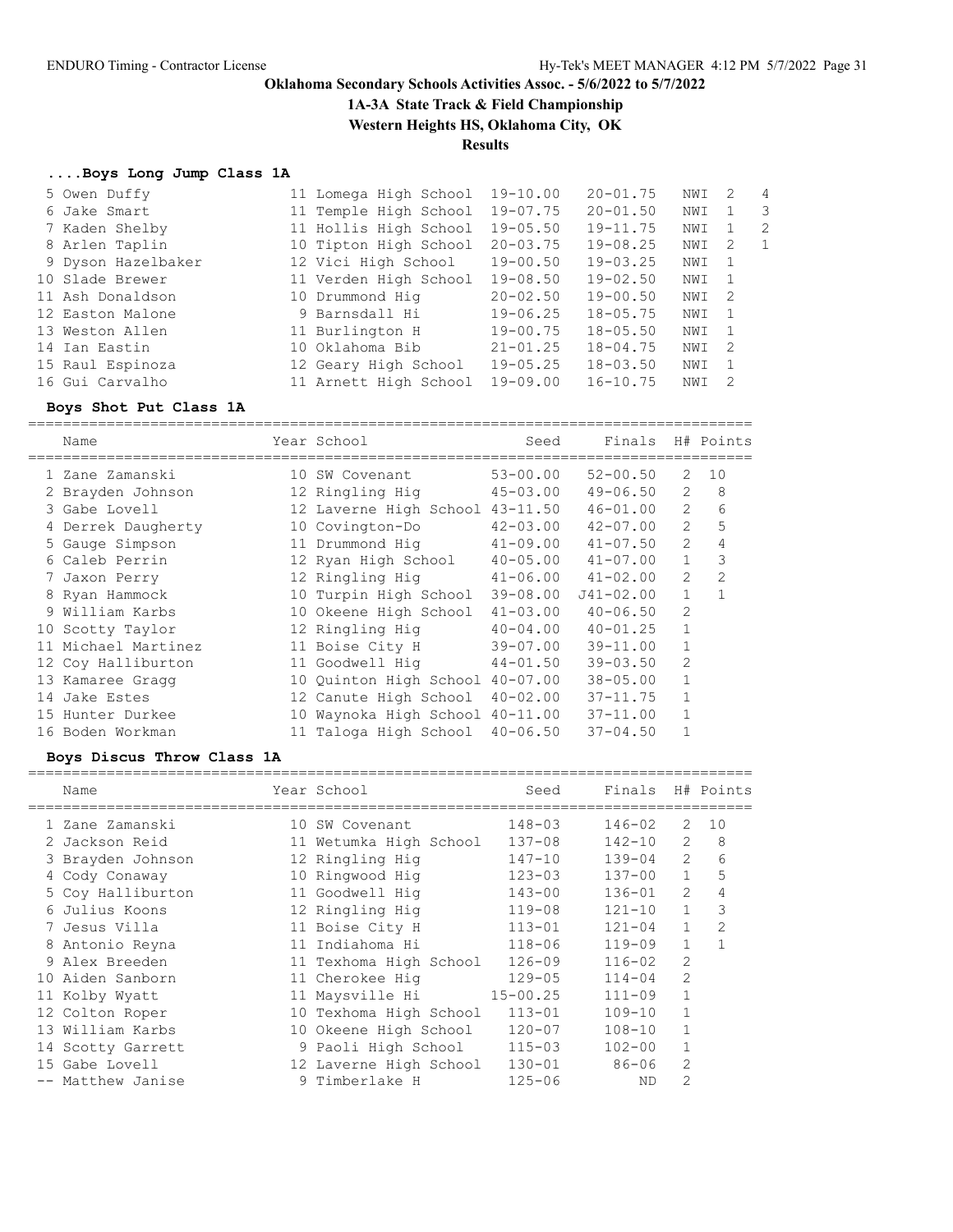**1A-3A State Track & Field Championship**

**Western Heights HS, Oklahoma City, OK**

# **Results**

## **....Boys Long Jump Class 1A**

| 5 Owen Duffy       | 11 Lomega High School | $19 - 10.00$ | $20 - 01.75$ | NWI | 2              | $\overline{4}$ |
|--------------------|-----------------------|--------------|--------------|-----|----------------|----------------|
| 6 Jake Smart       | 11 Temple High School | $19 - 07.75$ | $20 - 01.50$ | NWI |                | - 3            |
| 7 Kaden Shelby     | 11 Hollis High School | $19 - 05.50$ | $19 - 11.75$ | NWI |                | -2             |
| 8 Arlen Taplin     | 10 Tipton High School | $20 - 03.75$ | $19 - 08.25$ | NWI | 2              | 1              |
| 9 Dyson Hazelbaker | 12 Vici High School   | $19 - 00.50$ | $19 - 03.25$ | NWI | -1             |                |
| 10 Slade Brewer    | 11 Verden High School | $19 - 08.50$ | $19 - 02.50$ | NWI | $\overline{1}$ |                |
| 11 Ash Donaldson   | 10 Drummond Hig       | $20 - 02.50$ | $19 - 00.50$ | NWI | - 2            |                |
| 12 Easton Malone   | 9 Barnsdall Hi        | $19 - 06.25$ | $18 - 05.75$ | NWI | $\overline{1}$ |                |
| 13 Weston Allen    | 11 Burlington H       | $19 - 00.75$ | $18 - 05.50$ | NWI | $\overline{1}$ |                |
| 14 Ian Eastin      | 10 Oklahoma Bib       | $21 - 01.25$ | $18 - 04.75$ | NWI | - 2            |                |
| 15 Raul Espinoza   | 12 Geary High School  | $19 - 05.25$ | $18 - 03.50$ | NWI |                |                |
| 16 Gui Carvalho    | 11 Arnett High School | $19 - 09.00$ | $16 - 10.75$ | NWI | -2             |                |

## **Boys Shot Put Class 1A**

|    | Name               | Year School            | Seed         | Finals        |                | H# Points |
|----|--------------------|------------------------|--------------|---------------|----------------|-----------|
|    | 1 Zane Zamanski    | 10 SW Covenant         | $53 - 00.00$ | $52 - 00.50$  | 2              | 10        |
|    | 2 Brayden Johnson  | 12 Ringling Hig        | $45 - 03.00$ | $49 - 06.50$  | $\overline{2}$ | 8         |
|    | 3 Gabe Lovell      | 12 Laverne High School | $43 - 11.50$ | $46 - 01.00$  | $\overline{2}$ | 6         |
|    | 4 Derrek Daugherty | 10 Covington-Do        | $42 - 03.00$ | $42 - 07.00$  | $\overline{2}$ | 5         |
|    | 5 Gauge Simpson    | 11 Drummond Hig        | $41 - 09.00$ | $41 - 07.50$  | $\overline{2}$ | 4         |
|    | 6 Caleb Perrin     | 12 Ryan High School    | $40 - 05.00$ | $41 - 07.00$  | $\mathbf{1}$   | 3         |
|    | 7 Jaxon Perry      | 12 Ringling Hig        | $41 - 06.00$ | $41 - 02.00$  | 2              | 2         |
|    | 8 Ryan Hammock     | 10 Turpin High School  | $39 - 08.00$ | $J41 - 02.00$ | 1              | 1         |
|    | 9 William Karbs    | 10 Okeene High School  | $41 - 03.00$ | $40 - 06.50$  | $\overline{2}$ |           |
|    | 10 Scotty Taylor   | 12 Ringling Hig        | $40 - 04.00$ | $40 - 01.25$  | $\mathbf{1}$   |           |
| 11 | Michael Martinez   | 11 Boise City H        | $39 - 07.00$ | $39 - 11.00$  |                |           |
|    | 12 Coy Halliburton | 11 Goodwell Hig        | $44 - 01.50$ | $39 - 03.50$  | 2              |           |
|    | 13 Kamaree Gragg   | 10 Quinton High School | $40 - 07.00$ | $38 - 05.00$  | $\mathbf{1}$   |           |
| 14 | Jake Estes         | 12 Canute High School  | $40 - 02.00$ | $37 - 11.75$  | 1              |           |
|    | 15 Hunter Durkee   | 10 Waynoka High School | $40 - 11.00$ | $37 - 11.00$  |                |           |
|    | 16 Boden Workman   | 11 Taloga High School  | $40 - 06.50$ | $37 - 04.50$  |                |           |

## **Boys Discus Throw Class 1A**

|                 | Name              | Year School            | Seed         | Finals     |                | H# Points      |
|-----------------|-------------------|------------------------|--------------|------------|----------------|----------------|
|                 | 1 Zane Zamanski   | 10 SW Covenant         | $148 - 03$   | $146 - 02$ | 2              | 10             |
|                 | 2 Jackson Reid    | 11 Wetumka High School | $137 - 08$   | $142 - 10$ | $\overline{2}$ | 8              |
|                 | 3 Brayden Johnson | 12 Ringling Hig        | $147 - 10$   | $139 - 04$ | $\overline{2}$ | 6              |
|                 | Cody Conaway      | 10 Ringwood Hig        | $123 - 03$   | $137 - 00$ | $\mathbf{1}$   | 5              |
|                 | 5 Coy Halliburton | 11 Goodwell Hig        | $143 - 00$   | $136 - 01$ | $\overline{2}$ |                |
|                 | 6 Julius Koons    | 12 Ringling Hig        | $119 - 08$   | $121 - 10$ | $\mathbf{1}$   | 3              |
|                 | 7 Jesus Villa     | 11 Boise City H        | $113 - 01$   | $121 - 04$ | 1              | $\mathfrak{D}$ |
|                 | 8 Antonio Reyna   | 11 Indiahoma Hi        | $118 - 06$   | $119 - 09$ | $\mathbf{1}$   |                |
|                 | 9 Alex Breeden    | 11 Texhoma High School | $126 - 09$   | $116 - 02$ | 2              |                |
|                 | 10 Aiden Sanborn  | 11 Cherokee Hig        | $129 - 05$   | $114 - 04$ | 2              |                |
|                 | 11 Kolby Wyatt    | 11 Maysville Hi        | $15 - 00.25$ | $111 - 09$ | $\mathbf{1}$   |                |
|                 | 12 Colton Roper   | 10 Texhoma High School | $113 - 01$   | $109 - 10$ |                |                |
| 13 <sup>°</sup> | William Karbs     | 10 Okeene High School  | $120 - 07$   | $108 - 10$ |                |                |
|                 | 14 Scotty Garrett | 9 Paoli High School    | $115 - 03$   | $102 - 00$ |                |                |
| 15 <sub>1</sub> | Gabe Lovell       | 12 Laverne High School | $130 - 01$   | $86 - 06$  | 2              |                |
|                 | Matthew Janise    | 9 Timberlake H         | $125 - 06$   | <b>ND</b>  | $\overline{2}$ |                |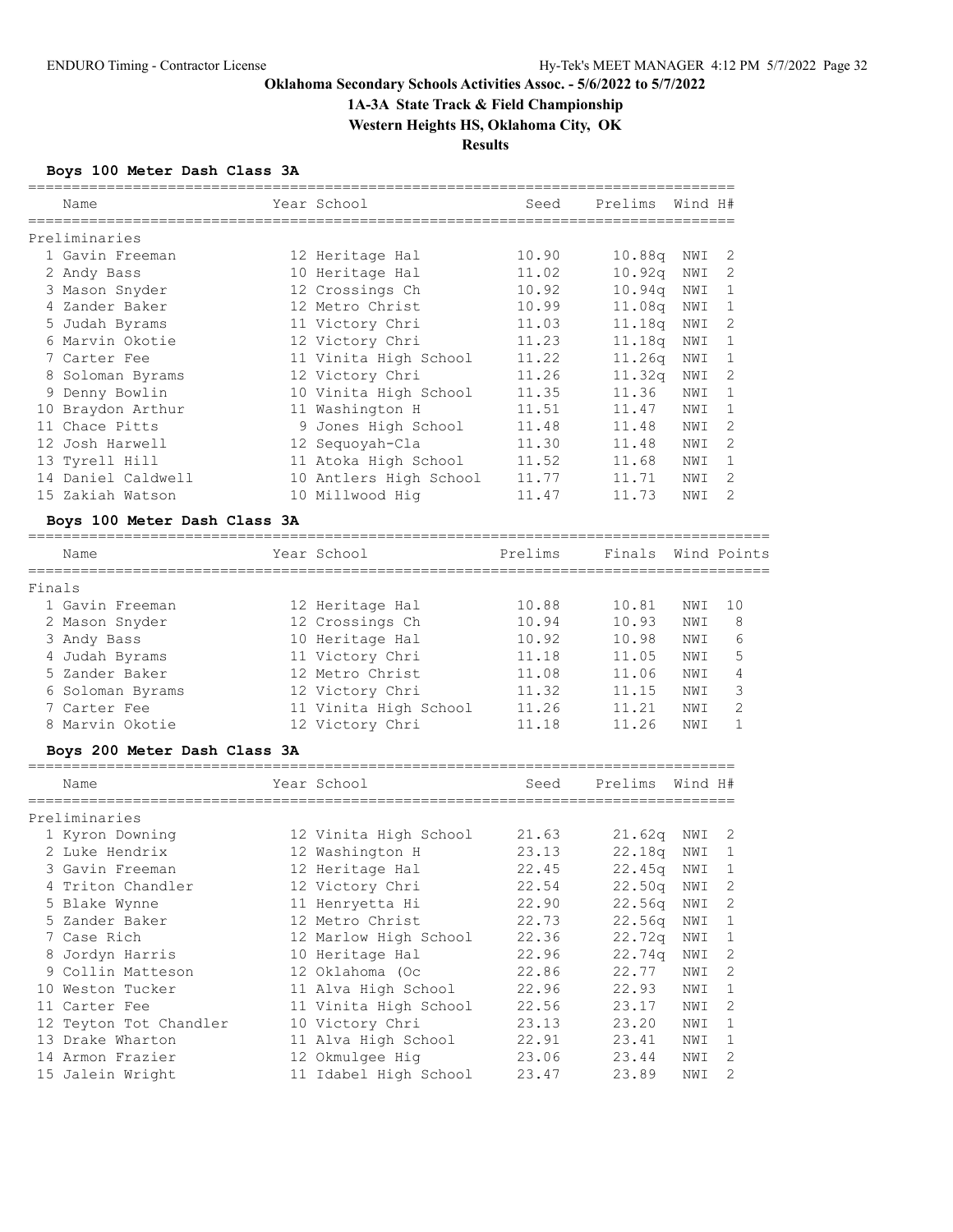# **1A-3A State Track & Field Championship**

**Western Heights HS, Oklahoma City, OK**

**Results**

## **Boys 100 Meter Dash Class 3A**

|        | Name                         | Year School            | Seed    | Prelims            | Wind H# |                |
|--------|------------------------------|------------------------|---------|--------------------|---------|----------------|
|        | Preliminaries                |                        |         |                    |         |                |
|        | 1 Gavin Freeman              | 12 Heritage Hal        | 10.90   | 10.88q             | NWI     | 2              |
|        | 2 Andy Bass                  | 10 Heritage Hal        | 11.02   | 10.92q             | NWI     | 2              |
|        | 3 Mason Snyder               | 12 Crossings Ch        | 10.92   | 10.94q             | NWI     | 1              |
|        | 4 Zander Baker               | 12 Metro Christ        | 10.99   | 11.08q             | NWI     | 1              |
|        | 5 Judah Byrams               | 11 Victory Chri        | 11.03   | 11.18q             | NWI     | 2              |
|        | 6 Marvin Okotie              | 12 Victory Chri        | 11.23   | 11.18q             | NWI     | 1              |
|        | 7 Carter Fee                 | 11 Vinita High School  | 11.22   | 11.26q             | NWI     | 1              |
|        | 8 Soloman Byrams             | 12 Victory Chri        | 11.26   | 11.32q             | NWI     | 2              |
|        | 9 Denny Bowlin               | 10 Vinita High School  | 11.35   | 11.36              | NWI     | 1              |
|        | 10 Braydon Arthur            | 11 Washington H        | 11.51   | 11.47              | NWI     | 1              |
|        | 11 Chace Pitts               | 9 Jones High School    | 11.48   | 11.48              | NWI     | 2              |
|        | 12 Josh Harwell              | 12 Sequoyah-Cla        | 11.30   | 11.48              | NWI     | 2              |
|        | 13 Tyrell Hill               | 11 Atoka High School   | 11.52   | 11.68              | NWI     | 1              |
|        | 14 Daniel Caldwell           | 10 Antlers High School | 11.77   | 11.71              | NWI     | 2              |
|        | 15 Zakiah Watson             | 10 Millwood Hig        | 11.47   | 11.73              | NWI     | 2              |
|        | Boys 100 Meter Dash Class 3A |                        |         |                    |         |                |
|        | Name                         | Year School            | Prelims | Finals Wind Points |         |                |
|        |                              |                        |         |                    |         |                |
| Finals |                              |                        |         |                    |         |                |
|        | 1 Gavin Freeman              | 12 Heritage Hal        | 10.88   | 10.81              | NWI     | 10             |
|        | 2 Mason Snyder               | 12 Crossings Ch        | 10.94   | 10.93              | NWI     | 8              |
|        | 3 Andy Bass                  | 10 Heritage Hal        | 10.92   | 10.98              | NWI     | 6              |
|        | 4 Judah Byrams               | 11 Victory Chri        | 11.18   | 11.05              | NWI     | 5              |
|        | 5 Zander Baker               | 12 Metro Christ        | 11.08   | 11.06              | NWI     | 4              |
|        | 6 Soloman Byrams             | 12 Victory Chri        | 11.32   | 11.15              | NWI     | 3              |
|        | 7 Carter Fee                 | 11 Vinita High School  | 11.26   | 11.21              | NWI     | $\overline{2}$ |
|        | 8 Marvin Okotie              | 12 Victory Chri        | 11.18   | 11.26              | NWI     | $\mathbf{1}$   |
|        | Boys 200 Meter Dash Class 3A |                        |         |                    |         |                |
|        | Name                         | Year School            | Seed    | Prelims Wind H#    |         |                |
|        | Preliminaries                |                        |         |                    |         |                |
|        | 1 Kyron Downing              | 12 Vinita High School  | 21.63   | 21.62q             | NWI     | 2              |
|        | 2 Luke Hendrix               | 12 Washington H        | 23.13   | 22.18q             | NWI     | 1              |
|        | 3 Gavin Freeman              | 12 Heritage Hal        | 22.45   | 22.45q             | NWI     | 1              |
|        | 4 Triton Chandler            | 12 Victory Chri        | 22.54   | 22.50q NWI         |         | 2              |
|        | 5 Blake Wynne                | 11 Henryetta Hi        | 22.90   | 22.56q             | NWI     | 2              |
|        | 5 Zander Baker               | 12 Metro Christ        | 22.73   | 22.56q             | NWI     | $\mathbf{1}$   |
|        | 7 Case Rich                  | 12 Marlow High School  | 22.36   | 22.72q             | NWI     | 1              |
|        | 8 Jordyn Harris              | 10 Heritage Hal        | 22.96   | 22.74q             | NWI     | $\mathbf{2}$   |
|        | 9 Collin Matteson            | 12 Oklahoma (Oc        | 22.86   | 22.77              | NWI     | 2              |
|        | 10 Weston Tucker             | 11 Alva High School    | 22.96   | 22.93              | NWI     | 1              |
|        | 11 Carter Fee                | 11 Vinita High School  | 22.56   | 23.17              | NWI     | 2              |
|        | 12 Teyton Tot Chandler       | 10 Victory Chri        | 23.13   | 23.20              | NWI     | 1              |
|        | 13 Drake Wharton             | 11 Alva High School    | 22.91   | 23.41              | NWI     | 1              |
|        | 14 Armon Frazier             | 12 Okmulgee Hig        | 23.06   | 23.44              | NWI     | 2              |

15 Jalein Wright 11 Idabel High School 23.47 23.89 NWI 2

=================================================================================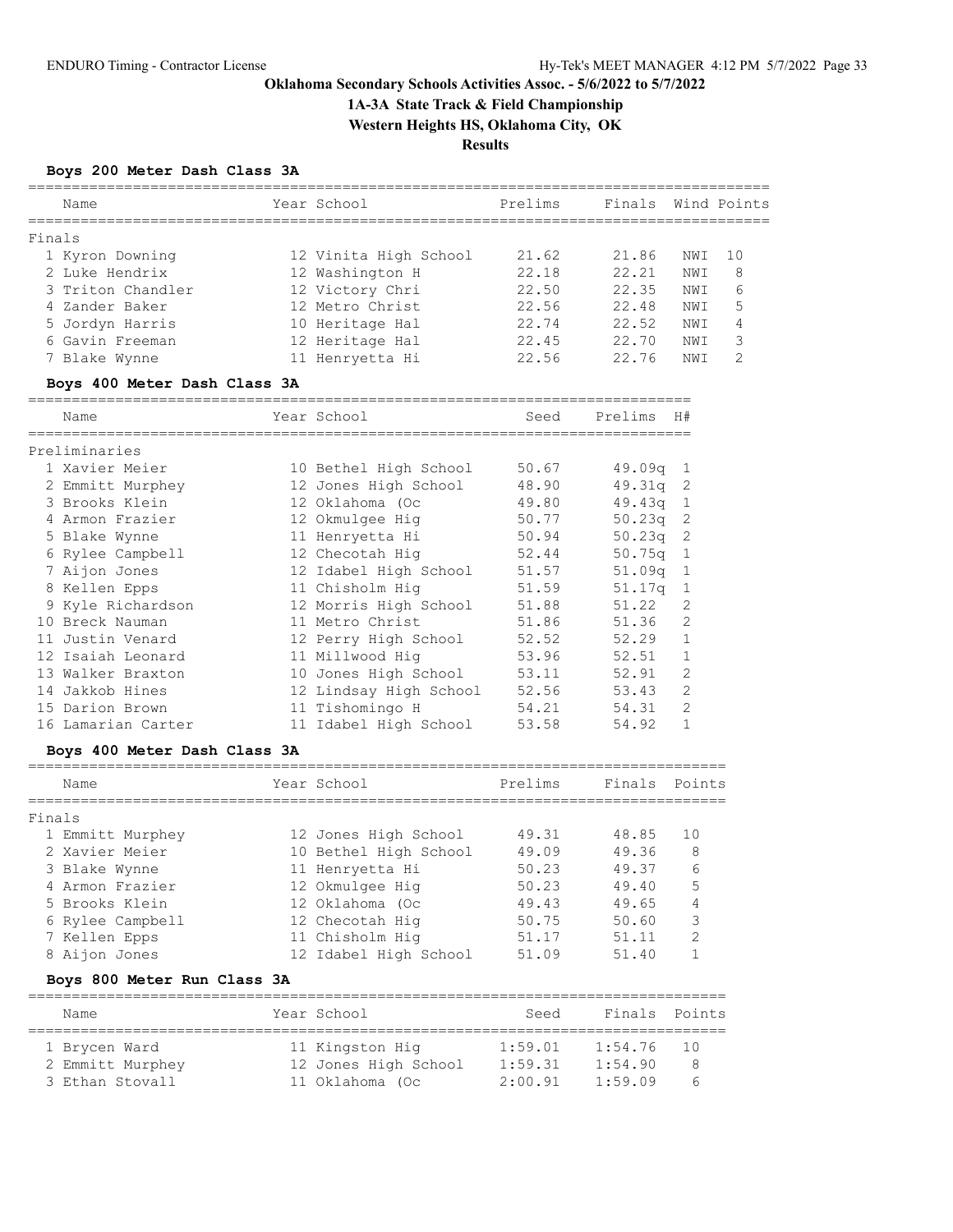**1A-3A State Track & Field Championship**

**Western Heights HS, Oklahoma City, OK**

**Results**

#### **Boys 200 Meter Dash Class 3A**

| Name              | Year School           | Prelims | Finals |     | Wind Points   |
|-------------------|-----------------------|---------|--------|-----|---------------|
| Finals            |                       |         |        |     |               |
| 1 Kyron Downing   | 12 Vinita High School | 21.62   | 21.86  | NWI | 1 O           |
| 2 Luke Hendrix    | 12 Washington H       | 22.18   | 22.21  | NWI | -8            |
| 3 Triton Chandler | 12 Victory Chri       | 22.50   | 22.35  | NWI | 6             |
| 4 Zander Baker    | 12 Metro Christ       | 22.56   | 22.48  | NWI | 5             |
| 5 Jordyn Harris   | 10 Heritage Hal       | 22.74   | 22.52  | NWI | 4             |
| 6 Gavin Freeman   | 12 Heritage Hal       | 22.45   | 22.70  | NWI | 3             |
| 7 Blake Wynne     | 11 Henryetta Hi       | 22.56   | 22.76  | NWI | $\mathcal{P}$ |
|                   |                       |         |        |     |               |

#### **Boys 400 Meter Dash Class 3A**

============================================================================ Year School Seed Prelims H# ============================================================================ Preliminaries 1 Xavier Meier 10 Bethel High School 50.67 49.09q 1 2 Emmitt Murphey 12 Jones High School 48.90 49.31q 2 3 Brooks Klein 12 Oklahoma (Oc 49.80 49.43q 1 4 Armon Frazier 12 Okmulgee Hig 50.77 50.23q 2 5 Blake Wynne 11 Henryetta Hi 50.94 50.23q 2 6 Rylee Campbell 12 Checotah Hig 52.44 50.75q 1 7 Aijon Jones 12 Idabel High School 51.57 51.09q 1 8 Kellen Epps 11 Chisholm Hig 51.59 51.17q 1 9 Kyle Richardson 12 Morris High School 51.88 51.22 2 10 Breck Nauman 11 Metro Christ 51.86 51.36 2 11 Justin Venard 12 Perry High School 52.52 52.29 1 12 Isaiah Leonard 11 Millwood Hig 53.96 52.51 1 13 Walker Braxton 10 Jones High School 53.11 52.91 2 14 Jakkob Hines 12 Lindsay High School 52.56 53.43 2 15 Darion Brown 11 Tishomingo H 54.21 54.31 2 16 Lamarian Carter 11 Idabel High School 53.58 54.92 1

#### **Boys 400 Meter Dash Class 3A**

|        | Name             | Year School           | Prelims | Finals Points |               |
|--------|------------------|-----------------------|---------|---------------|---------------|
| Finals |                  |                       |         |               |               |
|        | 1 Emmitt Murphey | 12 Jones High School  | 49.31   | 48.85         | 10            |
|        | 2 Xavier Meier   | 10 Bethel High School | 49.09   | 49.36         | 8             |
|        | 3 Blake Wynne    | 11 Henryetta Hi       | 50.23   | 49.37         | 6             |
|        | 4 Armon Frazier  | 12 Okmulgee Hig       | 50.23   | 49.40         | 5             |
|        | 5 Brooks Klein   | 12 Oklahoma (Oc       | 49.43   | 49.65         | 4             |
|        | 6 Rylee Campbell | 12 Checotah Hig       | 50.75   | 50.60         | 3             |
|        | 7 Kellen Epps    | 11 Chisholm Hig       | 51.17   | 51.11         | $\mathcal{D}$ |
|        | 8 Aijon Jones    | 12 Idabel High School | 51.09   | 51.40         |               |
|        |                  |                       |         |               |               |

#### **Boys 800 Meter Run Class 3A**

| Name             |  | Year School          | Seed    | Finals Points |     |  |  |  |  |  |  |  |
|------------------|--|----------------------|---------|---------------|-----|--|--|--|--|--|--|--|
| 1 Brycen Ward    |  | 11 Kingston Hig      | 1:59.01 | 1:54.76       | -10 |  |  |  |  |  |  |  |
| 2 Emmitt Murphey |  | 12 Jones High School | 1:59.31 | 1:54.90       | 8   |  |  |  |  |  |  |  |
| 3 Ethan Stovall  |  | 11 Oklahoma (Oc      | 2:00.91 | 1:59.09       | h   |  |  |  |  |  |  |  |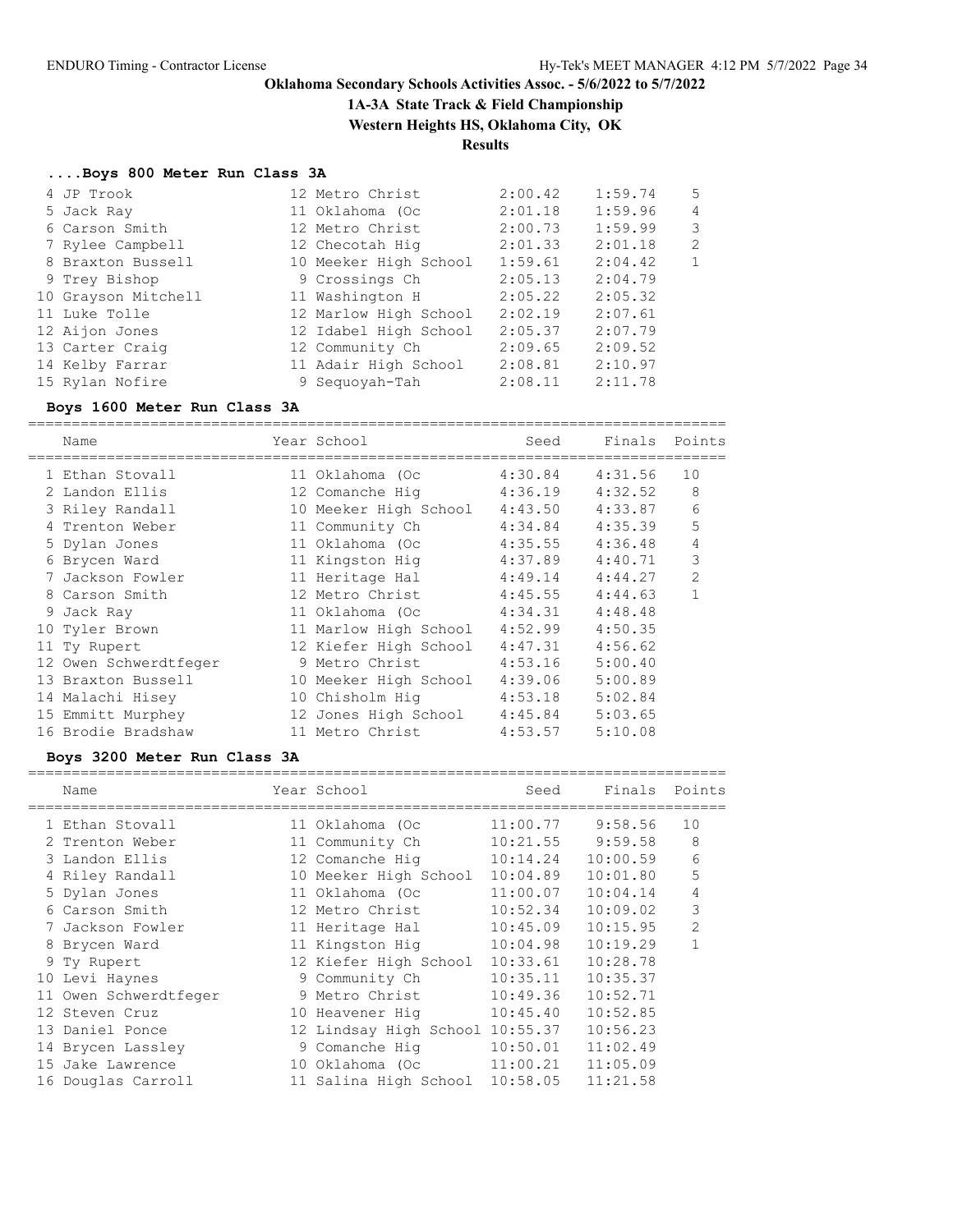**1A-3A State Track & Field Championship**

**Western Heights HS, Oklahoma City, OK**

### **Results**

#### **....Boys 800 Meter Run Class 3A**

| 4 JP Trook          | 12 Metro Christ       | 2:00.42 | 1:59.74 | 5              |
|---------------------|-----------------------|---------|---------|----------------|
| 5 Jack Ray          | 11 Oklahoma (Oc       | 2:01.18 | 1:59.96 | $\overline{4}$ |
| 6 Carson Smith      | 12 Metro Christ       | 2:00.73 | 1:59.99 | 3              |
| 7 Rylee Campbell    | 12 Checotah Hig       | 2:01.33 | 2:01.18 | 2              |
| 8 Braxton Bussell   | 10 Meeker High School | 1:59.61 | 2:04.42 | $\mathbf{1}$   |
| 9 Trey Bishop       | 9 Crossings Ch        | 2:05.13 | 2:04.79 |                |
| 10 Grayson Mitchell | 11 Washington H       | 2:05.22 | 2:05.32 |                |
| 11 Luke Tolle       | 12 Marlow High School | 2:02.19 | 2:07.61 |                |
| 12 Aijon Jones      | 12 Idabel High School | 2:05.37 | 2:07.79 |                |
| 13 Carter Craig     | 12 Community Ch       | 2:09.65 | 2:09.52 |                |
| 14 Kelby Farrar     | 11 Adair High School  | 2:08.81 | 2:10.97 |                |
| 15 Rylan Nofire     | 9 Seguovah-Tah        | 2:08.11 | 2:11.78 |                |

#### **Boys 1600 Meter Run Class 3A**

================================================================================ Name Year School Seed Finals Points ================================================================================ 1 Ethan Stovall 11 Oklahoma (Oc 4:30.84 4:31.56 10 2 Landon Ellis 12 Comanche Hig 4:36.19 4:32.52 8 3 Riley Randall 10 Meeker High School 4:43.50 4:33.87 6 4 Trenton Weber 11 Community Ch 4:34.84 4:35.39 5 5 Dylan Jones 11 Oklahoma (Oc 4:35.55 4:36.48 4 6 Brycen Ward 11 Kingston Hig 4:37.89 4:40.71 3 7 Jackson Fowler 11 Heritage Hal 4:49.14 4:44.27 2 8 Carson Smith 12 Metro Christ 4:45.55 4:44.63 1 9 Jack Ray 11 Oklahoma (Oc 4:34.31 4:48.48 10 Tyler Brown 11 Marlow High School 4:52.99 4:50.35 11 Ty Rupert 12 Kiefer High School 4:47.31 4:56.62 12 Owen Schwerdtfeger 9 Metro Christ 4:53.16 5:00.40 13 Braxton Bussell 10 Meeker High School 4:39.06 5:00.89 14 Malachi Hisey 10 Chisholm Hig 4:53.18 5:02.84 15 Emmitt Murphey 12 Jones High School 4:45.84 5:03.65 16 Brodie Bradshaw 11 Metro Christ 4:53.57 5:10.08

### **Boys 3200 Meter Run Class 3A**

| Name           |                                                                                                                                                                                                                                                                                           | Seed                                                                                                                                                                                                                                                                                           | Finals                                                   | Points         |
|----------------|-------------------------------------------------------------------------------------------------------------------------------------------------------------------------------------------------------------------------------------------------------------------------------------------|------------------------------------------------------------------------------------------------------------------------------------------------------------------------------------------------------------------------------------------------------------------------------------------------|----------------------------------------------------------|----------------|
|                |                                                                                                                                                                                                                                                                                           | 11:00.77                                                                                                                                                                                                                                                                                       | 9:58.56                                                  | 10             |
|                |                                                                                                                                                                                                                                                                                           | 10:21.55                                                                                                                                                                                                                                                                                       | 9:59.58                                                  | 8              |
|                |                                                                                                                                                                                                                                                                                           | 10:14.24                                                                                                                                                                                                                                                                                       | 10:00.59                                                 | 6              |
|                |                                                                                                                                                                                                                                                                                           | 10:04.89                                                                                                                                                                                                                                                                                       | 10:01.80                                                 | 5              |
|                |                                                                                                                                                                                                                                                                                           | 11:00.07                                                                                                                                                                                                                                                                                       | 10:04.14                                                 | 4              |
|                |                                                                                                                                                                                                                                                                                           | 10:52.34                                                                                                                                                                                                                                                                                       | 10:09.02                                                 | 3              |
| Jackson Fowler |                                                                                                                                                                                                                                                                                           | 10:45.09                                                                                                                                                                                                                                                                                       | 10:15.95                                                 | $\overline{2}$ |
|                |                                                                                                                                                                                                                                                                                           | 10:04.98                                                                                                                                                                                                                                                                                       | 10:19.29                                                 |                |
|                |                                                                                                                                                                                                                                                                                           | 10:33.61                                                                                                                                                                                                                                                                                       | 10:28.78                                                 |                |
|                |                                                                                                                                                                                                                                                                                           | 10:35.11                                                                                                                                                                                                                                                                                       | 10:35.37                                                 |                |
|                |                                                                                                                                                                                                                                                                                           | 10:49.36                                                                                                                                                                                                                                                                                       | 10:52.71                                                 |                |
|                |                                                                                                                                                                                                                                                                                           | 10:45.40                                                                                                                                                                                                                                                                                       | 10:52.85                                                 |                |
|                |                                                                                                                                                                                                                                                                                           |                                                                                                                                                                                                                                                                                                | 10:56.23                                                 |                |
|                |                                                                                                                                                                                                                                                                                           | 10:50.01                                                                                                                                                                                                                                                                                       | 11:02.49                                                 |                |
|                |                                                                                                                                                                                                                                                                                           | 11:00.21                                                                                                                                                                                                                                                                                       | 11:05.09                                                 |                |
|                |                                                                                                                                                                                                                                                                                           | 10:58.05                                                                                                                                                                                                                                                                                       | 11:21.58                                                 |                |
|                | 1 Ethan Stovall<br>2 Trenton Weber<br>3 Landon Ellis<br>4 Riley Randall<br>5 Dylan Jones<br>6 Carson Smith<br>8 Brycen Ward<br>9 Ty Rupert<br>10 Levi Haynes<br>11 Owen Schwerdtfeger<br>12 Steven Cruz<br>13 Daniel Ponce<br>14 Brycen Lassley<br>15 Jake Lawrence<br>16 Douglas Carroll | Year School<br>11 Oklahoma (Oc<br>11 Community Ch<br>12 Comanche Hig<br>10 Meeker High School<br>11 Oklahoma (Oc<br>12 Metro Christ<br>11 Heritage Hal<br>11 Kingston Hig<br>12 Kiefer High School<br>9 Community Ch<br>9 Metro Christ<br>10 Heavener Hig<br>9 Comanche Hig<br>10 Oklahoma (Oc | 12 Lindsay High School 10:55.37<br>11 Salina High School |                |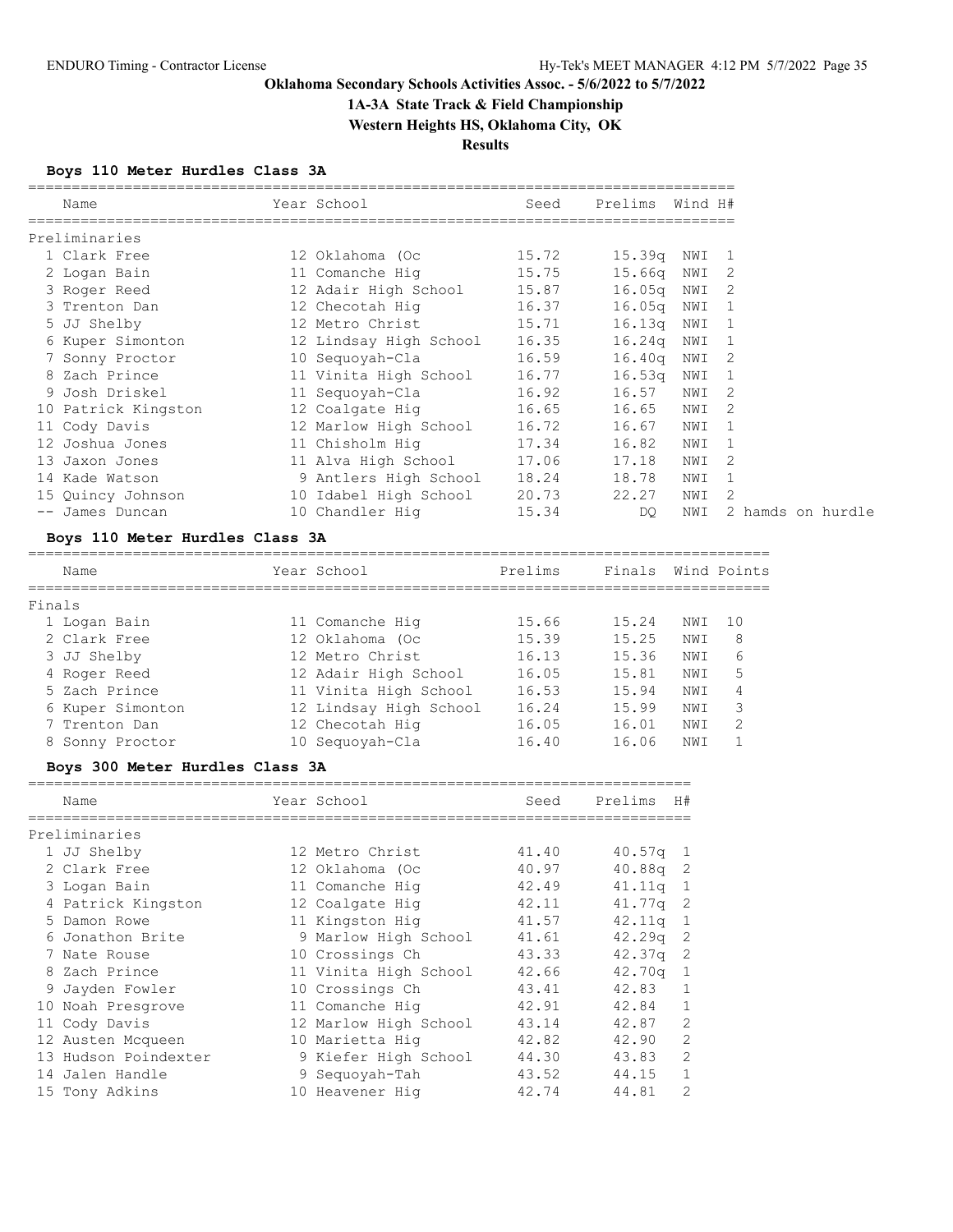# **1A-3A State Track & Field Championship**

**Western Heights HS, Oklahoma City, OK**

**Results**

## **Boys 110 Meter Hurdles Class 3A**

| Name                | Year School                        | Seed  | Prelims Wind H# |       |                |                   |
|---------------------|------------------------------------|-------|-----------------|-------|----------------|-------------------|
| Preliminaries       |                                    |       |                 |       |                |                   |
| 1 Clark Free        | 12 Oklahoma (Oc                    | 15.72 | 15.39q NWI 1    |       |                |                   |
| 2 Logan Bain        | 11 Comanche Hig 15.75              |       | 15.66g          | NWI   | -2             |                   |
| 3 Roger Reed        | 12 Adair High School         15.87 |       | 16.05q          | NWI   | 2              |                   |
| 3 Trenton Dan       | 12 Checotah Hiq                    | 16.37 | 16.05q          | NWI 1 |                |                   |
| 5 JJ Shelby         | 12 Metro Christ 15.71              |       | 16.13q          | NWI   |                |                   |
| 6 Kuper Simonton    | 12 Lindsay High School 16.35       |       | 16.24q          | NWI   | 1              |                   |
| 7 Sonny Proctor     |                                    |       | 16.40q          | NWI 2 |                |                   |
| 8 Zach Prince       | 11 Vinita High School 16.77        |       | 16.53q          | NWI   | $\overline{1}$ |                   |
| 9 Josh Driskel      |                                    |       | 16.57           | NWI   | $\mathcal{L}$  |                   |
| 10 Patrick Kingston | 12 Coalgate Hig 16.65              |       | 16.65           | NWI   | 2              |                   |
| 11 Cody Davis       | 12 Marlow High School 16.72        |       | 16.67           | NWI   |                |                   |
| 12 Joshua Jones     | 11 Chisholm Hiq                    | 17.34 | 16.82           | NWI   | $\overline{1}$ |                   |
| 13 Jaxon Jones      | 11 Alva High School 17.06          |       | 17.18           | NWI   | 2              |                   |
| 14 Kade Watson      | 9 Antlers High School 18.24        |       | 18.78           | NWI   | 1              |                   |
| 15 Quincy Johnson   | 10 Idabel High School      20.73   |       | 22.27           | NWI   | 2              |                   |
| -- James Duncan     | 10 Chandler Hiq                    | 15.34 | DQ              | NWI   |                | 2 hamds on hurdle |

## **Boys 110 Meter Hurdles Class 3A**

| Name             | Year School            | Prelims | Finals |      | Wind Points   |
|------------------|------------------------|---------|--------|------|---------------|
| Finals           |                        |         |        |      |               |
| 1 Logan Bain     | 11 Comanche Hig        | 15.66   | 15.24  | NWI  | 10            |
| 2 Clark Free     | 12 Oklahoma (Oc        | 15.39   | 15.25  | NWI  | 8             |
| 3 JJ Shelby      | 12 Metro Christ        | 16.13   | 15.36  | NWI  | 6             |
| 4 Roger Reed     | 12 Adair High School   | 16.05   | 15.81  | NWI  | 5             |
| 5 Zach Prince    | 11 Vinita High School  | 16.53   | 15.94  | NWI  | 4             |
| 6 Kuper Simonton | 12 Lindsay High School | 16.24   | 15.99  | NWI  | 3             |
| 7 Trenton Dan    | 12 Checotah Hig        | 16.05   | 16.01  | NWI  | $\mathcal{L}$ |
| 8 Sonny Proctor  | 10 Sequovah-Cla        | 16.40   | 16.06  | NW I |               |
|                  |                        |         |        |      |               |

#### **Boys 300 Meter Hurdles Class 3A**

|    | Name                 | Year School           | Seed  | Prelims            | H#             |
|----|----------------------|-----------------------|-------|--------------------|----------------|
|    | Preliminaries        |                       |       |                    |                |
|    | 1 JJ Shelby          | 12 Metro Christ       | 41.40 | 40.57q             | -1             |
|    | 2 Clark Free         | 12 Oklahoma (Oc       | 40.97 | 40.88q             | -2             |
|    | 3 Logan Bain         | 11 Comanche Hig       | 42.49 | 41.11q             | $\mathbf{1}$   |
|    | 4 Patrick Kingston   | 12 Coalgate Hig       | 42.11 | 41.77 <sub>q</sub> | -2             |
|    | 5 Damon Rowe         | 11 Kingston Hig       | 41.57 | 42.11q             | 1              |
|    | 6 Jonathon Brite     | 9 Marlow High School  | 41.61 | 42.29 <sub>q</sub> | 2              |
|    | 7 Nate Rouse         | 10 Crossings Ch       | 43.33 | 42.37q             | 2              |
|    | 8 Zach Prince        | 11 Vinita High School | 42.66 | 42.70q             | 1              |
|    | 9 Jayden Fowler      | 10 Crossings Ch       | 43.41 | 42.83              |                |
| 10 | Noah Presgrove       | 11 Comanche Hig       | 42.91 | 42.84              |                |
|    | 11 Cody Davis        | 12 Marlow High School | 43.14 | 42.87              | 2              |
|    | 12 Austen Mcqueen    | 10 Marietta Hiq       | 42.82 | 42.90              | 2              |
|    | 13 Hudson Poindexter | 9 Kiefer High School  | 44.30 | 43.83              | $\overline{2}$ |
|    | 14 Jalen Handle      | 9 Sequoyah-Tah        | 43.52 | 44.15              |                |
|    | 15 Tony Adkins       | 10 Heavener Hig       | 42.74 | 44.81              | $\overline{2}$ |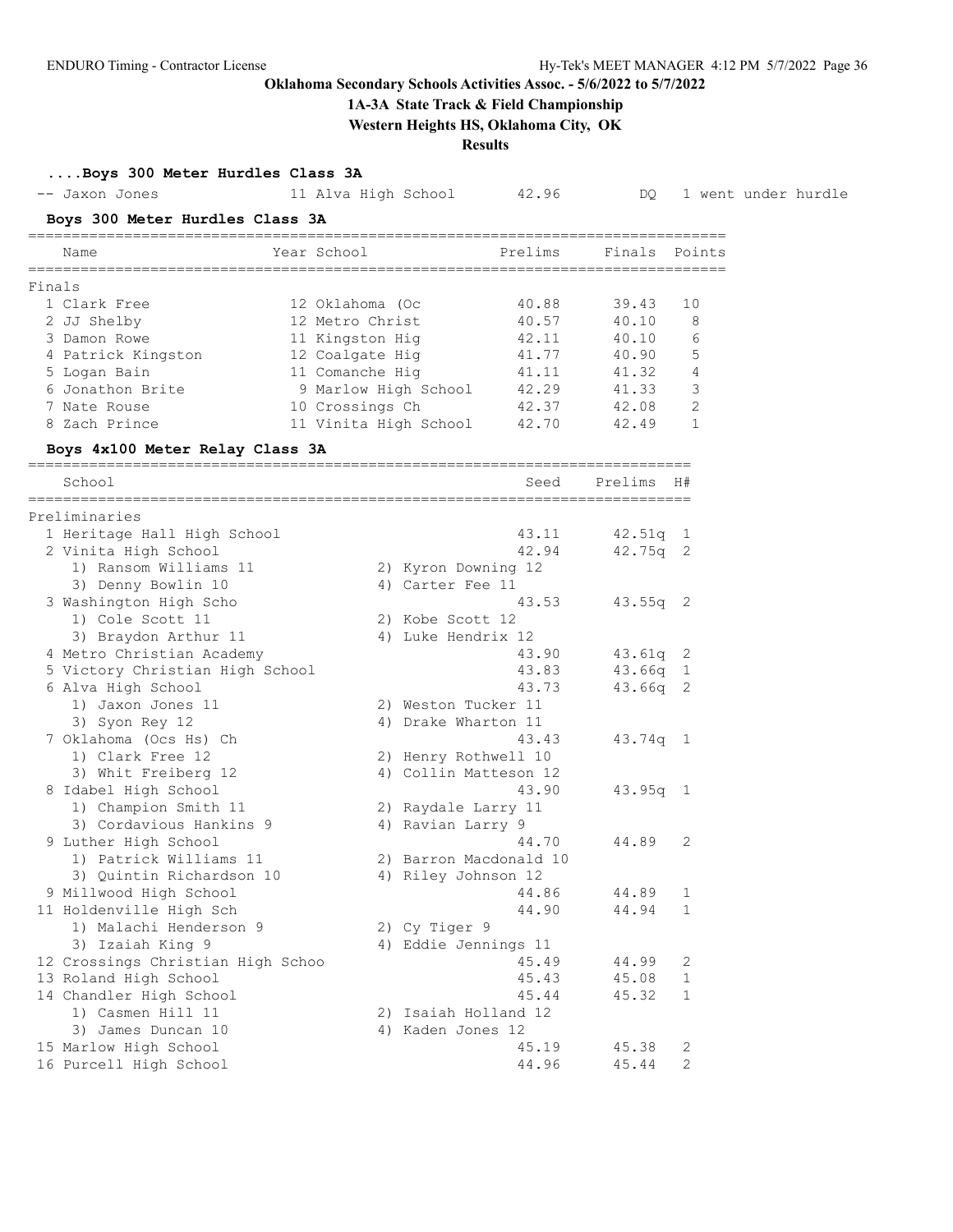## **1A-3A State Track & Field Championship**

**Western Heights HS, Oklahoma City, OK**

**Results**

**....Boys 300 Meter Hurdles Class 3A**

|        | -- Jaxon Jones                               | 11 Alva High School   | 42.96                                         | DQ.        |              | 1 went under hurdle |
|--------|----------------------------------------------|-----------------------|-----------------------------------------------|------------|--------------|---------------------|
|        | Boys 300 Meter Hurdles Class 3A              |                       |                                               |            |              |                     |
|        | Name                                         | Year School           | Prelims                                       | Finals     | Points       |                     |
| Finals |                                              |                       |                                               |            |              |                     |
|        | 1 Clark Free                                 | 12 Oklahoma (Oc       | 40.88                                         | 39.43      | 10           |                     |
|        | 2 JJ Shelby                                  | 12 Metro Christ       | 40.57                                         | 40.10      | 8            |                     |
|        | 3 Damon Rowe                                 | 11 Kingston Hig       | 42.11                                         | 40.10      | 6            |                     |
|        | 4 Patrick Kingston                           | 12 Coalgate Hig       | 41.77                                         | 40.90      | 5            |                     |
|        | 5 Logan Bain                                 | 11 Comanche Hig       | 41.11                                         | 41.32      | 4            |                     |
|        | 6 Jonathon Brite                             | 9 Marlow High School  | 42.29                                         | 41.33      | 3            |                     |
|        | 7 Nate Rouse                                 | 10 Crossings Ch       | 42.37                                         | 42.08      | 2            |                     |
|        | 8 Zach Prince                                | 11 Vinita High School | 42.70                                         | 42.49      | $\mathbf{1}$ |                     |
|        | Boys 4x100 Meter Relay Class 3A              |                       |                                               |            |              |                     |
|        | School                                       |                       | Seed                                          | Prelims    | H#           |                     |
|        | Preliminaries                                |                       |                                               |            |              |                     |
|        | 1 Heritage Hall High School                  |                       | 43.11                                         | $42.51q$ 1 |              |                     |
|        | 2 Vinita High School                         |                       | 42.94                                         | $42.75q$ 2 |              |                     |
|        | 1) Ransom Williams 11                        | 2) Kyron Downing 12   |                                               |            |              |                     |
|        | 3) Denny Bowlin 10                           | 4) Carter Fee 11      |                                               |            |              |                     |
|        | 3 Washington High Scho                       |                       | 43.53                                         | $43.55q$ 2 |              |                     |
|        | 1) Cole Scott 11                             | 2) Kobe Scott 12      |                                               |            |              |                     |
|        | 3) Braydon Arthur 11                         | 4) Luke Hendrix 12    |                                               |            |              |                     |
|        | 4 Metro Christian Academy                    |                       | 43.90                                         | $43.61q$ 2 |              |                     |
|        | 5 Victory Christian High School              |                       | 43.83                                         | $43.66q$ 1 |              |                     |
|        | 6 Alva High School                           |                       | 43.73                                         | $43.66q$ 2 |              |                     |
|        | 1) Jaxon Jones 11                            | 2) Weston Tucker 11   |                                               |            |              |                     |
|        | 3) Syon Rey 12                               | 4) Drake Wharton 11   |                                               |            |              |                     |
|        | 7 Oklahoma (Ocs Hs) Ch                       |                       | 43.43                                         | $43.74q$ 1 |              |                     |
|        | 1) Clark Free 12                             |                       | 2) Henry Rothwell 10<br>4) Collin Matteson 12 |            |              |                     |
|        | 3) Whit Freiberg 12                          |                       | 43.90                                         | $43.95q$ 1 |              |                     |
|        | 8 Idabel High School<br>1) Champion Smith 11 | 2) Raydale Larry 11   |                                               |            |              |                     |
|        | 3) Cordavious Hankins 9                      | 4) Ravian Larry 9     |                                               |            |              |                     |
|        | 9 Luther High School                         |                       | 44.70                                         | 44.89      | 2            |                     |
|        | 1) Patrick Williams 11                       |                       | 2) Barron Macdonald 10                        |            |              |                     |
|        | 3) Quintin Richardson 10                     | 4) Riley Johnson 12   |                                               |            |              |                     |
|        | 9 Millwood High School                       |                       | 44.86                                         | 44.89      | $\mathbf{1}$ |                     |
|        | 11 Holdenville High Sch                      |                       | 44.90                                         | 44.94      | $\mathbf{1}$ |                     |
|        | 1) Malachi Henderson 9                       | 2) Cy Tiger 9         |                                               |            |              |                     |
|        | 3) Izaiah King 9                             |                       | 4) Eddie Jennings 11                          |            |              |                     |
|        | 12 Crossings Christian High Schoo            |                       | 45.49                                         | 44.99      | 2            |                     |
|        | 13 Roland High School                        |                       | 45.43                                         | 45.08      | $\mathbf{1}$ |                     |
|        | 14 Chandler High School                      |                       | 45.44                                         | 45.32      | $\mathbf{1}$ |                     |
|        | 1) Casmen Hill 11                            |                       | 2) Isaiah Holland 12                          |            |              |                     |
|        | 3) James Duncan 10                           | 4) Kaden Jones 12     |                                               |            |              |                     |
|        | 15 Marlow High School                        |                       | 45.19                                         | 45.38      | 2            |                     |
|        | 16 Purcell High School                       |                       | 44.96                                         | 45.44      | $\mathbf{2}$ |                     |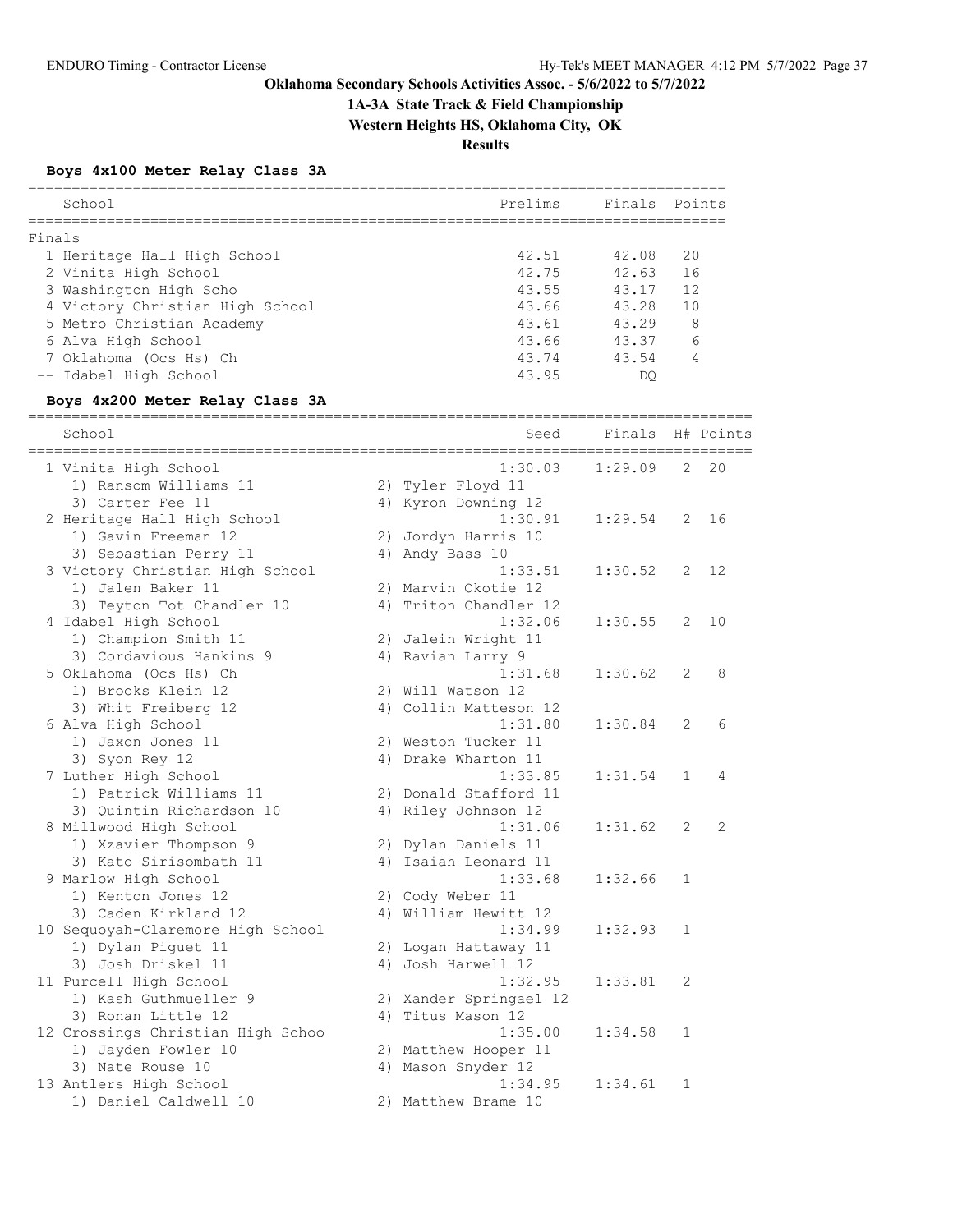**1A-3A State Track & Field Championship**

**Western Heights HS, Oklahoma City, OK**

**Results**

## **Boys 4x100 Meter Relay Class 3A**

| School                          | Prelims | Finals Points |                |
|---------------------------------|---------|---------------|----------------|
|                                 |         |               |                |
| Finals                          |         |               |                |
| 1 Heritage Hall High School     | 42.51   | 42.08         | 20             |
| 2 Vinita High School            | 42.75   | 42.63         | 16             |
| 3 Washington High Scho          | 43.55   | 43.17         | 12             |
| 4 Victory Christian High School | 43.66   | 43.28         | 1 <sub>0</sub> |
| 5 Metro Christian Academy       | 43.61   | 43 29         | 8              |
| 6 Alva High School              | 43.66   | 43.37         | 6              |
| 7 Oklahoma (Ocs Hs) Ch          | 43.74   | 43.54         |                |
| -- Idabel High School           | 43.95   | DC            |                |

## **Boys 4x200 Meter Relay Class 3A**

| School                                        |    | Seed                                   | Finals  |              | H# Points      |
|-----------------------------------------------|----|----------------------------------------|---------|--------------|----------------|
|                                               |    | ===========================<br>1:30.03 | 1:29.09 | 2            | 20             |
| 1 Vinita High School<br>1) Ransom Williams 11 |    | 2) Tyler Floyd 11                      |         |              |                |
| 3) Carter Fee 11                              |    | 4) Kyron Downing 12                    |         |              |                |
| 2 Heritage Hall High School                   |    | 1:30.91                                | 1:29.54 | 2            | 16             |
| 1) Gavin Freeman 12                           | 2) | Jordyn Harris 10                       |         |              |                |
| 3) Sebastian Perry 11                         |    | 4) Andy Bass 10                        |         |              |                |
| 3 Victory Christian High School               |    | 1:33.51                                | 1:30.52 | 2            | 12             |
| 1) Jalen Baker 11                             |    | 2) Marvin Okotie 12                    |         |              |                |
| 3) Teyton Tot Chandler 10                     |    | 4) Triton Chandler 12                  |         |              |                |
| 4 Idabel High School                          |    | 1:32.06                                | 1:30.55 | 2            | 10             |
| 1) Champion Smith 11                          |    | 2) Jalein Wright 11                    |         |              |                |
| 3) Cordavious Hankins 9                       |    | 4) Ravian Larry 9                      |         |              |                |
| 5 Oklahoma (Ocs Hs) Ch                        |    | 1:31.68                                | 1:30.62 | 2            | 8              |
| 1) Brooks Klein 12                            |    | 2) Will Watson 12                      |         |              |                |
| 3) Whit Freiberg 12                           |    | 4) Collin Matteson 12                  |         |              |                |
|                                               |    | 1:31.80                                | 1:30.84 | 2            | 6              |
| 6 Alva High School<br>1) Jaxon Jones 11       |    |                                        |         |              |                |
|                                               |    | 2) Weston Tucker 11                    |         |              |                |
| 3) Syon Rey 12                                |    | 4) Drake Wharton 11<br>1:33.85         |         |              | 4              |
| 7 Luther High School                          |    |                                        | 1:31.54 | $\mathbf 1$  |                |
| 1) Patrick Williams 11                        |    | 2) Donald Stafford 11                  |         |              |                |
| 3) Ouintin Richardson 10                      |    | 4) Riley Johnson 12                    |         |              |                |
| 8 Millwood High School                        |    | 1:31.06                                | 1:31.62 | 2            | $\overline{2}$ |
| 1) Xzavier Thompson 9                         |    | 2) Dylan Daniels 11                    |         |              |                |
| 3) Kato Sirisombath 11                        |    | 4) Isaiah Leonard 11                   |         |              |                |
| 9 Marlow High School                          |    | 1:33.68                                | 1:32.66 | $\mathbf{1}$ |                |
| 1) Kenton Jones 12                            |    | 2) Cody Weber 11                       |         |              |                |
| 3) Caden Kirkland 12                          |    | 4) William Hewitt 12                   |         |              |                |
| 10 Sequoyah-Claremore High School             |    | 1:34.99                                | 1:32.93 | $\mathbf 1$  |                |
| 1) Dylan Piguet 11                            |    | 2) Logan Hattaway 11                   |         |              |                |
| 3) Josh Driskel 11                            |    | 4) Josh Harwell 12                     |         |              |                |
| 11 Purcell High School                        |    | 1:32.95                                | 1:33.81 | 2            |                |
| 1) Kash Guthmueller 9                         |    | 2) Xander Springael 12                 |         |              |                |
| 3) Ronan Little 12                            |    | 4) Titus Mason 12                      |         |              |                |
| 12 Crossings Christian High Schoo             |    | 1:35.00                                | 1:34.58 | 1            |                |
| 1) Jayden Fowler 10                           |    | 2) Matthew Hooper 11                   |         |              |                |
| 3) Nate Rouse 10                              |    | 4) Mason Snyder 12                     |         |              |                |
| 13 Antlers High School                        |    | 1:34.95                                | 1:34.61 | $\mathbf 1$  |                |
| 1) Daniel Caldwell 10                         |    | 2) Matthew Brame 10                    |         |              |                |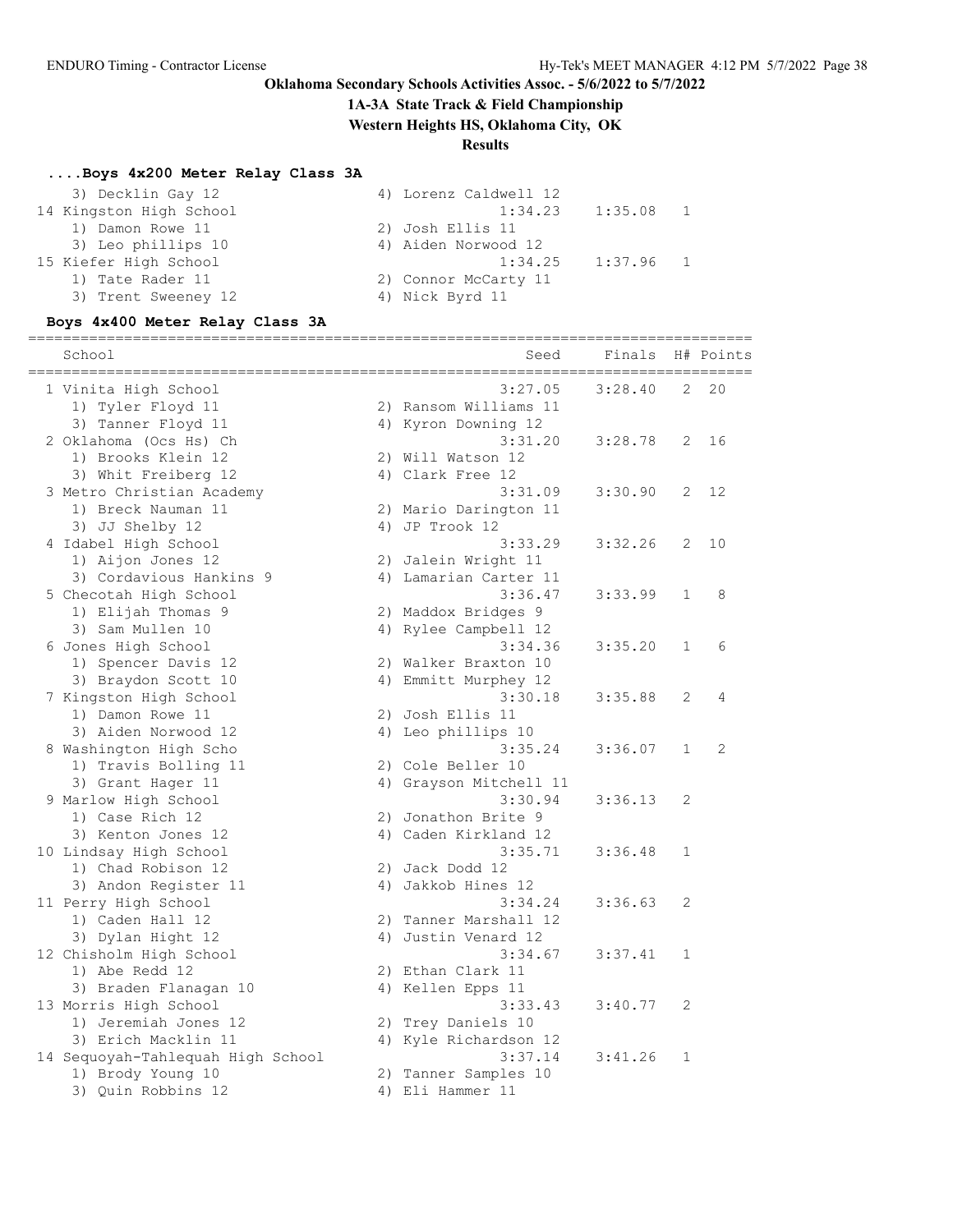## **1A-3A State Track & Field Championship**

**Western Heights HS, Oklahoma City, OK**

## **Results**

## **....Boys 4x200 Meter Relay Class 3A**

| 3) Decklin Gay 12       | 4) Lorenz Caldwell 12  |
|-------------------------|------------------------|
| 14 Kingston High School | $1:35.08$ 1<br>1:34.23 |
| 1) Damon Rowe 11        | 2) Josh Ellis 11       |
| 3) Leo phillips 10      | 4) Aiden Norwood 12    |
| 15 Kiefer High School   | $1:37.96$ 1<br>1:34.25 |
| 1) Tate Rader 11        | 2) Connor McCarty 11   |
| 3) Trent Sweeney 12     | 4) Nick Byrd 11        |
|                         |                        |

## **Boys 4x400 Meter Relay Class 3A**

| School                                       | Seed                                  | Finals  |                | H# Points |
|----------------------------------------------|---------------------------------------|---------|----------------|-----------|
| 1 Vinita High School                         | ========================<br>3:27.05   | 3:28.40 | 2              | 20        |
| 1) Tyler Floyd 11                            | 2) Ransom Williams 11                 |         |                |           |
| 3) Tanner Floyd 11                           | 4) Kyron Downing 12                   |         |                |           |
| 2 Oklahoma (Ocs Hs) Ch                       | 3:31.20                               | 3:28.78 | $\overline{2}$ | 16        |
| 1) Brooks Klein 12                           | 2) Will Watson 12                     |         |                |           |
| 3) Whit Freiberg 12                          | 4) Clark Free 12                      |         |                |           |
| 3 Metro Christian Academy                    | 3:31.09                               | 3:30.90 | 2              | 12        |
| 1) Breck Nauman 11                           | 2) Mario Darington 11                 |         |                |           |
| 3) JJ Shelby 12                              | 4) JP Trook 12                        |         |                |           |
| 4 Idabel High School                         | 3:33.29                               | 3:32.26 | 2              | 10        |
| 1) Aijon Jones 12                            | 2) Jalein Wright 11                   |         |                |           |
| 3) Cordavious Hankins 9                      | 4) Lamarian Carter 11                 |         |                |           |
| 5 Checotah High School                       | 3:36.47                               | 3:33.99 | 1              | 8         |
| 1) Elijah Thomas 9                           | 2) Maddox Bridges 9                   |         |                |           |
| 3) Sam Mullen 10                             | 4) Rylee Campbell 12                  |         |                |           |
| 6 Jones High School                          | 3:34.36                               | 3:35.20 | $\mathbf{1}$   | 6         |
| 1) Spencer Davis 12                          | 2) Walker Braxton 10                  |         |                |           |
| 3) Braydon Scott 10                          | 4) Emmitt Murphey 12                  |         |                |           |
| 7 Kingston High School                       | 3:30.18                               | 3:35.88 | $\overline{2}$ | 4         |
| 1) Damon Rowe 11                             | 2) Josh Ellis 11                      |         |                |           |
| 3) Aiden Norwood 12                          | 4) Leo phillips 10                    |         |                |           |
| 8 Washington High Scho                       | 3:35.24                               | 3:36.07 | $\mathbf{1}$   | 2         |
| 1) Travis Bolling 11                         | 2) Cole Beller 10                     |         |                |           |
| 3) Grant Hager 11                            | 4) Grayson Mitchell 11                |         |                |           |
| 9 Marlow High School                         | 3:30.94                               | 3:36.13 | $\overline{2}$ |           |
| 1) Case Rich 12                              | 2) Jonathon Brite 9                   |         |                |           |
| 3) Kenton Jones 12                           | 4) Caden Kirkland 12<br>3:35.71       | 3:36.48 | $\mathbf 1$    |           |
| 10 Lindsay High School<br>1) Chad Robison 12 |                                       |         |                |           |
| 3) Andon Register 11                         | 2) Jack Dodd 12<br>4) Jakkob Hines 12 |         |                |           |
| 11 Perry High School                         | 3:34.24                               | 3:36.63 | 2              |           |
| 1) Caden Hall 12                             | 2) Tanner Marshall 12                 |         |                |           |
| 3) Dylan Hight 12                            | 4) Justin Venard 12                   |         |                |           |
| 12 Chisholm High School                      | 3:34.67                               | 3:37.41 | 1              |           |
| 1) Abe Redd 12                               | 2) Ethan Clark 11                     |         |                |           |
| 3) Braden Flanagan 10                        | 4) Kellen Epps 11                     |         |                |           |
| 13 Morris High School                        | 3:33.43                               | 3:40.77 | 2              |           |
| 1) Jeremiah Jones 12                         | 2) Trey Daniels 10                    |         |                |           |
| 3) Erich Macklin 11                          | 4) Kyle Richardson 12                 |         |                |           |
| 14 Sequoyah-Tahlequah High School            | 3:37.14                               | 3:41.26 | $\mathbf 1$    |           |
| 1) Brody Young 10                            | 2) Tanner Samples 10                  |         |                |           |
| 3) Quin Robbins 12                           | 4) Eli Hammer 11                      |         |                |           |
|                                              |                                       |         |                |           |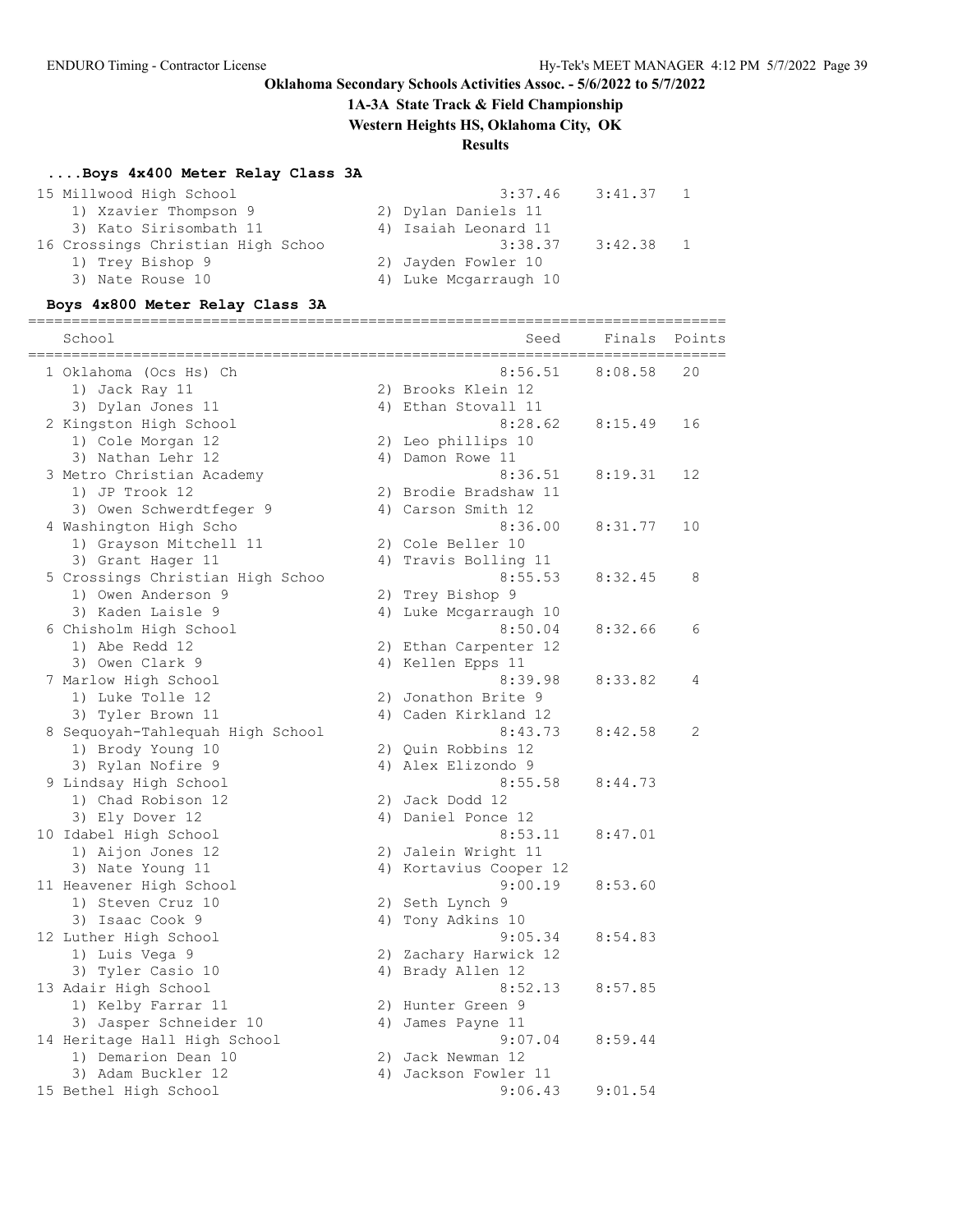## **1A-3A State Track & Field Championship**

**Western Heights HS, Oklahoma City, OK**

## **Results**

## **....Boys 4x400 Meter Relay Class 3A**

| 15 Millwood High School           | 3:37.46               | 3:41.37 |  |
|-----------------------------------|-----------------------|---------|--|
| 1) Xzavier Thompson 9             | 2) Dylan Daniels 11   |         |  |
| 3) Kato Sirisombath 11            | 4) Isaiah Leonard 11  |         |  |
| 16 Crossings Christian High Schoo | 3:38.37               | 3:42.38 |  |
| 1) Trey Bishop 9                  | 2) Jayden Fowler 10   |         |  |
| 3) Nate Rouse 10                  | 4) Luke Mcgarraugh 10 |         |  |
|                                   |                       |         |  |

## **Boys 4x800 Meter Relay Class 3A**

### ================================================================================ School School Seed Finals Points

| 1 Oklahoma (Ocs Hs) Ch           | 8:56.51                | 8:08.58 | 20 |
|----------------------------------|------------------------|---------|----|
| 1) Jack Ray 11                   | 2) Brooks Klein 12     |         |    |
| 3) Dylan Jones 11                | 4) Ethan Stovall 11    |         |    |
| 2 Kingston High School           | 8:28.62                | 8:15.49 | 16 |
| 1) Cole Morgan 12                | 2) Leo phillips 10     |         |    |
| 3) Nathan Lehr 12                | 4) Damon Rowe 11       |         |    |
| 3 Metro Christian Academy        | 8:36.51                | 8:19.31 | 12 |
| 1) JP Trook 12                   | 2) Brodie Bradshaw 11  |         |    |
| 3) Owen Schwerdtfeger 9          | 4) Carson Smith 12     |         |    |
| 4 Washington High Scho           | 8:36.00                | 8:31.77 | 10 |
| 1) Grayson Mitchell 11           | 2) Cole Beller 10      |         |    |
| 3) Grant Hager 11                | 4) Travis Bolling 11   |         |    |
| 5 Crossings Christian High Schoo | 8:55.53                | 8:32.45 | 8  |
| 1) Owen Anderson 9               | 2) Trey Bishop 9       |         |    |
| 3) Kaden Laisle 9                | 4) Luke Mcgarraugh 10  |         |    |
| 6 Chisholm High School           | 8:50.04                | 8:32.66 | 6  |
| 1) Abe Redd 12                   | 2) Ethan Carpenter 12  |         |    |
| 3) Owen Clark 9                  | 4) Kellen Epps 11      |         |    |
| 7 Marlow High School             | 8:39.98                | 8:33.82 | 4  |
| 1) Luke Tolle 12                 | 2) Jonathon Brite 9    |         |    |
| 3) Tyler Brown 11                | 4) Caden Kirkland 12   |         |    |
| 8 Sequoyah-Tahlequah High School | 8:43.73                | 8:42.58 | 2  |
| 1) Brody Young 10                | 2) Quin Robbins 12     |         |    |
| 3) Rylan Nofire 9                | 4) Alex Elizondo 9     |         |    |
| 9 Lindsay High School            | 8:55.58                | 8:44.73 |    |
| 1) Chad Robison 12               | 2) Jack Dodd 12        |         |    |
| 3) Ely Dover 12                  | 4) Daniel Ponce 12     |         |    |
| 10 Idabel High School            | 8:53.11                | 8:47.01 |    |
| 1) Aijon Jones 12                | 2) Jalein Wright 11    |         |    |
| 3) Nate Young 11                 | 4) Kortavius Cooper 12 |         |    |
| 11 Heavener High School          | 9:00.19                | 8:53.60 |    |
| 1) Steven Cruz 10                | 2) Seth Lynch 9        |         |    |
| 3) Isaac Cook 9                  | 4) Tony Adkins 10      |         |    |
| 12 Luther High School            | 9:05.34                | 8:54.83 |    |
| 1) Luis Vega 9                   | 2) Zachary Harwick 12  |         |    |
| 3) Tyler Casio 10                | 4) Brady Allen 12      |         |    |
| 13 Adair High School             | 8:52.13                | 8:57.85 |    |
| 1) Kelby Farrar 11               | 2) Hunter Green 9      |         |    |
| 3) Jasper Schneider 10           | 4) James Payne 11      |         |    |
| 14 Heritage Hall High School     | 9:07.04                | 8:59.44 |    |
| 1) Demarion Dean 10              | 2) Jack Newman 12      |         |    |
| 3) Adam Buckler 12               | 4) Jackson Fowler 11   |         |    |
| 15 Bethel High School            | 9:06.43                | 9:01.54 |    |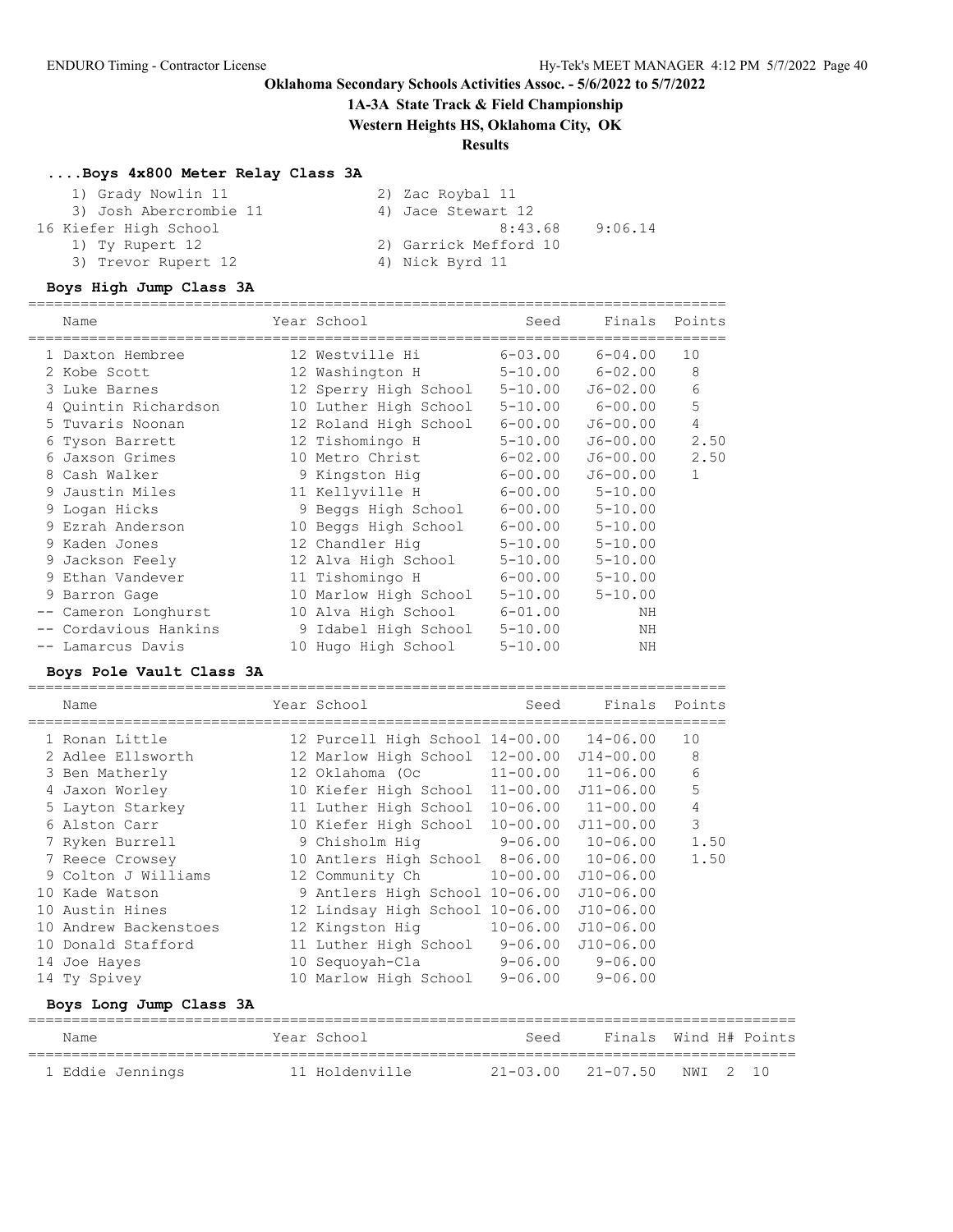## **1A-3A State Track & Field Championship**

**Western Heights HS, Oklahoma City, OK**

================================================================================

## **Results**

## **....Boys 4x800 Meter Relay Class 3A**

| 1) Grady Nowlin 11     | 2) Zac Roybal 11      |
|------------------------|-----------------------|
| 3) Josh Abercrombie 11 | 4) Jace Stewart 12    |
| 16 Kiefer High School  | 8:43.68<br>9:06.14    |
| 1) Ty Rupert 12        | 2) Garrick Mefford 10 |
| 3) Trevor Rupert 12    | 4) Nick Byrd 11       |

## **Boys High Jump Class 3A**

| Name                  | Year School           | Seed        | Finals Points           |              |
|-----------------------|-----------------------|-------------|-------------------------|--------------|
| 1 Daxton Hembree      | 12 Westville Hi       | $6 - 03.00$ | $6 - 04.00$             | 10           |
| 2 Kobe Scott          | 12 Washington H       |             | $5 - 10.00$ $6 - 02.00$ | 8            |
| 3 Luke Barnes         | 12 Sperry High School | $5 - 10.00$ | J6-02.00                | 6            |
| 4 Ouintin Richardson  | 10 Luther High School | $5 - 10.00$ | $6 - 00.00$             | 5            |
| 5 Tuvaris Noonan      | 12 Roland High School | $6 - 00.00$ | J6-00.00                | 4            |
| 6 Tyson Barrett       | 12 Tishomingo H       | $5 - 10.00$ | J6-00.00                | 2.50         |
| 6 Jaxson Grimes       | 10 Metro Christ       | $6 - 02.00$ | J6-00.00                | 2.50         |
| 8 Cash Walker         | 9 Kingston Hig        | $6 - 00.00$ | $J6 - 00.00$            | $\mathbf{1}$ |
| 9 Jaustin Miles       | 11 Kellyville H       | $6 - 00.00$ | $5 - 10.00$             |              |
| 9 Logan Hicks         | 9 Beggs High School   | $6 - 00.00$ | $5 - 10.00$             |              |
| 9 Ezrah Anderson      | 10 Beggs High School  |             | $6 - 00.00$ $5 - 10.00$ |              |
| 9 Kaden Jones         | 12 Chandler Hig       | $5 - 10.00$ | $5 - 10.00$             |              |
| 9 Jackson Feely       | 12 Alva High School   | $5 - 10.00$ | $5 - 10.00$             |              |
| 9 Ethan Vandever      | 11 Tishomingo H       | $6 - 00.00$ | $5 - 10.00$             |              |
| 9 Barron Gage         | 10 Marlow High School | $5 - 10.00$ | $5 - 10.00$             |              |
| -- Cameron Longhurst  | 10 Alva High School   | $6 - 01.00$ | ΝH                      |              |
| -- Cordavious Hankins | 9 Idabel High School  | $5 - 10.00$ | ΝH                      |              |
| -- Lamarcus Davis     | 10 Hugo High School   | $5 - 10.00$ | ΝH                      |              |

### **Boys Pole Vault Class 3A**

| Name                  | Year School                              | Seed         | Finals                    | Points         |
|-----------------------|------------------------------------------|--------------|---------------------------|----------------|
| 1 Ronan Little        | 12 Purcell High School 14-00.00 14-06.00 |              |                           | 10             |
| 2 Adlee Ellsworth     | 12 Marlow High School                    | 12-00.00     | $J14 - 00.00$             | 8              |
| 3 Ben Matherly        | 12 Oklahoma (Oc                          |              | $11 - 00.00$ $11 - 06.00$ | 6              |
| 4 Jaxon Worley        | 10 Kiefer High School                    | $11 - 00.00$ | $J11 - 06.00$             | 5              |
| 5 Layton Starkey      | 11 Luther High School                    |              | $10 - 06.00$ $11 - 00.00$ | $\overline{4}$ |
| 6 Alston Carr         | 10 Kiefer High School                    | $10 - 00.00$ | $J11 - 00.00$             | 3              |
| 7 Ryken Burrell       | 9 Chisholm Hig                           |              | $9-06.00$ $10-06.00$      | 1.50           |
| 7 Reece Crowsey       | 10 Antlers High School                   |              | $8 - 06.00$ 10-06.00      | 1.50           |
| 9 Colton J Williams   | 12 Community Ch                          | $10 - 00.00$ | $J10-06.00$               |                |
| 10 Kade Watson        | 9 Antlers High School 10-06.00           |              | $J10-06.00$               |                |
| 10 Austin Hines       | 12 Lindsay High School 10-06.00          |              | $J10-06.00$               |                |
| 10 Andrew Backenstoes | 12 Kingston Hig                          | $10 - 06.00$ | $J10-06.00$               |                |
| 10 Donald Stafford    | 11 Luther High School                    | $9 - 06.00$  | $J10-06.00$               |                |
| 14 Joe Hayes          | 10 Sequoyah-Cla                          | $9 - 06.00$  | $9 - 06.00$               |                |
| 14 Ty Spivey          | 10 Marlow High School                    | $9 - 06.00$  | $9 - 06.00$               |                |

# **Boys Long Jump Class 3A**

| Name             | Year School    | Seed                       | Finals Wind H# Points |  |
|------------------|----------------|----------------------------|-----------------------|--|
| 1 Eddie Jennings | 11 Holdenville | 21-03.00 21-07.50 NWI 2 10 |                       |  |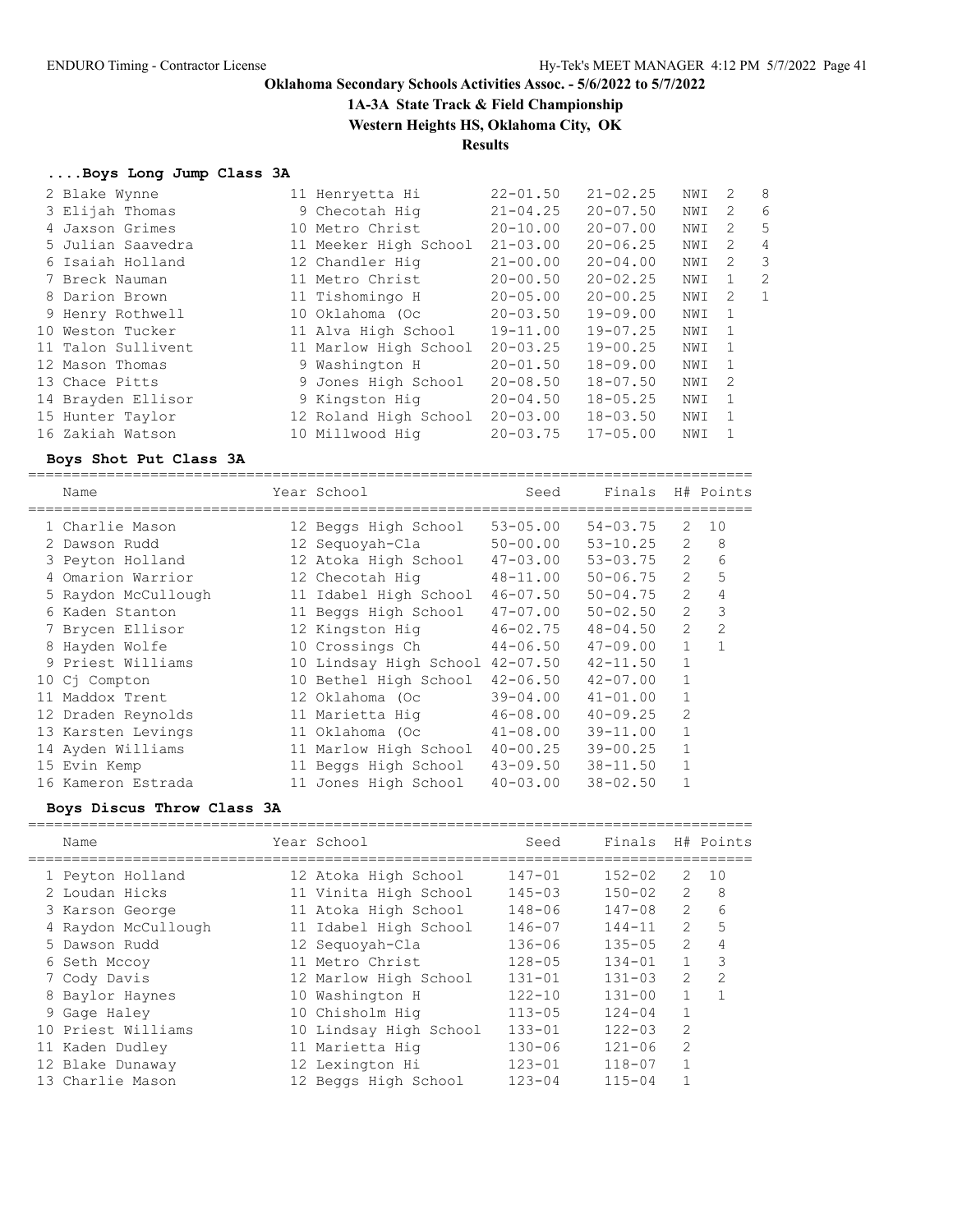**1A-3A State Track & Field Championship**

**Western Heights HS, Oklahoma City, OK**

# **Results**

## **....Boys Long Jump Class 3A**

| 2 Blake Wynne      | 11 Henryetta Hi       | $22 - 01.50$ | $21 - 02.25$ | NWI | $\mathcal{L}$  | - 8            |
|--------------------|-----------------------|--------------|--------------|-----|----------------|----------------|
| 3 Elijah Thomas    | 9 Checotah Hig        | $21 - 04.25$ | $20 - 07.50$ | NWI | $\overline{2}$ | 6              |
| 4 Jaxson Grimes    | 10 Metro Christ       | $20 - 10.00$ | $20 - 07.00$ | NWI | -2             | -5             |
| 5 Julian Saavedra  | 11 Meeker High School | $21 - 03.00$ | $20 - 06.25$ | NWI | 2              | $\overline{4}$ |
| 6 Isaiah Holland   | 12 Chandler Hig       | $21 - 00.00$ | $20 - 04.00$ | NWI | -2             | -3             |
| 7 Breck Nauman     | 11 Metro Christ       | $20 - 00.50$ | $20 - 02.25$ | NWI | $\overline{1}$ | 2              |
| 8 Darion Brown     | 11 Tishomingo H       | $20 - 05.00$ | $20 - 00.25$ | NWI | -2             | -1             |
| 9 Henry Rothwell   | 10 Oklahoma (Oc       | $20 - 03.50$ | $19 - 09.00$ | NWI | - 1            |                |
| 10 Weston Tucker   | 11 Alva High School   | $19 - 11.00$ | $19 - 07.25$ | NWI | $\overline{1}$ |                |
| 11 Talon Sullivent | 11 Marlow High School | $20 - 03.25$ | $19 - 00.25$ | NWI | $\overline{1}$ |                |
| 12 Mason Thomas    | 9 Washington H        | $20 - 01.50$ | $18 - 09.00$ | NWI | $\overline{1}$ |                |
| 13 Chace Pitts     | 9 Jones High School   | $20 - 08.50$ | $18 - 07.50$ | NWI | $\overline{2}$ |                |
| 14 Brayden Ellisor | 9 Kingston Hig        | $20 - 04.50$ | $18 - 05.25$ | NWI | - 1            |                |
| 15 Hunter Taylor   | 12 Roland High School | $20 - 03.00$ | $18 - 03.50$ | NWI | $\overline{1}$ |                |
| 16 Zakiah Watson   | 10 Millwood Hig       | $20 - 03.75$ | $17 - 05.00$ | NWI | -1             |                |

## **Boys Shot Put Class 3A**

| Name                | Year School            | Seed         | Finals       |                | H# Points      |
|---------------------|------------------------|--------------|--------------|----------------|----------------|
| 1 Charlie Mason     | 12 Beggs High School   | $53 - 05.00$ | $54 - 03.75$ | 2              | 10             |
| 2 Dawson Rudd       | 12 Sequoyah-Cla        | $50 - 00.00$ | $53 - 10.25$ | 2              | 8              |
| 3 Peyton Holland    | 12 Atoka High School   | $47 - 03.00$ | $53 - 03.75$ | $\overline{2}$ | 6              |
| 4 Omarion Warrior   | 12 Checotah Hig        | $48 - 11.00$ | $50 - 06.75$ | 2              |                |
| 5 Raydon McCullough | 11 Idabel High School  | $46 - 07.50$ | $50 - 04.75$ | 2              |                |
| 6 Kaden Stanton     | 11 Beggs High School   | $47 - 07.00$ | $50 - 02.50$ | 2              | 3              |
| 7 Brycen Ellisor    | 12 Kingston Hig        | $46 - 02.75$ | $48 - 04.50$ | $\overline{2}$ | $\overline{2}$ |
| 8 Hayden Wolfe      | 10 Crossings Ch        | $44 - 06.50$ | $47 - 09.00$ | $\mathbf{1}$   |                |
| 9 Priest Williams   | 10 Lindsay High School | $42 - 07.50$ | $42 - 11.50$ | $\mathbf{1}$   |                |
| 10 Cj Compton       | 10 Bethel High School  | $42 - 06.50$ | $42 - 07.00$ |                |                |
| 11 Maddox Trent     | 12 Oklahoma (Oc        | $39 - 04.00$ | $41 - 01.00$ |                |                |
| 12 Draden Reynolds  | 11 Marietta Hig        | $46 - 08.00$ | $40 - 09.25$ | $\overline{2}$ |                |
| 13 Karsten Levings  | 11 Oklahoma (Oc        | $41 - 08.00$ | $39 - 11.00$ | 1              |                |
| 14 Ayden Williams   | 11 Marlow High School  | $40 - 00.25$ | $39 - 00.25$ | 1              |                |
| 15 Evin Kemp        | 11 Beggs High School   | $43 - 09.50$ | $38 - 11.50$ | 1              |                |
| 16 Kameron Estrada  | 11 Jones High School   | $40 - 03.00$ | $38 - 02.50$ |                |                |

### **Boys Discus Throw Class 3A**

| Name                | Year School            | Seed       | Finals     |                | H# Points |
|---------------------|------------------------|------------|------------|----------------|-----------|
| 1 Peyton Holland    | 12 Atoka High School   | $147 - 01$ | $152 - 02$ | 2              | 10        |
| 2 Loudan Hicks      | 11 Vinita High School  | $145 - 03$ | $150 - 02$ | $\overline{2}$ | 8         |
| 3 Karson George     | 11 Atoka High School   | $148 - 06$ | $147 - 08$ | $\mathcal{L}$  | 6         |
| 4 Raydon McCullough | 11 Idabel High School  | $146 - 07$ | $144 - 11$ | 2              | 5         |
| 5 Dawson Rudd       | 12 Sequoyah-Cla        | $136 - 06$ | $135 - 05$ | $\mathcal{L}$  | 4         |
| 6 Seth Mccoy        | 11 Metro Christ        | $128 - 05$ | $134 - 01$ | $\mathbf{1}$   | 3         |
| 7 Cody Davis        | 12 Marlow High School  | $131 - 01$ | $131 - 03$ | 2              | 2         |
| 8 Baylor Haynes     | 10 Washington H        | $122 - 10$ | $131 - 00$ | $\mathbf{1}$   | 1         |
| 9 Gage Haley        | 10 Chisholm Hig        | $113 - 05$ | $124 - 04$ |                |           |
| 10 Priest Williams  | 10 Lindsay High School | $133 - 01$ | $122 - 03$ | 2              |           |
| 11 Kaden Dudley     | 11 Marietta Hig        | $130 - 06$ | $121 - 06$ | $\overline{2}$ |           |
| 12 Blake Dunaway    | 12 Lexington Hi        | $123 - 01$ | $118 - 07$ |                |           |
| 13 Charlie Mason    | 12 Beggs High School   | $123 - 04$ | $115 - 04$ |                |           |
|                     |                        |            |            |                |           |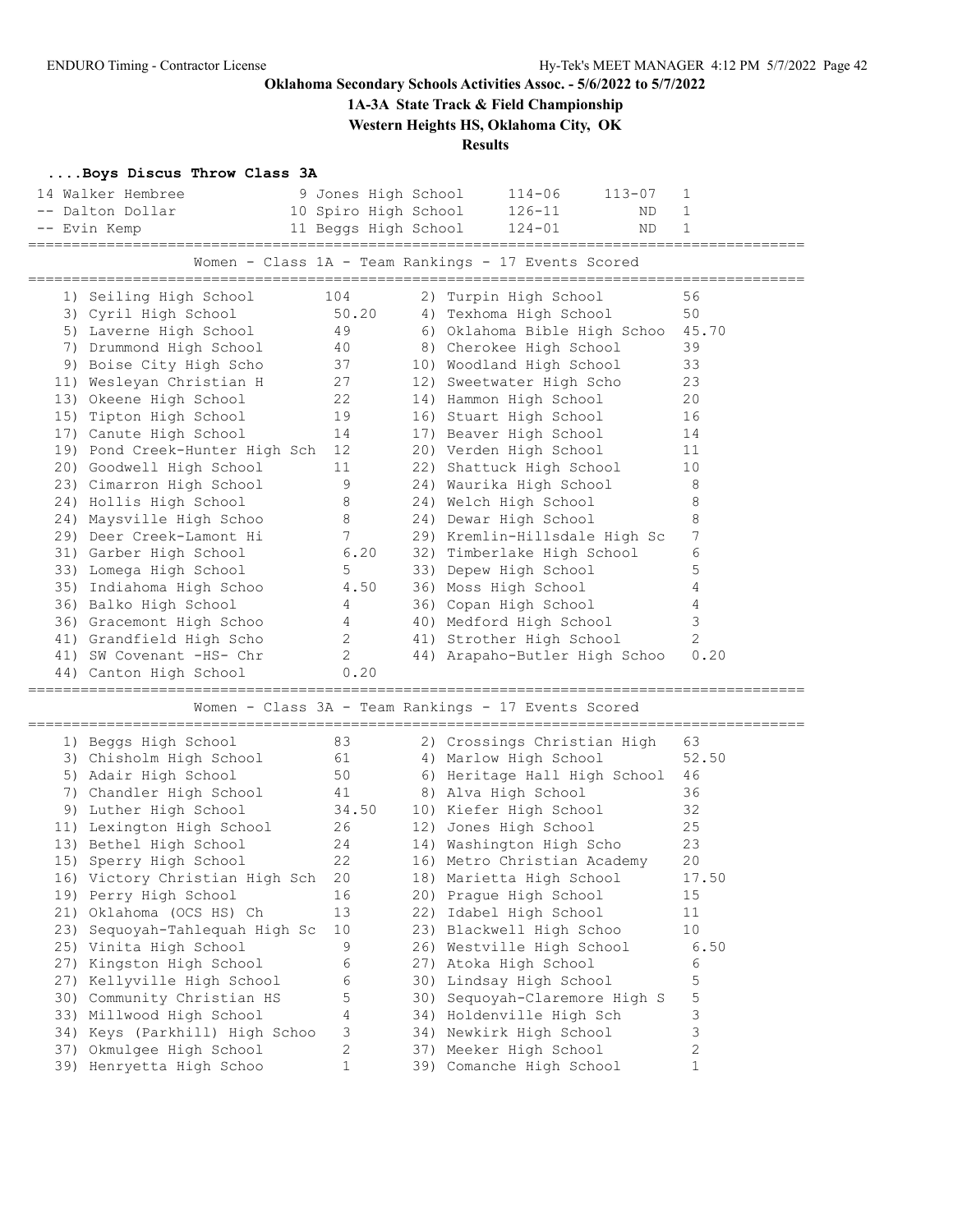**1A-3A State Track & Field Championship**

**Western Heights HS, Oklahoma City, OK**

## **Results**

## **....Boys Discus Throw Class 3A**

| 14 Walker Hembree              | 9 Jones High School  |  | $114 - 06$<br>$113 - 07$                            | 1               |
|--------------------------------|----------------------|--|-----------------------------------------------------|-----------------|
| -- Dalton Dollar               | 10 Spiro High School |  | $126 - 11$<br>ND.                                   | $\mathbf{1}$    |
| -- Evin Kemp                   | 11 Beggs High School |  | $124 - 01$<br>ND                                    | $\mathbf 1$     |
| -------------------            |                      |  |                                                     |                 |
|                                |                      |  | Women - Class 1A - Team Rankings - 17 Events Scored |                 |
|                                |                      |  |                                                     |                 |
| 1) Seiling High School         | 104                  |  | 2) Turpin High School                               | 56              |
| 3) Cyril High School           | 50.20                |  | 4) Texhoma High School                              | 50              |
| 5) Laverne High School         | 49                   |  | 6) Oklahoma Bible High Schoo                        | 45.70           |
| 7) Drummond High School        | 40                   |  | 8) Cherokee High School                             | 39              |
| 9) Boise City High Scho        | 37                   |  | 10) Woodland High School                            | 33              |
| 11) Wesleyan Christian H       | 27                   |  | 12) Sweetwater High Scho                            | 23              |
| 13) Okeene High School         | 22                   |  | 14) Hammon High School                              | 20              |
| 15) Tipton High School         | 19                   |  | 16) Stuart High School                              | 16              |
| 17) Canute High School         | 14                   |  | 17) Beaver High School                              | 14              |
| 19) Pond Creek-Hunter High Sch | 12                   |  | 20) Verden High School                              | 11              |
| 20) Goodwell High School       | 11                   |  | 22) Shattuck High School                            | 10              |
| 23) Cimarron High School       | 9                    |  | 24) Waurika High School                             | 8               |
| 24) Hollis High School         | 8                    |  | 24) Welch High School                               | 8               |
| 24) Maysville High Schoo       | 8                    |  | 24) Dewar High School                               | 8               |
| 29) Deer Creek-Lamont Hi       | 7                    |  | 29) Kremlin-Hillsdale High Sc                       | $7\phantom{.0}$ |
| 31) Garber High School         | 6.20                 |  | 32) Timberlake High School                          | 6               |
| 33) Lomega High School         | 5                    |  | 33) Depew High School                               | 5               |
| 35) Indiahoma High Schoo       | 4.50                 |  | 36) Moss High School                                | 4               |
| 36) Balko High School          | 4                    |  | 36) Copan High School                               | 4               |
| 36) Gracemont High Schoo       | 4                    |  | 40) Medford High School                             | 3               |
| 41) Grandfield High Scho       | $\overline{2}$       |  | 41) Strother High School                            | 2               |
| 41) SW Covenant -HS- Chr       | $\overline{2}$       |  | 44) Arapaho-Butler High Schoo                       | 0.20            |
| 44) Canton High School         | 0.20                 |  |                                                     |                 |
|                                |                      |  |                                                     |                 |
|                                |                      |  | Women - Class 3A - Team Rankings - 17 Events Scored |                 |
|                                |                      |  |                                                     |                 |
| 1) Beggs High School           | 83                   |  | 2) Crossings Christian High                         | 63              |
| 3) Chisholm High School        | 61                   |  | 4) Marlow High School                               | 52.50           |
| 5) Adair High School           | 50                   |  | 6) Heritage Hall High School                        | 46              |
| 7) Chandler High School        | 41                   |  | 8) Alva High School                                 | 36              |
| 9) Luther High School          | 34.50                |  | 10) Kiefer High School                              | 32              |
| 11) Lexington High School      | 26                   |  | 12) Jones High School                               | 25              |
| 13) Bethel High School         | 24                   |  | 14) Washington High Scho                            | 23              |
| 15) Sperry High School         | 22                   |  | 16) Metro Christian Academy                         | 20              |
| 16) Victory Christian High Sch | 20                   |  | 18) Marietta High School                            | 17.50           |
| 19) Perry High School          | 16                   |  | 20) Prague High School                              | 15              |
| 21) Oklahoma (OCS HS) Ch       | 13                   |  | 22) Idabel High School                              | 11              |
| 23) Sequoyah-Tahlequah High Sc | 10                   |  | 23) Blackwell High Schoo                            | 10              |
| 25) Vinita High School         | 9                    |  | 26) Westville High School                           | 6.50            |
| 27) Kingston High School       | 6                    |  | 27) Atoka High School                               | 6               |
| 27) Kellyville High School     | 6                    |  | 30) Lindsay High School                             | 5               |
| 30) Community Christian HS     | 5                    |  | 30) Sequoyah-Claremore High S                       | 5               |
| 33) Millwood High School       | 4                    |  | 34) Holdenville High Sch                            | 3               |
| 34) Keys (Parkhill) High Schoo | 3                    |  | 34) Newkirk High School                             | 3               |
| 37) Okmulgee High School       | 2                    |  | 37) Meeker High School                              | 2               |
| 39) Henryetta High Schoo       | $\mathbf 1$          |  | 39) Comanche High School                            | $\mathbf{1}$    |